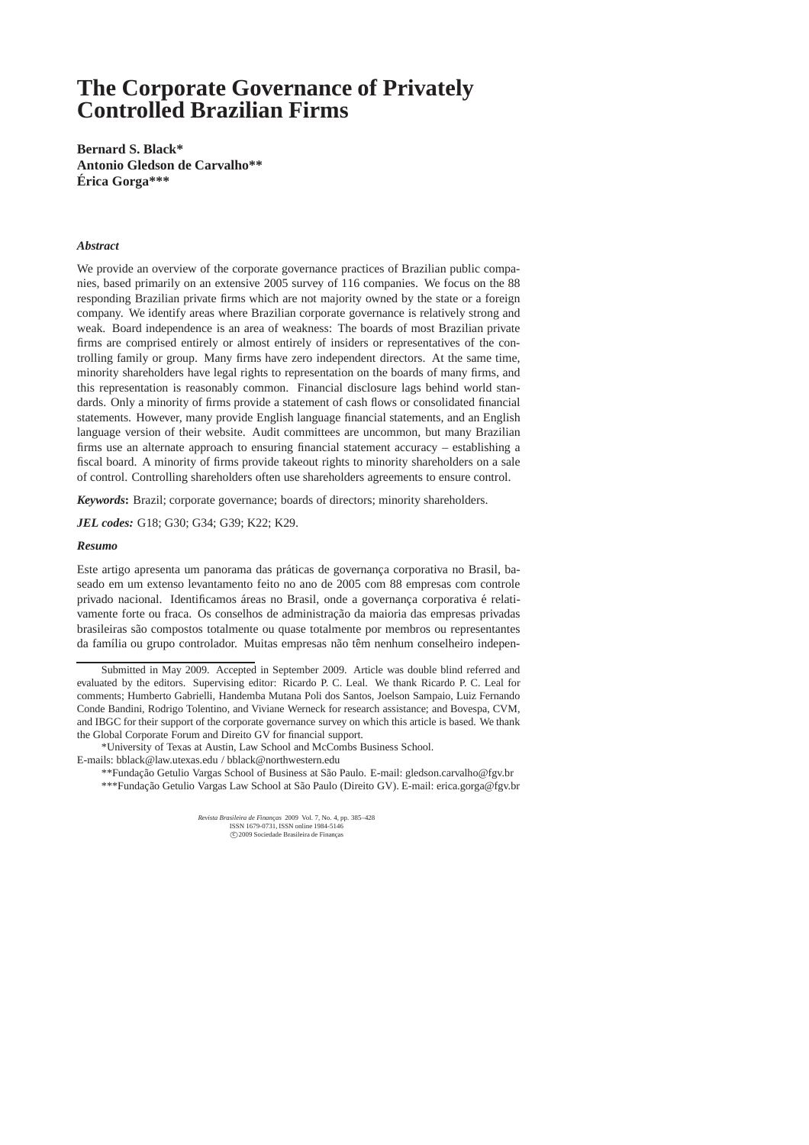# **The Corporate Governance of Privately Controlled Brazilian Firms**

**Bernard S. Black\* Antonio Gledson de Carvalho\*\* Erica Gorga\*\*\* ´**

# *Abstract*

We provide an overview of the corporate governance practices of Brazilian public companies, based primarily on an extensive 2005 survey of 116 companies. We focus on the 88 responding Brazilian private firms which are not majority owned by the state or a foreign company. We identify areas where Brazilian corporate governance is relatively strong and weak. Board independence is an area of weakness: The boards of most Brazilian private firms are comprised entirely or almost entirely of insiders or representatives of the controlling family or group. Many firms have zero independent directors. At the same time, minority shareholders have legal rights to representation on the boards of many firms, and this representation is reasonably common. Financial disclosure lags behind world standards. Only a minority of firms provide a statement of cash flows or consolidated financial statements. However, many provide English language financial statements, and an English language version of their website. Audit committees are uncommon, but many Brazilian firms use an alternate approach to ensuring financial statement accuracy – establishing a fiscal board. A minority of firms provide takeout rights to minority shareholders on a sale of control. Controlling shareholders often use shareholders agreements to ensure control.

*Keywords***:** Brazil; corporate governance; boards of directors; minority shareholders.

*JEL codes:* G18; G30; G34; G39; K22; K29.

### *Resumo*

Este artigo apresenta um panorama das práticas de governança corporativa no Brasil, baseado em um extenso levantamento feito no ano de 2005 com 88 empresas com controle privado nacional. Identificamos áreas no Brasil, onde a governança corporativa é relativamente forte ou fraca. Os conselhos de administração da maioria das empresas privadas brasileiras s˜ao compostos totalmente ou quase totalmente por membros ou representantes da família ou grupo controlador. Muitas empresas não têm nenhum conselheiro indepen-

E-mails: bblack@law.utexas.edu / bblack@northwestern.edu

\*\*Fundac¸ ˜ao Getulio Vargas School of Business at S˜ao Paulo. E-mail: gledson.carvalho@fgv.br \*\*\*Fundação Getulio Vargas Law School at São Paulo (Direito GV). E-mail: erica.gorga@fgv.br

Submitted in May 2009. Accepted in September 2009. Article was double blind referred and evaluated by the editors. Supervising editor: Ricardo P. C. Leal. We thank Ricardo P. C. Leal for comments; Humberto Gabrielli, Handemba Mutana Poli dos Santos, Joelson Sampaio, Luiz Fernando Conde Bandini, Rodrigo Tolentino, and Viviane Werneck for research assistance; and Bovespa, CVM, and IBGC for their support of the corporate governance survey on which this article is based. We thank the Global Corporate Forum and Direito GV for financial support.

<sup>\*</sup>University of Texas at Austin, Law School and McCombs Business School.

*Revista Brasileira de Finanças* 2009 Vol. 7, No. 4, pp. 385–428<br>ISSN 1679-0731, ISSN online 1984-5146  $\odot$  2009 Sociedade Brasileira de Finanç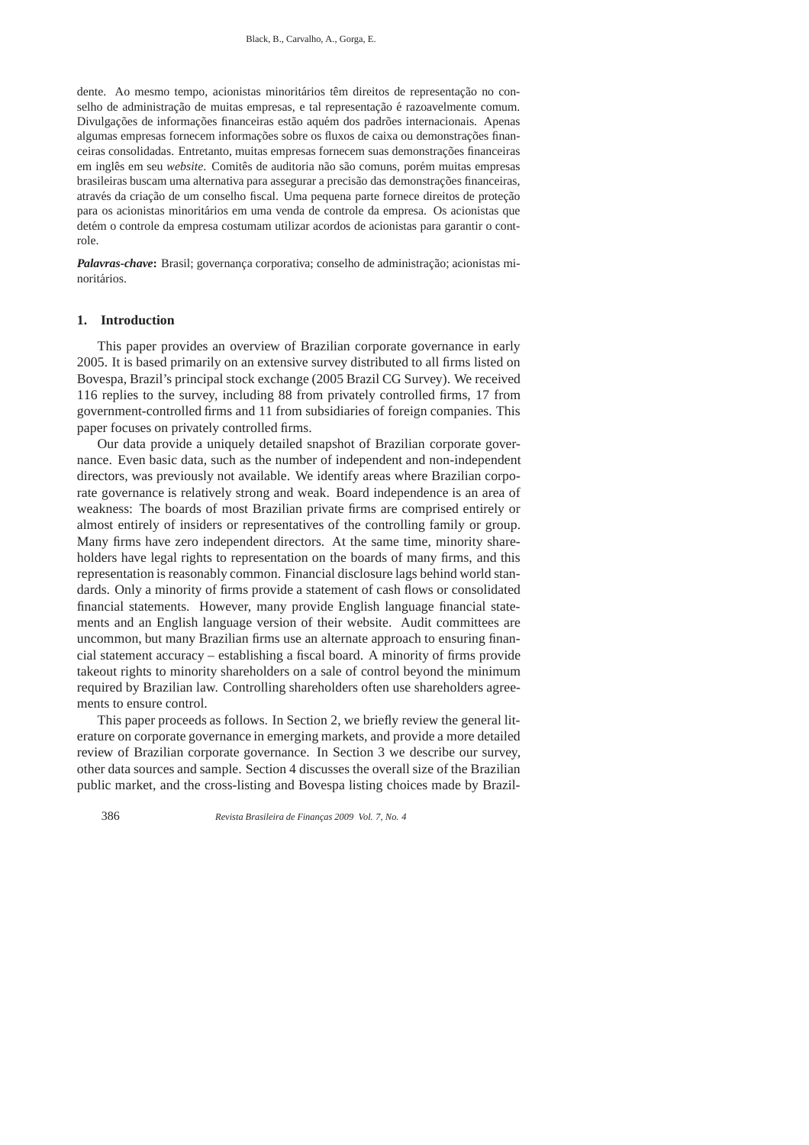dente. Ao mesmo tempo, acionistas minoritários têm direitos de representação no conselho de administração de muitas empresas, e tal representação é razoavelmente comum. Divulgações de informações financeiras estão aquém dos padrões internacionais. Apenas algumas empresas fornecem informações sobre os fluxos de caixa ou demonstrações financeiras consolidadas. Entretanto, muitas empresas fornecem suas demonstrações financeiras em inglês em seu *website*. Comitês de auditoria não são comuns, porém muitas empresas brasileiras buscam uma alternativa para assegurar a precisão das demonstrações financeiras, através da criação de um conselho fiscal. Uma pequena parte fornece direitos de proteção para os acionistas minoritários em uma venda de controle da empresa. Os acionistas que detém o controle da empresa costumam utilizar acordos de acionistas para garantir o controle.

Palavras-chave: Brasil; governança corporativa; conselho de administração; acionistas minoritários.

# **1. Introduction**

This paper provides an overview of Brazilian corporate governance in early 2005. It is based primarily on an extensive survey distributed to all firms listed on Bovespa, Brazil's principal stock exchange (2005 Brazil CG Survey). We received 116 replies to the survey, including 88 from privately controlled firms, 17 from government-controlled firms and 11 from subsidiaries of foreign companies. This paper focuses on privately controlled firms.

Our data provide a uniquely detailed snapshot of Brazilian corporate governance. Even basic data, such as the number of independent and non-independent directors, was previously not available. We identify areas where Brazilian corporate governance is relatively strong and weak. Board independence is an area of weakness: The boards of most Brazilian private firms are comprised entirely or almost entirely of insiders or representatives of the controlling family or group. Many firms have zero independent directors. At the same time, minority shareholders have legal rights to representation on the boards of many firms, and this representation is reasonably common. Financial disclosure lags behind world standards. Only a minority of firms provide a statement of cash flows or consolidated financial statements. However, many provide English language financial statements and an English language version of their website. Audit committees are uncommon, but many Brazilian firms use an alternate approach to ensuring financial statement accuracy – establishing a fiscal board. A minority of firms provide takeout rights to minority shareholders on a sale of control beyond the minimum required by Brazilian law. Controlling shareholders often use shareholders agreements to ensure control.

This paper proceeds as follows. In Section 2, we briefly review the general literature on corporate governance in emerging markets, and provide a more detailed review of Brazilian corporate governance. In Section 3 we describe our survey, other data sources and sample. Section 4 discusses the overall size of the Brazilian public market, and the cross-listing and Bovespa listing choices made by Brazil-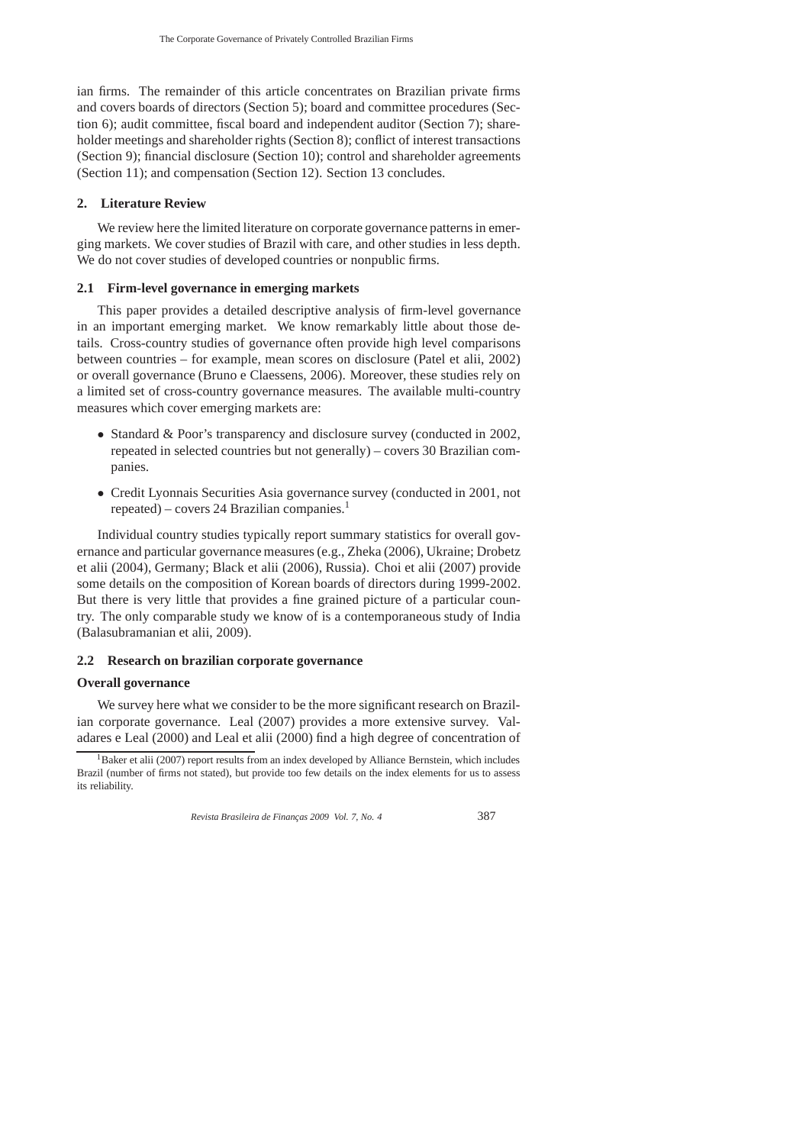ian firms. The remainder of this article concentrates on Brazilian private firms and covers boards of directors (Section 5); board and committee procedures (Section 6); audit committee, fiscal board and independent auditor (Section 7); shareholder meetings and shareholder rights (Section 8); conflict of interest transactions (Section 9); financial disclosure (Section 10); control and shareholder agreements (Section 11); and compensation (Section 12). Section 13 concludes.

# **2. Literature Review**

We review here the limited literature on corporate governance patterns in emerging markets. We cover studies of Brazil with care, and other studies in less depth. We do not cover studies of developed countries or nonpublic firms.

# **2.1 Firm-level governance in emerging markets**

This paper provides a detailed descriptive analysis of firm-level governance in an important emerging market. We know remarkably little about those details. Cross-country studies of governance often provide high level comparisons between countries – for example, mean scores on disclosure (Patel et alii, 2002) or overall governance (Bruno e Claessens, 2006). Moreover, these studies rely on a limited set of cross-country governance measures. The available multi-country measures which cover emerging markets are:

- Standard & Poor's transparency and disclosure survey (conducted in 2002, repeated in selected countries but not generally) – covers 30 Brazilian companies.
- Credit Lyonnais Securities Asia governance survey (conducted in 2001, not repeated) – covers 24 Brazilian companies. $<sup>1</sup>$ </sup>

Individual country studies typically report summary statistics for overall governance and particular governance measures (e.g., Zheka (2006), Ukraine; Drobetz et alii (2004), Germany; Black et alii (2006), Russia). Choi et alii (2007) provide some details on the composition of Korean boards of directors during 1999-2002. But there is very little that provides a fine grained picture of a particular country. The only comparable study we know of is a contemporaneous study of India (Balasubramanian et alii, 2009).

# **2.2 Research on brazilian corporate governance**

# **Overall governance**

We survey here what we consider to be the more significant research on Brazilian corporate governance. Leal (2007) provides a more extensive survey. Valadares e Leal (2000) and Leal et alii (2000) find a high degree of concentration of

 $<sup>1</sup>Baker et alii (2007) report results from an index developed by Alliance Bernstein, which includes$ </sup> Brazil (number of firms not stated), but provide too few details on the index elements for us to assess its reliability.

*Revista Brasileira de Finanças 2009 Vol. 7, No. 4* 387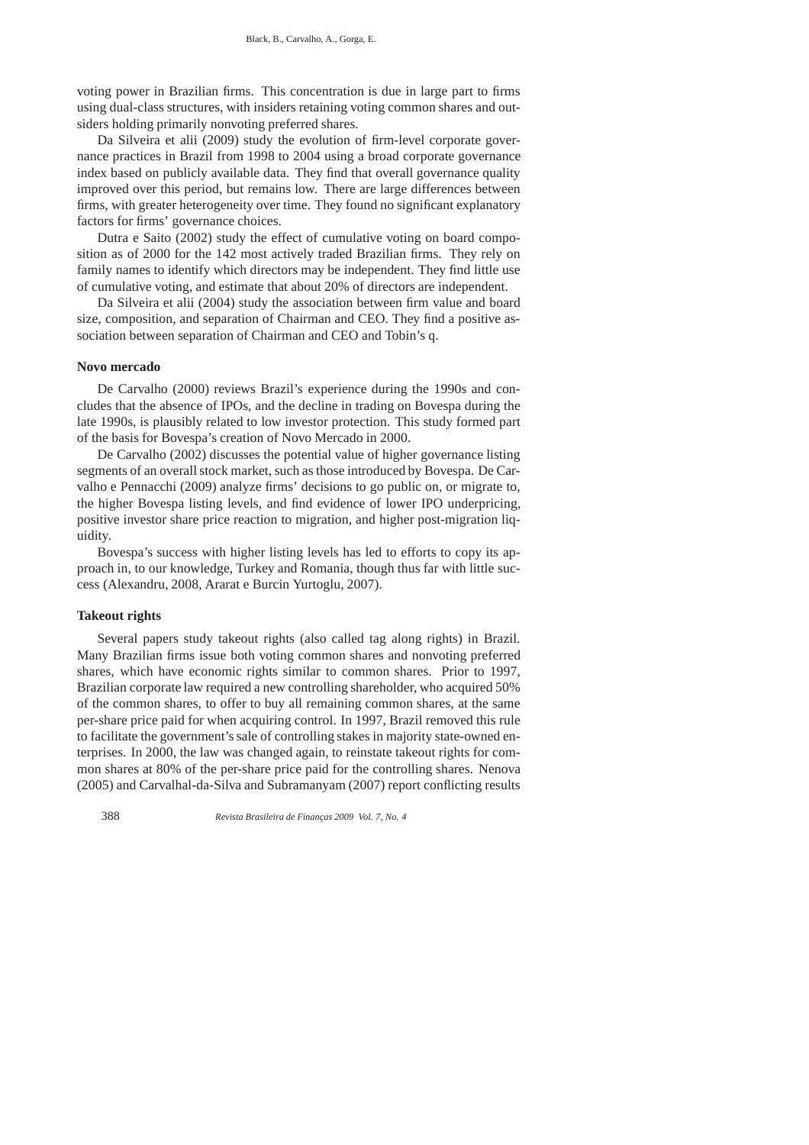voting power in Brazilian firms. This concentration is due in large part to firms using dual-class structures, with insiders retaining voting common shares and outsiders holding primarily nonvoting preferred shares.

Da Silveira et alii (2009) study the evolution of firm-level corporate governance practices in Brazil from 1998 to 2004 using a broad corporate governance index based on publicly available data. They find that overall governance quality improved over this period, but remains low. There are large differences between firms, with greater heterogeneity over time. They found no significant explanatory factors for firms' governance choices.

Dutra e Saito (2002) study the effect of cumulative voting on board composition as of 2000 for the 142 most actively traded Brazilian firms. They rely on family names to identify which directors may be independent. They find little use of cumulative voting, and estimate that about 20% of directors are independent.

Da Silveira et alii (2004) study the association between firm value and board size, composition, and separation of Chairman and CEO. They find a positive association between separation of Chairman and CEO and Tobin's q.

# **Novo mercado**

De Carvalho (2000) reviews Brazil's experience during the 1990s and concludes that the absence of IPOs, and the decline in trading on Bovespa during the late 1990s, is plausibly related to low investor protection. This study formed part of the basis for Bovespa's creation of Novo Mercado in 2000.

De Carvalho (2002) discusses the potential value of higher governance listing segments of an overall stock market, such as those introduced by Bovespa. De Carvalho e Pennacchi (2009) analyze firms' decisions to go public on, or migrate to, the higher Bovespa listing levels, and find evidence of lower IPO underpricing, positive investor share price reaction to migration, and higher post-migration liquidity.

Bovespa's success with higher listing levels has led to efforts to copy its approach in, to our knowledge, Turkey and Romania, though thus far with little success (Alexandru, 2008, Ararat e Burcin Yurtoglu, 2007).

# **Takeout rights**

Several papers study takeout rights (also called tag along rights) in Brazil. Many Brazilian firms issue both voting common shares and nonvoting preferred shares, which have economic rights similar to common shares. Prior to 1997, Brazilian corporate law required a new controlling shareholder, who acquired 50% of the common shares, to offer to buy all remaining common shares, at the same per-share price paid for when acquiring control. In 1997, Brazil removed this rule to facilitate the government's sale of controlling stakes in majority state-owned enterprises. In 2000, the law was changed again, to reinstate takeout rights for common shares at 80% of the per-share price paid for the controlling shares. Nenova (2005) and Carvalhal-da-Silva and Subramanyam (2007) report conflicting results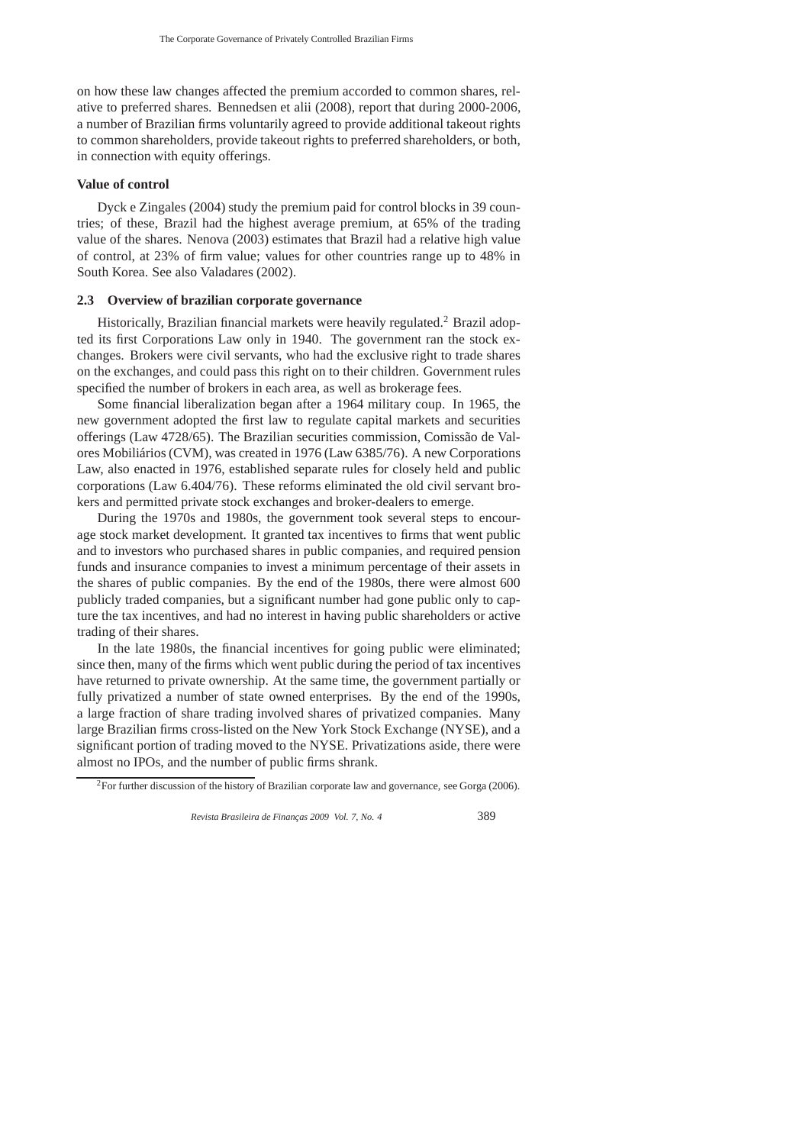on how these law changes affected the premium accorded to common shares, relative to preferred shares. Bennedsen et alii (2008), report that during 2000-2006, a number of Brazilian firms voluntarily agreed to provide additional takeout rights to common shareholders, provide takeout rights to preferred shareholders, or both, in connection with equity offerings.

# **Value of control**

Dyck e Zingales (2004) study the premium paid for control blocks in 39 countries; of these, Brazil had the highest average premium, at 65% of the trading value of the shares. Nenova (2003) estimates that Brazil had a relative high value of control, at 23% of firm value; values for other countries range up to 48% in South Korea. See also Valadares (2002).

### **2.3 Overview of brazilian corporate governance**

Historically, Brazilian financial markets were heavily regulated.<sup>2</sup> Brazil adopted its first Corporations Law only in 1940. The government ran the stock exchanges. Brokers were civil servants, who had the exclusive right to trade shares on the exchanges, and could pass this right on to their children. Government rules specified the number of brokers in each area, as well as brokerage fees.

Some financial liberalization began after a 1964 military coup. In 1965, the new government adopted the first law to regulate capital markets and securities offerings (Law 4728/65). The Brazilian securities commission, Comissão de Valores Mobiliários (CVM), was created in 1976 (Law 6385/76). A new Corporations Law, also enacted in 1976, established separate rules for closely held and public corporations (Law 6.404/76). These reforms eliminated the old civil servant brokers and permitted private stock exchanges and broker-dealers to emerge.

During the 1970s and 1980s, the government took several steps to encourage stock market development. It granted tax incentives to firms that went public and to investors who purchased shares in public companies, and required pension funds and insurance companies to invest a minimum percentage of their assets in the shares of public companies. By the end of the 1980s, there were almost 600 publicly traded companies, but a significant number had gone public only to capture the tax incentives, and had no interest in having public shareholders or active trading of their shares.

In the late 1980s, the financial incentives for going public were eliminated; since then, many of the firms which went public during the period of tax incentives have returned to private ownership. At the same time, the government partially or fully privatized a number of state owned enterprises. By the end of the 1990s, a large fraction of share trading involved shares of privatized companies. Many large Brazilian firms cross-listed on the New York Stock Exchange (NYSE), and a significant portion of trading moved to the NYSE. Privatizations aside, there were almost no IPOs, and the number of public firms shrank.

<sup>&</sup>lt;sup>2</sup>For further discussion of the history of Brazilian corporate law and governance, see Gorga (2006).

*Revista Brasileira de Finanças 2009 Vol. 7, No. 4* 389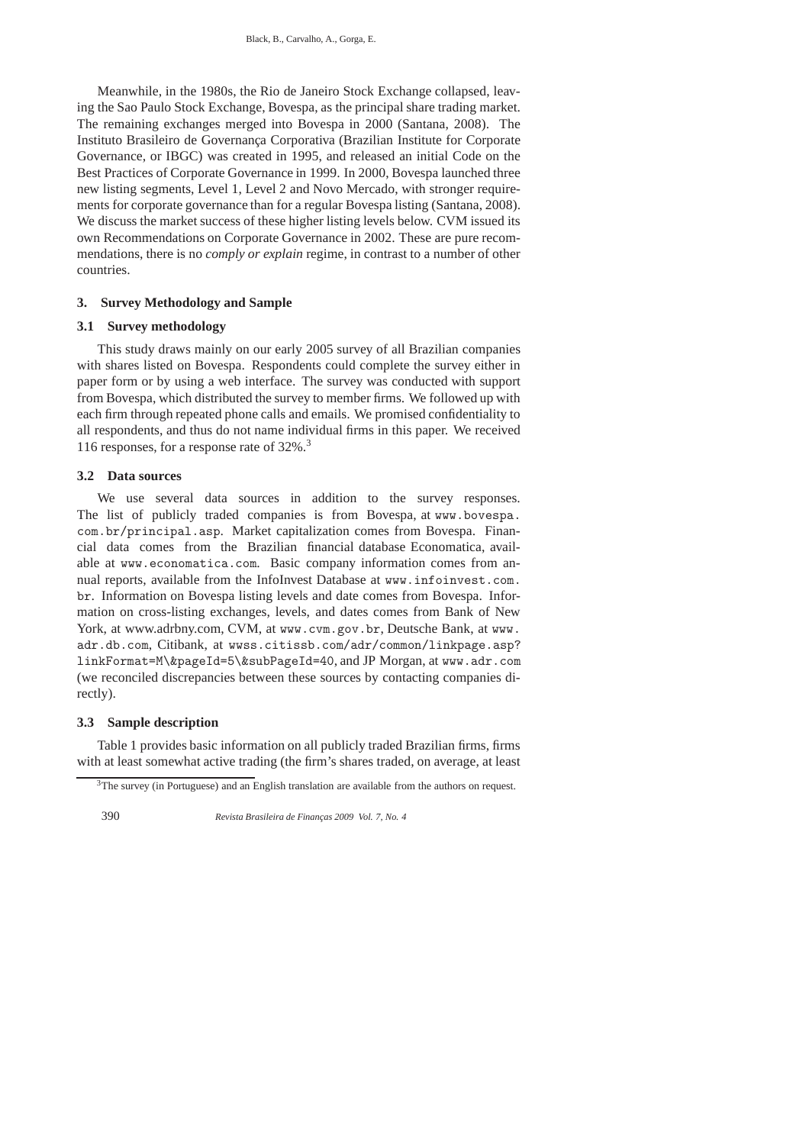Meanwhile, in the 1980s, the Rio de Janeiro Stock Exchange collapsed, leaving the Sao Paulo Stock Exchange, Bovespa, as the principal share trading market. The remaining exchanges merged into Bovespa in 2000 (Santana, 2008). The Instituto Brasileiro de Governança Corporativa (Brazilian Institute for Corporate Governance, or IBGC) was created in 1995, and released an initial Code on the Best Practices of Corporate Governance in 1999. In 2000, Bovespa launched three new listing segments, Level 1, Level 2 and Novo Mercado, with stronger requirements for corporate governance than for a regular Bovespa listing (Santana, 2008). We discuss the market success of these higher listing levels below. CVM issued its own Recommendations on Corporate Governance in 2002. These are pure recommendations, there is no *comply or explain* regime, in contrast to a number of other countries.

# **3. Survey Methodology and Sample**

### **3.1 Survey methodology**

This study draws mainly on our early 2005 survey of all Brazilian companies with shares listed on Bovespa. Respondents could complete the survey either in paper form or by using a web interface. The survey was conducted with support from Bovespa, which distributed the survey to member firms. We followed up with each firm through repeated phone calls and emails. We promised confidentiality to all respondents, and thus do not name individual firms in this paper. We received 116 responses, for a response rate of 32%.<sup>3</sup>

### **3.2 Data sources**

We use several data sources in addition to the survey responses. The list of publicly traded companies is from Bovespa, at www.bovespa. com.br/principal.asp. Market capitalization comes from Bovespa. Financial data comes from the Brazilian financial database Economatica, available at www.economatica.com. Basic company information comes from annual reports, available from the InfoInvest Database at www.infoinvest.com. br. Information on Bovespa listing levels and date comes from Bovespa. Information on cross-listing exchanges, levels, and dates comes from Bank of New York, at www.adrbny.com, CVM, at www.cvm.gov.br, Deutsche Bank, at www. adr.db.com, Citibank, at wwss.citissb.com/adr/common/linkpage.asp? linkFormat=M\&pageId=5\&subPageId=40, and JP Morgan, at www.adr.com (we reconciled discrepancies between these sources by contacting companies directly).

# **3.3 Sample description**

Table 1 provides basic information on all publicly traded Brazilian firms, firms with at least somewhat active trading (the firm's shares traded, on average, at least

 $3$ The survey (in Portuguese) and an English translation are available from the authors on request.

<sup>390</sup> *Revista Brasileira de Finanças 2009 Vol. 7, No. 4*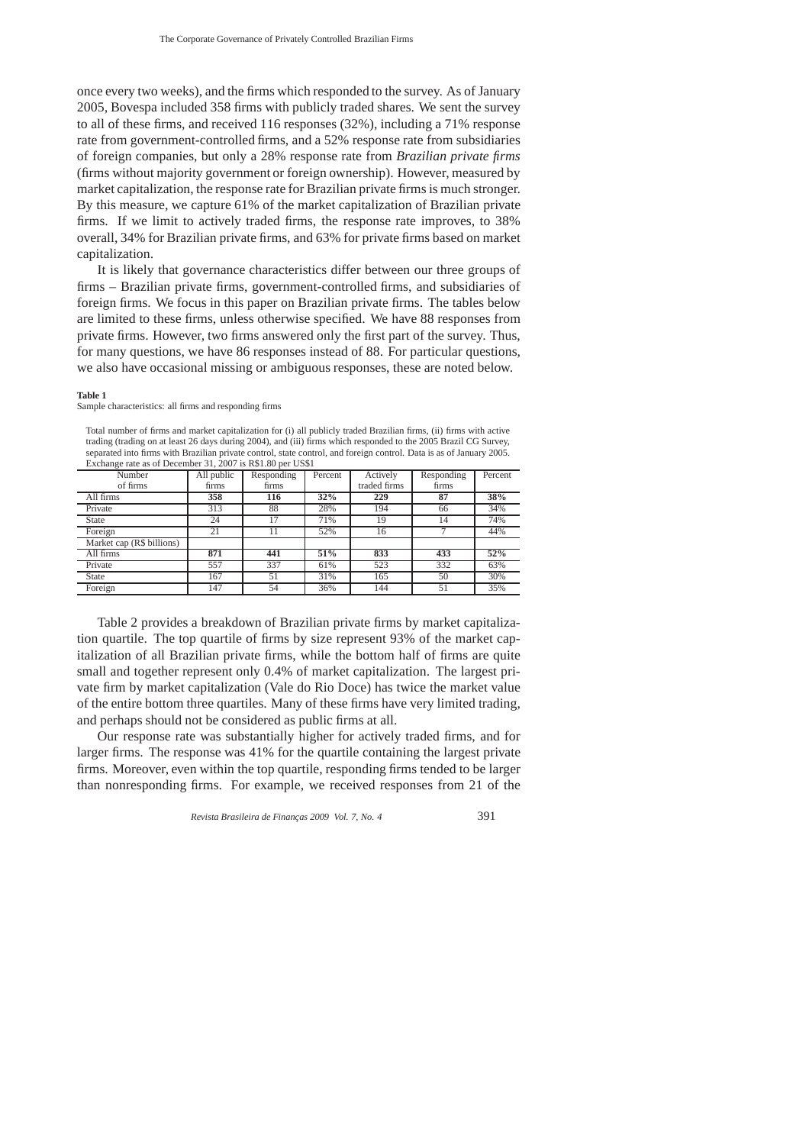once every two weeks), and the firms which responded to the survey. As of January 2005, Bovespa included 358 firms with publicly traded shares. We sent the survey to all of these firms, and received 116 responses (32%), including a 71% response rate from government-controlled firms, and a 52% response rate from subsidiaries of foreign companies, but only a 28% response rate from *Brazilian private firms* (firms without majority government or foreign ownership). However, measured by market capitalization, the response rate for Brazilian private firms is much stronger. By this measure, we capture 61% of the market capitalization of Brazilian private firms. If we limit to actively traded firms, the response rate improves, to 38% overall, 34% for Brazilian private firms, and 63% for private firms based on market capitalization.

It is likely that governance characteristics differ between our three groups of firms – Brazilian private firms, government-controlled firms, and subsidiaries of foreign firms. We focus in this paper on Brazilian private firms. The tables below are limited to these firms, unless otherwise specified. We have 88 responses from private firms. However, two firms answered only the first part of the survey. Thus, for many questions, we have 86 responses instead of 88. For particular questions, we also have occasional missing or ambiguous responses, these are noted below.

#### **Table 1**

Sample characteristics: all firms and responding firms

Total number of firms and market capitalization for (i) all publicly traded Brazilian firms, (ii) firms with active trading (trading on at least 26 days during 2004), and (iii) firms which responded to the 2005 Brazil CG Survey, separated into firms with Brazilian private control, state control, and foreign control. Data is as of January 2005. Exchange rate as of December 31, 2007 is R\$1.80 per US\$1

| Number                    | All public | Responding | Percent | Actively     | Responding      | Percent |
|---------------------------|------------|------------|---------|--------------|-----------------|---------|
| of firms                  | firms      | firms      |         | traded firms | firms           |         |
| All firms                 | 358        | 116        | 32%     | 229          | $\overline{8}7$ | 38%     |
| Private                   | 313        | 88         | 28%     | 194          | 66              | 34%     |
| <b>State</b>              | 24         | 17         | 71%     | 19           | 14              | 74%     |
| Foreign                   | 21         |            | 52%     | 16           |                 | 44%     |
| Market cap (R\$ billions) |            |            |         |              |                 |         |
| All firms                 | 871        | 441        | 51%     | 833          | 433             | 52%     |
| Private                   | 557        | 337        | 61%     | 523          | 332             | 63%     |
| <b>State</b>              | 167        | 51         | 31%     | 165          | 50              | 30%     |
| Foreign                   | 147        | 54         | 36%     | 144          | 51              | 35%     |

Table 2 provides a breakdown of Brazilian private firms by market capitalization quartile. The top quartile of firms by size represent 93% of the market capitalization of all Brazilian private firms, while the bottom half of firms are quite small and together represent only 0.4% of market capitalization. The largest private firm by market capitalization (Vale do Rio Doce) has twice the market value of the entire bottom three quartiles. Many of these firms have very limited trading, and perhaps should not be considered as public firms at all.

Our response rate was substantially higher for actively traded firms, and for larger firms. The response was 41% for the quartile containing the largest private firms. Moreover, even within the top quartile, responding firms tended to be larger than nonresponding firms. For example, we received responses from 21 of the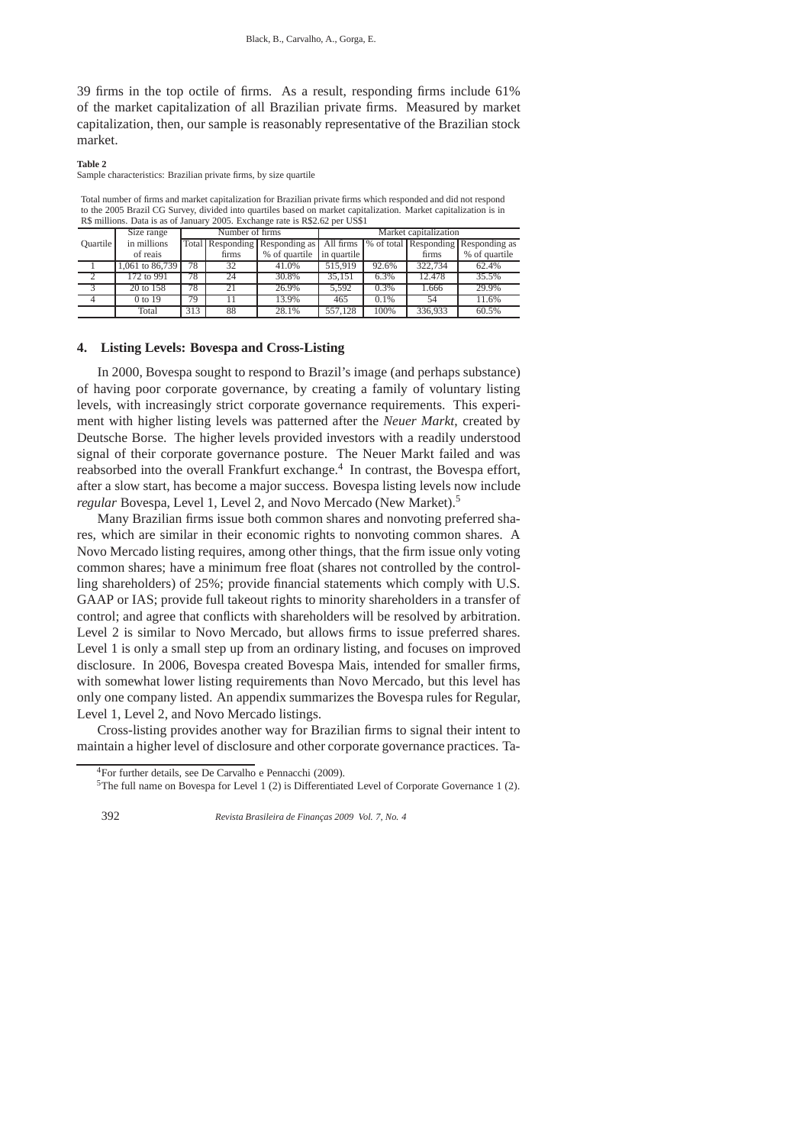39 firms in the top octile of firms. As a result, responding firms include 61% of the market capitalization of all Brazilian private firms. Measured by market capitalization, then, our sample is reasonably representative of the Brazilian stock market.

#### **Table 2**

Sample characteristics: Brazilian private firms, by size quartile

Total number of firms and market capitalization for Brazilian private firms which responded and did not respond to the 2005 Brazil CG Survey, divided into quartiles based on market capitalization. Market capitalization is in R\$ millions. Data is as of January 2005. Exchange rate is R\$2.62 per US\$1

|          | Size range                      | Number of firms |       |                                | Market capitalization |       |         |                                      |
|----------|---------------------------------|-----------------|-------|--------------------------------|-----------------------|-------|---------|--------------------------------------|
| Quartile | in millions                     |                 |       | Total Responding Responding as | All firms             |       |         | 1% of total Responding Responding as |
|          | of reais                        |                 | firms | % of quartile                  | in quartile           |       | firms   | % of quartile                        |
|          | 1,061 to 86,739                 | 78              | 32    | 41.0%                          | 515.919               | 92.6% | 322,734 | 62.4%                                |
|          | $\frac{172 \text{ to } 991}{2}$ | 78              | 24    | 30.8%                          | 35.151                | 6.3%  | 12.478  | 35.5%                                |
|          | 20 to 158                       | 78              | 21    | 26.9%                          | 5.592                 | 0.3%  | 1.666   | $29.9\%$                             |
| 4        | $0$ to 19                       | 79              | 11    | 13.9%                          | 465                   | 0.1%  | 54      | 11.6%                                |
|          | Total                           | 313             | 88    | 28.1%                          | 557.128               | 100%  | 336,933 | 60.5%                                |

### **4. Listing Levels: Bovespa and Cross-Listing**

In 2000, Bovespa sought to respond to Brazil's image (and perhaps substance) of having poor corporate governance, by creating a family of voluntary listing levels, with increasingly strict corporate governance requirements. This experiment with higher listing levels was patterned after the *Neuer Markt*, created by Deutsche Borse. The higher levels provided investors with a readily understood signal of their corporate governance posture. The Neuer Markt failed and was reabsorbed into the overall Frankfurt exchange.<sup>4</sup> In contrast, the Bovespa effort, after a slow start, has become a major success. Bovespa listing levels now include *regular* Bovespa, Level 1, Level 2, and Novo Mercado (New Market).<sup>5</sup>

Many Brazilian firms issue both common shares and nonvoting preferred shares, which are similar in their economic rights to nonvoting common shares. A Novo Mercado listing requires, among other things, that the firm issue only voting common shares; have a minimum free float (shares not controlled by the controlling shareholders) of 25%; provide financial statements which comply with U.S. GAAP or IAS; provide full takeout rights to minority shareholders in a transfer of control; and agree that conflicts with shareholders will be resolved by arbitration. Level 2 is similar to Novo Mercado, but allows firms to issue preferred shares. Level 1 is only a small step up from an ordinary listing, and focuses on improved disclosure. In 2006, Bovespa created Bovespa Mais, intended for smaller firms, with somewhat lower listing requirements than Novo Mercado, but this level has only one company listed. An appendix summarizes the Bovespa rules for Regular, Level 1, Level 2, and Novo Mercado listings.

Cross-listing provides another way for Brazilian firms to signal their intent to maintain a higher level of disclosure and other corporate governance practices. Ta-

<sup>4</sup>For further details, see De Carvalho e Pennacchi (2009).

<sup>5</sup>The full name on Bovespa for Level 1 (2) is Differentiated Level of Corporate Governance 1 (2).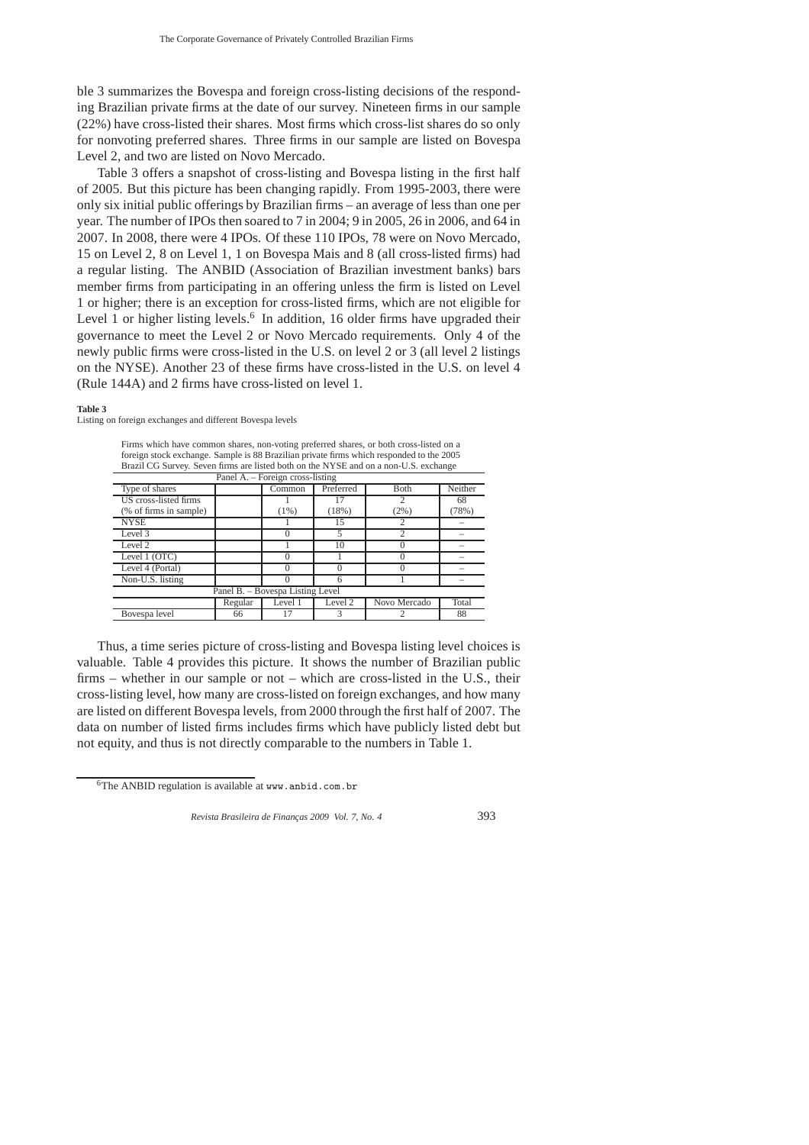ble 3 summarizes the Bovespa and foreign cross-listing decisions of the responding Brazilian private firms at the date of our survey. Nineteen firms in our sample (22%) have cross-listed their shares. Most firms which cross-list shares do so only for nonvoting preferred shares. Three firms in our sample are listed on Bovespa Level 2, and two are listed on Novo Mercado.

Table 3 offers a snapshot of cross-listing and Bovespa listing in the first half of 2005. But this picture has been changing rapidly. From 1995-2003, there were only six initial public offerings by Brazilian firms – an average of less than one per year. The number of IPOs then soared to 7 in 2004; 9 in 2005, 26 in 2006, and 64 in 2007. In 2008, there were 4 IPOs. Of these 110 IPOs, 78 were on Novo Mercado, 15 on Level 2, 8 on Level 1, 1 on Bovespa Mais and 8 (all cross-listed firms) had a regular listing. The ANBID (Association of Brazilian investment banks) bars member firms from participating in an offering unless the firm is listed on Level 1 or higher; there is an exception for cross-listed firms, which are not eligible for Level 1 or higher listing levels.<sup>6</sup> In addition, 16 older firms have upgraded their governance to meet the Level 2 or Novo Mercado requirements. Only 4 of the newly public firms were cross-listed in the U.S. on level 2 or 3 (all level 2 listings on the NYSE). Another 23 of these firms have cross-listed in the U.S. on level 4 (Rule 144A) and 2 firms have cross-listed on level 1.

### **Table 3**

Listing on foreign exchanges and different Bovespa levels

Firms which have common shares, non-voting preferred shares, or both cross-listed on a foreign stock exchange. Sample is 88 Brazilian private firms which responded to the 2005 Brazil CG Survey. Seven firms are listed both on the NYSE and on a non-U.S. exchange

| Panel A. – Foreign cross-listing                       |    |        |           |              |         |  |  |  |
|--------------------------------------------------------|----|--------|-----------|--------------|---------|--|--|--|
| Type of shares                                         |    | Common | Preferred | <b>B</b> oth | Neither |  |  |  |
| US cross-listed firms                                  |    |        |           |              | 68      |  |  |  |
| (% of firms in sample)                                 |    | (1%)   | (18%)     | (2%)         | (78%)   |  |  |  |
| <b>NYSE</b>                                            |    |        | 15        | 7            |         |  |  |  |
| Level 3                                                |    |        | 5         | C            |         |  |  |  |
| Level 2                                                |    |        | 10        |              |         |  |  |  |
| Level 1 (OTC)                                          |    |        |           |              |         |  |  |  |
| Level 4 (Portal)                                       |    |        |           |              | -       |  |  |  |
| Non-U.S. listing                                       |    |        | 6         |              | -       |  |  |  |
| Panel B. - Bovespa Listing Level                       |    |        |           |              |         |  |  |  |
| Novo Mercado<br>Level 2<br>Regular<br>Level 1<br>Total |    |        |           |              |         |  |  |  |
| Bovespa level                                          | 66 |        |           |              | 88      |  |  |  |

Thus, a time series picture of cross-listing and Bovespa listing level choices is valuable. Table 4 provides this picture. It shows the number of Brazilian public firms – whether in our sample or not – which are cross-listed in the U.S., their cross-listing level, how many are cross-listed on foreign exchanges, and how many are listed on different Bovespa levels, from 2000 through the first half of 2007. The data on number of listed firms includes firms which have publicly listed debt but not equity, and thus is not directly comparable to the numbers in Table 1.

 $6$ The ANBID regulation is available at www.anbid.com.br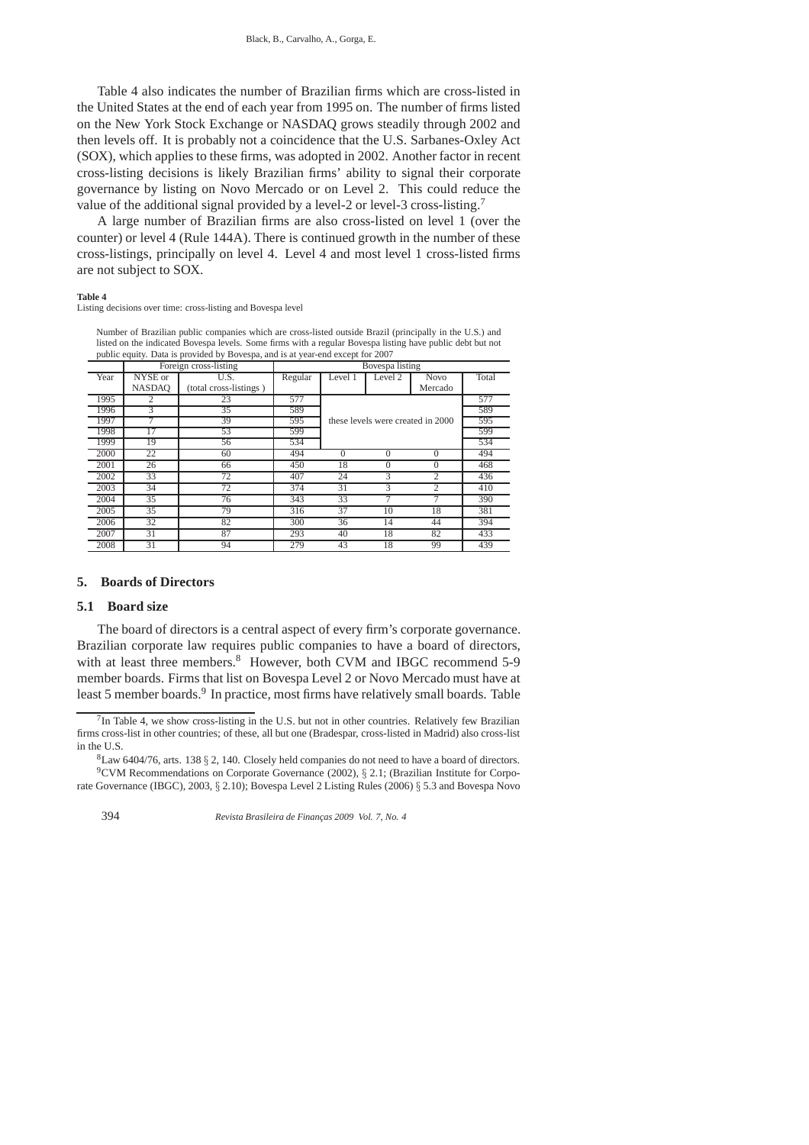Table 4 also indicates the number of Brazilian firms which are cross-listed in the United States at the end of each year from 1995 on. The number of firms listed on the New York Stock Exchange or NASDAQ grows steadily through 2002 and then levels off. It is probably not a coincidence that the U.S. Sarbanes-Oxley Act (SOX), which applies to these firms, was adopted in 2002. Another factor in recent cross-listing decisions is likely Brazilian firms' ability to signal their corporate governance by listing on Novo Mercado or on Level 2. This could reduce the value of the additional signal provided by a level-2 or level-3 cross-listing.<sup>7</sup>

A large number of Brazilian firms are also cross-listed on level 1 (over the counter) or level 4 (Rule 144A). There is continued growth in the number of these cross-listings, principally on level 4. Level 4 and most level 1 cross-listed firms are not subject to SOX.

#### **Table 4**

Listing decisions over time: cross-listing and Bovespa level

Number of Brazilian public companies which are cross-listed outside Brazil (principally in the U.S.) and listed on the indicated Bovespa levels. Some firms with a regular Bovespa listing have public debt but not public equity. Data is provided by Bovespa, and is at year-end except for 2007

|      |               | Foreign cross-listing  |         | Bovespa listing |                                   |                |       |
|------|---------------|------------------------|---------|-----------------|-----------------------------------|----------------|-------|
| Year | NYSE or       | U.S.                   | Regular | Level 1         | Level 2                           | <b>Novo</b>    | Total |
|      | <b>NASDAO</b> | (total cross-listings) |         |                 |                                   | Mercado        |       |
| 1995 | 2             | 23                     | 577     |                 |                                   |                | 577   |
| 1996 | 3             | 35                     | 589     |                 |                                   |                | 589   |
| 1997 |               | 39                     | 595     |                 | these levels were created in 2000 |                | 595   |
| 1998 | 17            | 53                     | 599     |                 |                                   |                | 599   |
| 1999 | 19            | 56                     | 534     |                 | 534                               |                |       |
| 2000 | 22            | 60                     | 494     | $\Omega$        | $\Omega$                          | $\Omega$       | 494   |
| 2001 | 26            | 66                     | 450     | 18              | $\Omega$                          | $\Omega$       | 468   |
| 2002 | 33            | 72                     | 407     | 24              | 3                                 | 2              | 436   |
| 2003 | 34            | 72                     | 374     | 31              | 3                                 | $\overline{c}$ | 410   |
| 2004 | 35            | 76                     | 343     | 33              |                                   |                | 390   |
| 2005 | 35            | 79                     | 316     | 37              | 10                                | 18             | 381   |
| 2006 | 32            | 82                     | 300     | 36              | 14                                | 44             | 394   |
| 2007 | 31            | 87                     | 293     | 40              | 18                                | 82             | 433   |
| 2008 | 31            | 94                     | 279     | 43              | 18                                | 99             | 439   |

# **5. Boards of Directors**

### **5.1 Board size**

The board of directors is a central aspect of every firm's corporate governance. Brazilian corporate law requires public companies to have a board of directors, with at least three members.<sup>8</sup> However, both CVM and IBGC recommend 5-9 member boards. Firms that list on Bovespa Level 2 or Novo Mercado must have at least 5 member boards.<sup>9</sup> In practice, most firms have relatively small boards. Table

<sup>8</sup>Law 6404/76, arts. 138 § 2, 140. Closely held companies do not need to have a board of directors. <sup>9</sup>CVM Recommendations on Corporate Governance (2002), § 2.1; (Brazilian Institute for Corporate Governance (IBGC), 2003, § 2.10); Bovespa Level 2 Listing Rules (2006) § 5.3 and Bovespa Novo



<sup>&</sup>lt;sup>7</sup>In Table 4, we show cross-listing in the U.S. but not in other countries. Relatively few Brazilian firms cross-list in other countries; of these, all but one (Bradespar, cross-listed in Madrid) also cross-list in the U.S.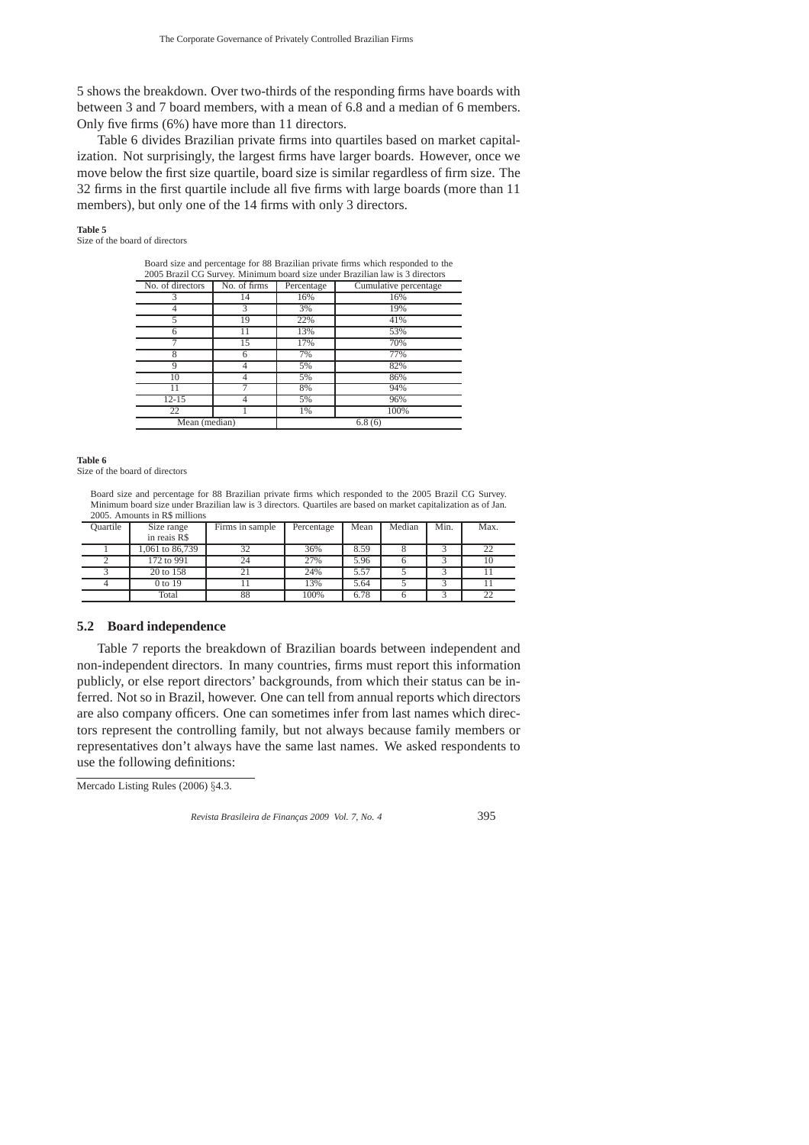5 shows the breakdown. Over two-thirds of the responding firms have boards with between 3 and 7 board members, with a mean of 6.8 and a median of 6 members. Only five firms (6%) have more than 11 directors.

Table 6 divides Brazilian private firms into quartiles based on market capitalization. Not surprisingly, the largest firms have larger boards. However, once we move below the first size quartile, board size is similar regardless of firm size. The 32 firms in the first quartile include all five firms with large boards (more than 11 members), but only one of the 14 firms with only 3 directors.

### **Table 5**

Size of the board of directors

| Board size and percentage for 88 Brazilian private firms which responded to the<br>2005 Brazil CG Survey. Minimum board size under Brazilian law is 3 directors |              |            |                       |  |  |  |  |  |
|-----------------------------------------------------------------------------------------------------------------------------------------------------------------|--------------|------------|-----------------------|--|--|--|--|--|
| No. of directors                                                                                                                                                | No. of firms | Percentage | Cumulative percentage |  |  |  |  |  |
|                                                                                                                                                                 | 14           | 16%        | 16%                   |  |  |  |  |  |
|                                                                                                                                                                 |              | 3%         | 19%                   |  |  |  |  |  |
| 5                                                                                                                                                               | 19           | 22%        | 41%                   |  |  |  |  |  |
| 6                                                                                                                                                               |              | 13%        | 53%                   |  |  |  |  |  |
|                                                                                                                                                                 | 15           | 17%        | 70%                   |  |  |  |  |  |
| 8                                                                                                                                                               | 6            | 7%         | 77%                   |  |  |  |  |  |
| 9                                                                                                                                                               |              | 5%         | 82%                   |  |  |  |  |  |
| 10                                                                                                                                                              |              | 5%         | 86%                   |  |  |  |  |  |
|                                                                                                                                                                 |              | 8%         | 94%                   |  |  |  |  |  |
| $12 - 15$                                                                                                                                                       |              | 5%         | 96%                   |  |  |  |  |  |
| 22                                                                                                                                                              |              | 1%         | 100%                  |  |  |  |  |  |
| Mean (median)                                                                                                                                                   |              | 6.8(6)     |                       |  |  |  |  |  |

#### **Table 6**

Size of the board of directors

Board size and percentage for 88 Brazilian private firms which responded to the 2005 Brazil CG Survey. Minimum board size under Brazilian law is 3 directors. Quartiles are based on market capitalization as of Jan. 2005. Amounts in R\$ millions

| Ouartile | Size range      | Firms in sample | Percentage | Mean | Median | Min. | Max. |
|----------|-----------------|-----------------|------------|------|--------|------|------|
|          | in reais R\$    |                 |            |      |        |      |      |
|          | 1,061 to 86,739 | 32              | 36%        | 8.59 |        |      | 22   |
|          | 172 to 991      | 24              | 27%        | 5.96 |        |      | 10   |
|          | 20 to 158       | 21              | 24%        | 5.57 |        |      |      |
|          | 0 to 19         |                 | 13%        | 5.64 |        |      |      |
|          | Total           | 88              | 100%       | 6.78 |        |      | 22   |

# **5.2 Board independence**

Table 7 reports the breakdown of Brazilian boards between independent and non-independent directors. In many countries, firms must report this information publicly, or else report directors' backgrounds, from which their status can be inferred. Not so in Brazil, however. One can tell from annual reports which directors are also company officers. One can sometimes infer from last names which directors represent the controlling family, but not always because family members or representatives don't always have the same last names. We asked respondents to use the following definitions:

Mercado Listing Rules (2006) §4.3.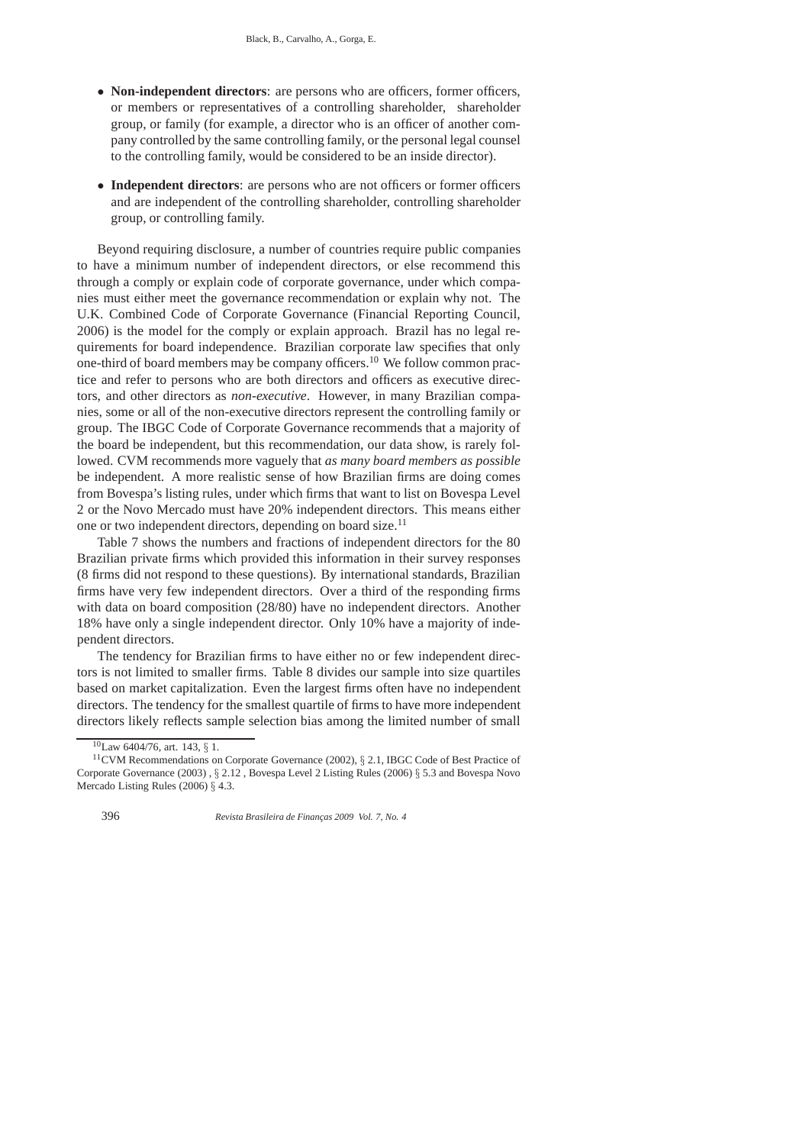- **Non-independent directors**: are persons who are officers, former officers, or members or representatives of a controlling shareholder, shareholder group, or family (for example, a director who is an officer of another company controlled by the same controlling family, or the personal legal counsel to the controlling family, would be considered to be an inside director).
- **Independent directors**: are persons who are not officers or former officers and are independent of the controlling shareholder, controlling shareholder group, or controlling family.

Beyond requiring disclosure, a number of countries require public companies to have a minimum number of independent directors, or else recommend this through a comply or explain code of corporate governance, under which companies must either meet the governance recommendation or explain why not. The U.K. Combined Code of Corporate Governance (Financial Reporting Council, 2006) is the model for the comply or explain approach. Brazil has no legal requirements for board independence. Brazilian corporate law specifies that only one-third of board members may be company officers.<sup>10</sup> We follow common practice and refer to persons who are both directors and officers as executive directors, and other directors as *non-executive*. However, in many Brazilian companies, some or all of the non-executive directors represent the controlling family or group. The IBGC Code of Corporate Governance recommends that a majority of the board be independent, but this recommendation, our data show, is rarely followed. CVM recommends more vaguely that *as many board members as possible* be independent. A more realistic sense of how Brazilian firms are doing comes from Bovespa's listing rules, under which firms that want to list on Bovespa Level 2 or the Novo Mercado must have 20% independent directors. This means either one or two independent directors, depending on board size.<sup>11</sup>

Table 7 shows the numbers and fractions of independent directors for the 80 Brazilian private firms which provided this information in their survey responses (8 firms did not respond to these questions). By international standards, Brazilian firms have very few independent directors. Over a third of the responding firms with data on board composition (28/80) have no independent directors. Another 18% have only a single independent director. Only 10% have a majority of independent directors.

The tendency for Brazilian firms to have either no or few independent directors is not limited to smaller firms. Table 8 divides our sample into size quartiles based on market capitalization. Even the largest firms often have no independent directors. The tendency for the smallest quartile of firms to have more independent directors likely reflects sample selection bias among the limited number of small

<sup>10</sup>Law 6404/76, art. 143, § 1.

<sup>&</sup>lt;sup>11</sup>CVM Recommendations on Corporate Governance (2002), § 2.1, IBGC Code of Best Practice of Corporate Governance (2003) , § 2.12 , Bovespa Level 2 Listing Rules (2006) § 5.3 and Bovespa Novo Mercado Listing Rules (2006) § 4.3.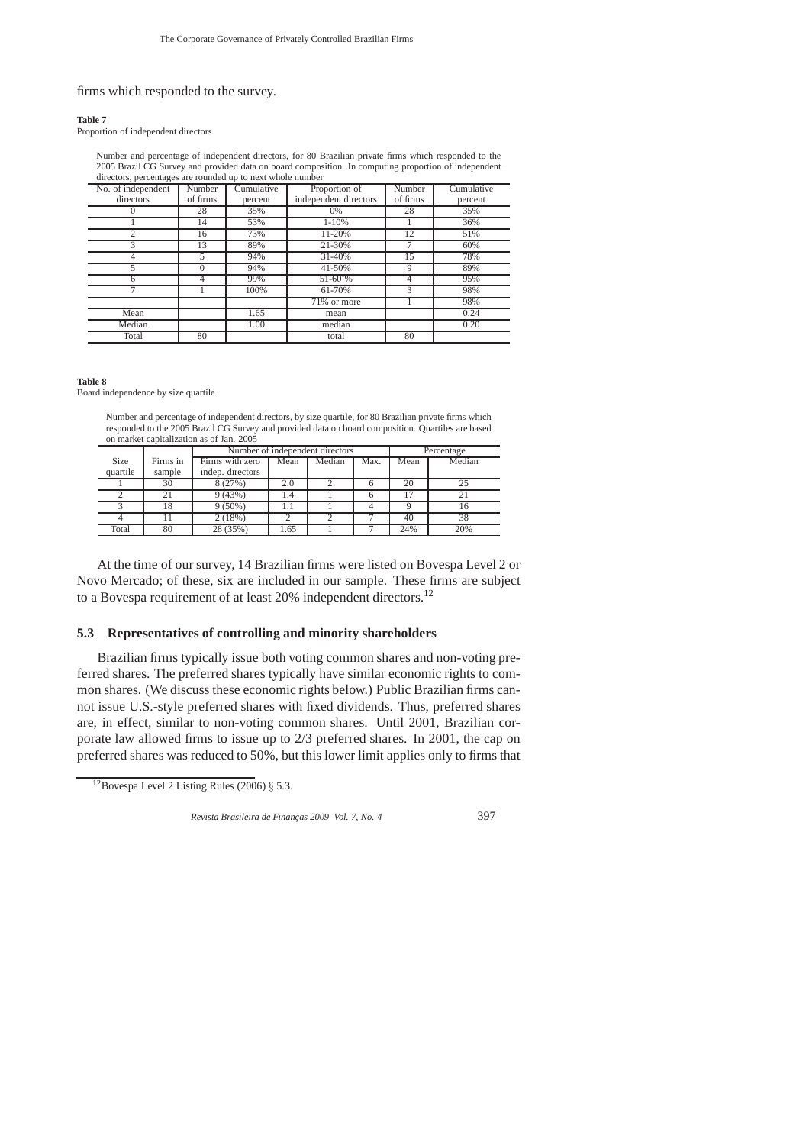### firms which responded to the survey.

#### **Table 7**

Proportion of independent directors

Number and percentage of independent directors, for 80 Brazilian private firms which responded to the 2005 Brazil CG Survey and provided data on board composition. In computing proportion of independent ntages are rounded up to next whole number

| ancetors, percentages are rounded up to next whole humber |          |            |                       |          |            |  |  |  |  |
|-----------------------------------------------------------|----------|------------|-----------------------|----------|------------|--|--|--|--|
| No. of independent                                        | Number   | Cumulative | Proportion of         | Number   | Cumulative |  |  |  |  |
| directors                                                 | of firms | percent    | independent directors | of firms | percent    |  |  |  |  |
| $\Omega$                                                  | 28       | 35%        | 0%                    | 28       | 35%        |  |  |  |  |
|                                                           | 14       | 53%        | $1 - 10%$             |          | 36%        |  |  |  |  |
| $\overline{c}$                                            | 16       | 73%        | 11-20%                | 12       | 51%        |  |  |  |  |
| 3                                                         | 13       | 89%        | 21-30%                |          | 60%        |  |  |  |  |
| 4                                                         | 5        | 94%        | 31-40%                | 15       | 78%        |  |  |  |  |
| 5                                                         | $\theta$ | 94%        | 41-50%                | Q        | 89%        |  |  |  |  |
| 6                                                         | 4        | 99%        | 51-60%                | 4        | 95%        |  |  |  |  |
|                                                           |          | 100%       | 61-70%                | 3        | 98%        |  |  |  |  |
|                                                           |          |            | 71% or more           |          | 98%        |  |  |  |  |
| Mean                                                      |          | 1.65       | mean                  |          | 0.24       |  |  |  |  |
| Median                                                    |          | 1.00       | median                |          | 0.20       |  |  |  |  |
| Total                                                     | 80       |            | total                 | 80       |            |  |  |  |  |

# **Table 8**

Board independence by size quartile

Number and percentage of independent directors, by size quartile, for 80 Brazilian private firms which responded to the 2005 Brazil CG Survey and provided data on board composition. Quartiles are based on market capitalization as of Jan. 2005

|          |          | Number of independent directors |      | Percentage |      |      |        |
|----------|----------|---------------------------------|------|------------|------|------|--------|
| Size     | Firms in | Firms with zero                 | Mean | Median     | Max. | Mean | Median |
| quartile | sample   | indep. directors                |      |            |      |      |        |
|          | 30       | 8(27%)                          | 2.0  |            |      | 20   | 25     |
|          |          | 9(43%)                          | 1.4  |            |      |      |        |
|          | 18       | $9(50\%)$                       |      |            |      |      | 16     |
|          |          | 2(18%)                          |      |            |      | 40   | 38     |
| Total    | 80       | 28 (35%)                        | .65  |            |      | 24%  | 20%    |

At the time of our survey, 14 Brazilian firms were listed on Bovespa Level 2 or Novo Mercado; of these, six are included in our sample. These firms are subject to a Bovespa requirement of at least 20% independent directors.<sup>12</sup>

# **5.3 Representatives of controlling and minority shareholders**

Brazilian firms typically issue both voting common shares and non-voting preferred shares. The preferred shares typically have similar economic rights to common shares. (We discuss these economic rights below.) Public Brazilian firms cannot issue U.S.-style preferred shares with fixed dividends. Thus, preferred shares are, in effect, similar to non-voting common shares. Until 2001, Brazilian corporate law allowed firms to issue up to 2/3 preferred shares. In 2001, the cap on preferred shares was reduced to 50%, but this lower limit applies only to firms that

<sup>&</sup>lt;sup>12</sup>Bovespa Level 2 Listing Rules (2006)  $\S$  5.3.

*Revista Brasileira de Finanças 2009 Vol. 7, No. 4* 397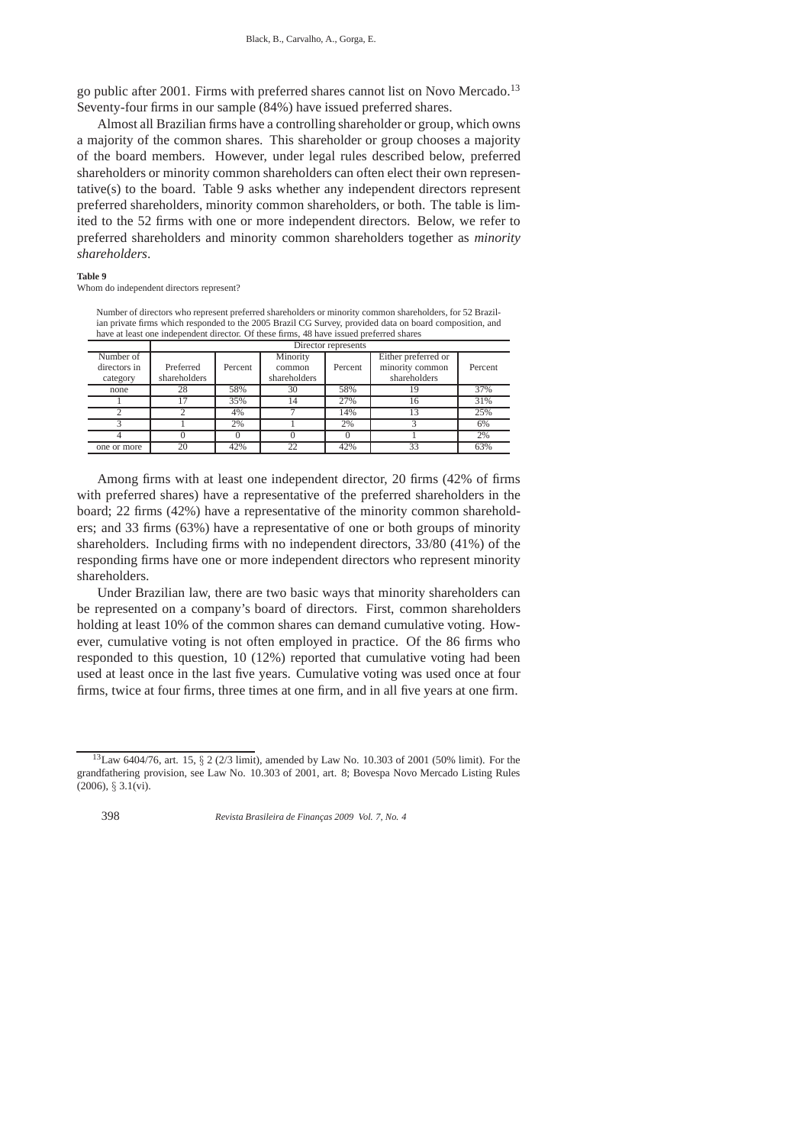go public after 2001. Firms with preferred shares cannot list on Novo Mercado.<sup>13</sup> Seventy-four firms in our sample (84%) have issued preferred shares.

Almost all Brazilian firms have a controlling shareholder or group, which owns a majority of the common shares. This shareholder or group chooses a majority of the board members. However, under legal rules described below, preferred shareholders or minority common shareholders can often elect their own representative(s) to the board. Table 9 asks whether any independent directors represent preferred shareholders, minority common shareholders, or both. The table is limited to the 52 firms with one or more independent directors. Below, we refer to preferred shareholders and minority common shareholders together as *minority shareholders*.

#### **Table 9**

Whom do independent directors represent?

Number of directors who represent preferred shareholders or minority common shareholders, for 52 Brazilian private firms which responded to the 2005 Brazil CG Survey, provided data on board composition, and have at least one independent director. Of these firms, 48 have issued preferred shares Director represents

| Number of    |              |         | Minority     |         | Either preferred or |         |  |  |  |  |
|--------------|--------------|---------|--------------|---------|---------------------|---------|--|--|--|--|
| directors in | Preferred    | Percent | common       | Percent | minority common     | Percent |  |  |  |  |
| category     | shareholders |         | shareholders |         | shareholders        |         |  |  |  |  |
| none         | 28           | 58%     | 30           | 58%     | ١q                  | 37%     |  |  |  |  |
|              | 17           | 35%     | 14           | 27%     | 16                  | 31%     |  |  |  |  |
|              |              | 4%      |              | 14%     | 13                  | 25%     |  |  |  |  |
|              |              | 2%      |              | 2%      |                     | 6%      |  |  |  |  |
|              |              |         |              |         |                     | 2%      |  |  |  |  |
| one or more  | 20           | 42%     | 22           | 42%     | 33                  | 63%     |  |  |  |  |

Among firms with at least one independent director, 20 firms (42% of firms with preferred shares) have a representative of the preferred shareholders in the board; 22 firms (42%) have a representative of the minority common shareholders; and 33 firms (63%) have a representative of one or both groups of minority shareholders. Including firms with no independent directors, 33/80 (41%) of the responding firms have one or more independent directors who represent minority shareholders.

Under Brazilian law, there are two basic ways that minority shareholders can be represented on a company's board of directors. First, common shareholders holding at least 10% of the common shares can demand cumulative voting. However, cumulative voting is not often employed in practice. Of the 86 firms who responded to this question, 10 (12%) reported that cumulative voting had been used at least once in the last five years. Cumulative voting was used once at four firms, twice at four firms, three times at one firm, and in all five years at one firm.

<sup>13</sup>Law 6404/76, art. 15, § 2 (2/3 limit), amended by Law No. 10.303 of 2001 (50% limit). For the grandfathering provision, see Law No. 10.303 of 2001, art. 8; Bovespa Novo Mercado Listing Rules  $(2006)$ , § 3.1(vi).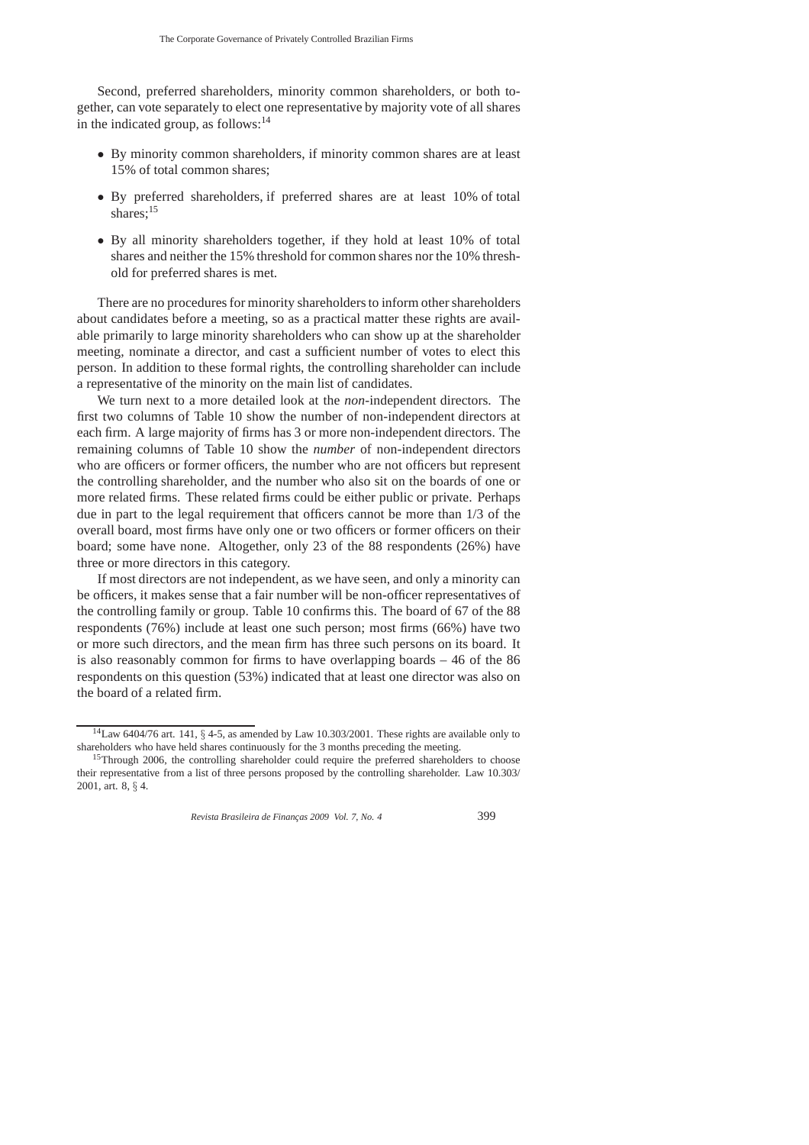Second, preferred shareholders, minority common shareholders, or both together, can vote separately to elect one representative by majority vote of all shares in the indicated group, as follows: $14$ 

- By minority common shareholders, if minority common shares are at least 15% of total common shares;
- By preferred shareholders, if preferred shares are at least 10% of total shares;<sup>15</sup>
- By all minority shareholders together, if they hold at least 10% of total shares and neither the 15% threshold for common shares nor the 10% threshold for preferred shares is met.

There are no procedures for minority shareholders to inform other shareholders about candidates before a meeting, so as a practical matter these rights are available primarily to large minority shareholders who can show up at the shareholder meeting, nominate a director, and cast a sufficient number of votes to elect this person. In addition to these formal rights, the controlling shareholder can include a representative of the minority on the main list of candidates.

We turn next to a more detailed look at the *non*-independent directors. The first two columns of Table 10 show the number of non-independent directors at each firm. A large majority of firms has 3 or more non-independent directors. The remaining columns of Table 10 show the *number* of non-independent directors who are officers or former officers, the number who are not officers but represent the controlling shareholder, and the number who also sit on the boards of one or more related firms. These related firms could be either public or private. Perhaps due in part to the legal requirement that officers cannot be more than 1/3 of the overall board, most firms have only one or two officers or former officers on their board; some have none. Altogether, only 23 of the 88 respondents (26%) have three or more directors in this category.

If most directors are not independent, as we have seen, and only a minority can be officers, it makes sense that a fair number will be non-officer representatives of the controlling family or group. Table 10 confirms this. The board of 67 of the 88 respondents (76%) include at least one such person; most firms (66%) have two or more such directors, and the mean firm has three such persons on its board. It is also reasonably common for firms to have overlapping boards – 46 of the 86 respondents on this question (53%) indicated that at least one director was also on the board of a related firm.

<sup>14</sup>Law 6404/76 art. 141, § 4-5, as amended by Law 10.303/2001. These rights are available only to shareholders who have held shares continuously for the 3 months preceding the meeting.

<sup>&</sup>lt;sup>15</sup>Through 2006, the controlling shareholder could require the preferred shareholders to choose their representative from a list of three persons proposed by the controlling shareholder. Law 10.303/ 2001, art. 8, § 4.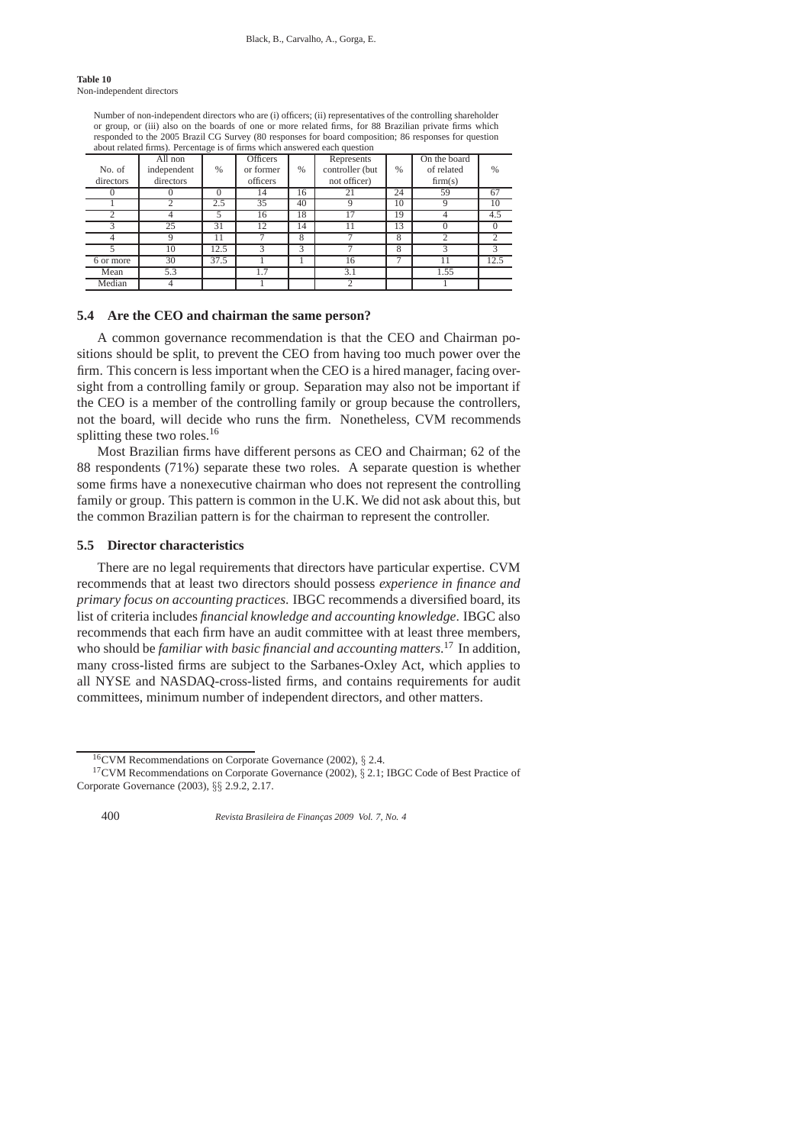### **Table 10** Non-independent directors

Number of non-independent directors who are (i) officers; (ii) representatives of the controlling shareholder or group, or (iii) also on the boards of one or more related firms, for 88 Brazilian private firms which responded to the 2005 Brazil CG Survey (80 responses for board composition; 86 responses for question about related firms). Percentage is of firms which answered each question

|           | about render mind), I ereemage to or mind winen and were each question |          |           |      |                 |                 |              |                |
|-----------|------------------------------------------------------------------------|----------|-----------|------|-----------------|-----------------|--------------|----------------|
|           | All non                                                                |          | Officers  |      | Represents      |                 | On the board |                |
| No. of    | independent                                                            | $\%$     | or former | $\%$ | controller (but | $\frac{0}{0}$   | of related   | %              |
| directors | directors                                                              |          | officers  |      | not officer)    |                 | firm(s)      |                |
|           |                                                                        | $\Omega$ | 14        | 16   | 21              | 24              | 59           | 67             |
|           |                                                                        | 2.5      | 35        | 40   | Q               | 10              |              | 10             |
| ↑         |                                                                        | 5        | 16        | 18   | 17              | 19              |              | 4.5            |
|           | 25                                                                     | 31       | 12        | 14   | 11              | $1\overline{3}$ |              | $\Omega$       |
|           |                                                                        | 11       |           | 8    |                 | 8               |              | $\mathfrak{D}$ |
|           | 10                                                                     | 12.5     | 3         | 3    |                 | 8               |              | 3              |
| 6 or more | 30                                                                     | 37.5     |           |      | 16              |                 |              | 12.5           |
| Mean      | 5.3                                                                    |          | 1.7       |      | 3.1             |                 | 1.55         |                |
| Median    |                                                                        |          |           |      | $\overline{c}$  |                 |              |                |

### **5.4 Are the CEO and chairman the same person?**

A common governance recommendation is that the CEO and Chairman positions should be split, to prevent the CEO from having too much power over the firm. This concern is less important when the CEO is a hired manager, facing oversight from a controlling family or group. Separation may also not be important if the CEO is a member of the controlling family or group because the controllers, not the board, will decide who runs the firm. Nonetheless, CVM recommends splitting these two roles.<sup>16</sup>

Most Brazilian firms have different persons as CEO and Chairman; 62 of the 88 respondents (71%) separate these two roles. A separate question is whether some firms have a nonexecutive chairman who does not represent the controlling family or group. This pattern is common in the U.K. We did not ask about this, but the common Brazilian pattern is for the chairman to represent the controller.

# **5.5 Director characteristics**

There are no legal requirements that directors have particular expertise. CVM recommends that at least two directors should possess *experience in finance and primary focus on accounting practices*. IBGC recommends a diversified board, its list of criteria includes *financial knowledge and accounting knowledge*. IBGC also recommends that each firm have an audit committee with at least three members, who should be *familiar with basic financial and accounting matters*. <sup>17</sup> In addition, many cross-listed firms are subject to the Sarbanes-Oxley Act, which applies to all NYSE and NASDAQ-cross-listed firms, and contains requirements for audit committees, minimum number of independent directors, and other matters.

 $16$ CVM Recommendations on Corporate Governance (2002), § 2.4.

<sup>17</sup>CVM Recommendations on Corporate Governance (2002), § 2.1; IBGC Code of Best Practice of Corporate Governance (2003), §§ 2.9.2, 2.17.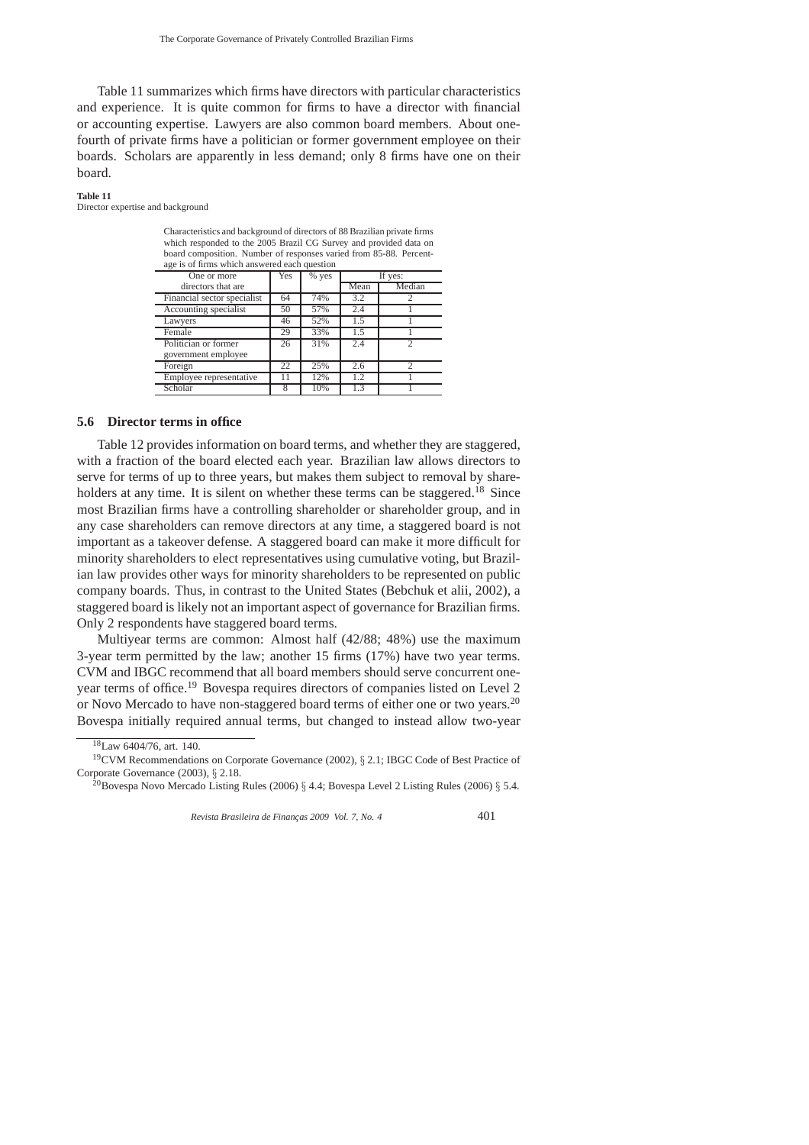Table 11 summarizes which firms have directors with particular characteristics and experience. It is quite common for firms to have a director with financial or accounting expertise. Lawyers are also common board members. About onefourth of private firms have a politician or former government employee on their boards. Scholars are apparently in less demand; only 8 firms have one on their board.

### **Table 11**

Director expertise and background

| which responded to the 2005 Brazil CG Survey and provided data on<br>board composition. Number of responses varied from 85-88. Percent- |                                              |         |      |         |  |  |  |  |  |
|-----------------------------------------------------------------------------------------------------------------------------------------|----------------------------------------------|---------|------|---------|--|--|--|--|--|
|                                                                                                                                         | age is of firms which answered each question |         |      |         |  |  |  |  |  |
| One or more                                                                                                                             | Yes                                          | $%$ yes |      | If yes: |  |  |  |  |  |
| directors that are                                                                                                                      |                                              |         | Mean | Median  |  |  |  |  |  |
| Financial sector specialist                                                                                                             | 64                                           | 74%     | 3.2  |         |  |  |  |  |  |
| Accounting specialist                                                                                                                   | 50                                           | 57%     | 2.4  |         |  |  |  |  |  |
| Lawyers                                                                                                                                 | 46                                           | 52%     | 1.5  |         |  |  |  |  |  |
| Female                                                                                                                                  | 29                                           | 33%     | 1.5  |         |  |  |  |  |  |
| Politician or former                                                                                                                    | 26                                           | 31%     | 2.4  |         |  |  |  |  |  |
| government employee                                                                                                                     |                                              |         |      |         |  |  |  |  |  |
| Foreign                                                                                                                                 | 22                                           | 25%     | 2.6  |         |  |  |  |  |  |
| Employee representative                                                                                                                 | 11                                           | 12%     | 1.2  |         |  |  |  |  |  |
| Scholar                                                                                                                                 | 8                                            | 10%     | 1.3  |         |  |  |  |  |  |

Characteristics and background of directors of 88 Brazilian private firms

# **5.6 Director terms in office**

Table 12 provides information on board terms, and whether they are staggered, with a fraction of the board elected each year. Brazilian law allows directors to serve for terms of up to three years, but makes them subject to removal by shareholders at any time. It is silent on whether these terms can be staggered.<sup>18</sup> Since most Brazilian firms have a controlling shareholder or shareholder group, and in any case shareholders can remove directors at any time, a staggered board is not important as a takeover defense. A staggered board can make it more difficult for minority shareholders to elect representatives using cumulative voting, but Brazilian law provides other ways for minority shareholders to be represented on public company boards. Thus, in contrast to the United States (Bebchuk et alii, 2002), a staggered board is likely not an important aspect of governance for Brazilian firms. Only 2 respondents have staggered board terms.

Multiyear terms are common: Almost half (42/88; 48%) use the maximum 3-year term permitted by the law; another 15 firms (17%) have two year terms. CVM and IBGC recommend that all board members should serve concurrent oneyear terms of office.<sup>19</sup> Bovespa requires directors of companies listed on Level 2 or Novo Mercado to have non-staggered board terms of either one or two years.<sup>20</sup> Bovespa initially required annual terms, but changed to instead allow two-year

<sup>&</sup>lt;sup>18</sup>Law 6404/76, art. 140.

<sup>19</sup>CVM Recommendations on Corporate Governance (2002), § 2.1; IBGC Code of Best Practice of Corporate Governance (2003), § 2.18.

<sup>&</sup>lt;sup>20</sup>Bovespa Novo Mercado Listing Rules (2006) § 4.4; Bovespa Level 2 Listing Rules (2006) § 5.4.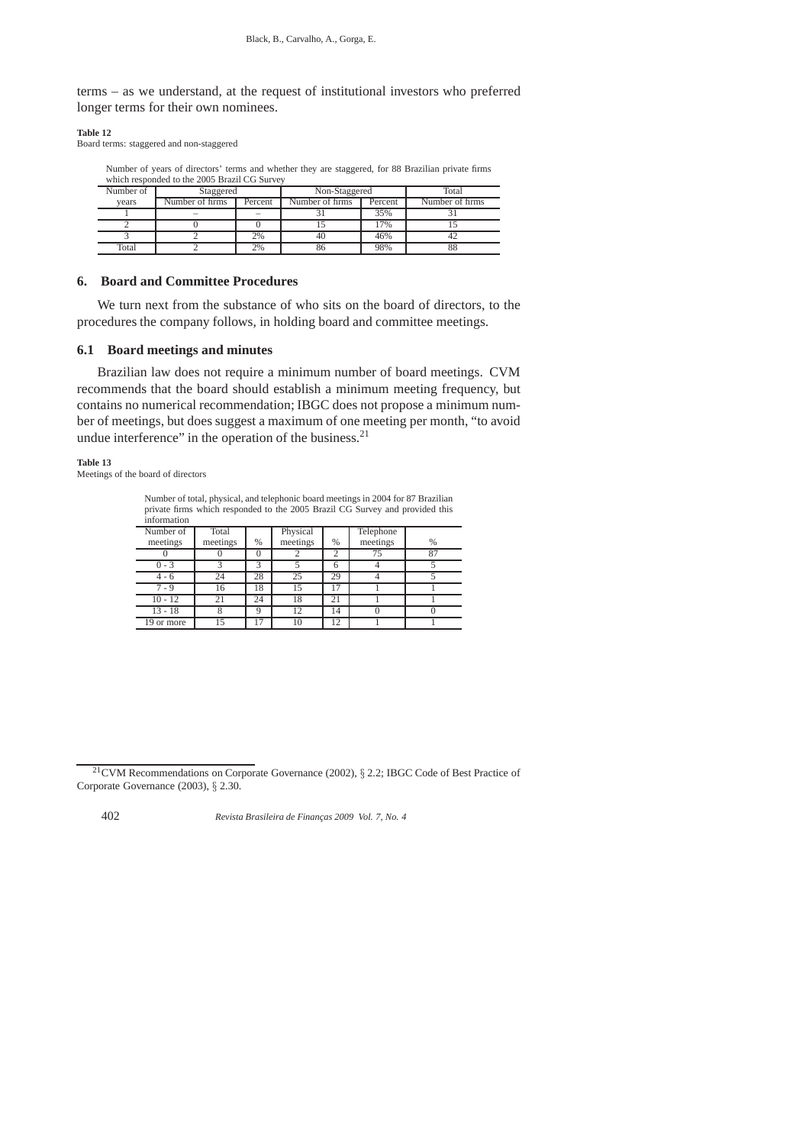terms – as we understand, at the request of institutional investors who preferred longer terms for their own nominees.

**Table 12**

Board terms: staggered and non-staggered

| Number of years of directors' terms and whether they are staggered, for 88 Brazilian private firms |  |  |
|----------------------------------------------------------------------------------------------------|--|--|
| which responded to the 2005 Brazil CG Survey                                                       |  |  |

| Number of | Staggered                |         | Non-Staggered   | Total   |                 |
|-----------|--------------------------|---------|-----------------|---------|-----------------|
| vears     | Number of firms          | Percent | Number of firms | Percent | Number of firms |
|           | $\overline{\phantom{a}}$ |         |                 | 35%     |                 |
|           |                          |         |                 | 17%     |                 |
|           |                          | 2%      |                 | 46%     | 42              |
| Total     |                          | 2%      | 86              | 98%     | 88              |

# **6. Board and Committee Procedures**

We turn next from the substance of who sits on the board of directors, to the procedures the company follows, in holding board and committee meetings.

# **6.1 Board meetings and minutes**

Brazilian law does not require a minimum number of board meetings. CVM recommends that the board should establish a minimum meeting frequency, but contains no numerical recommendation; IBGC does not propose a minimum number of meetings, but does suggest a maximum of one meeting per month, "to avoid undue interference" in the operation of the business.<sup>21</sup>

**Table 13**

Meetings of the board of directors

Number of total, physical, and telephonic board meetings in 2004 for 87 Brazilian private firms which responded to the 2005 Brazil CG Survey and provided this information

| Number of  | Total    |    | Physical |    | Telephone |    |
|------------|----------|----|----------|----|-----------|----|
| meetings   | meetings | %  | meetings | %  | meetings  | %  |
|            |          |    |          |    |           | 87 |
| $0 - 3$    |          |    |          |    |           |    |
| 4 - 6      |          | 28 |          | 29 |           |    |
| $7 - 9$    | 16       | 18 | 15       | 17 |           |    |
| $10 - 12$  |          | 24 | 18       | 21 |           |    |
| $13 - 18$  |          | Q  | 12       | 14 |           |    |
| 19 or more |          |    |          | 12 |           |    |

<sup>21</sup>CVM Recommendations on Corporate Governance (2002), § 2.2; IBGC Code of Best Practice of Corporate Governance (2003), § 2.30.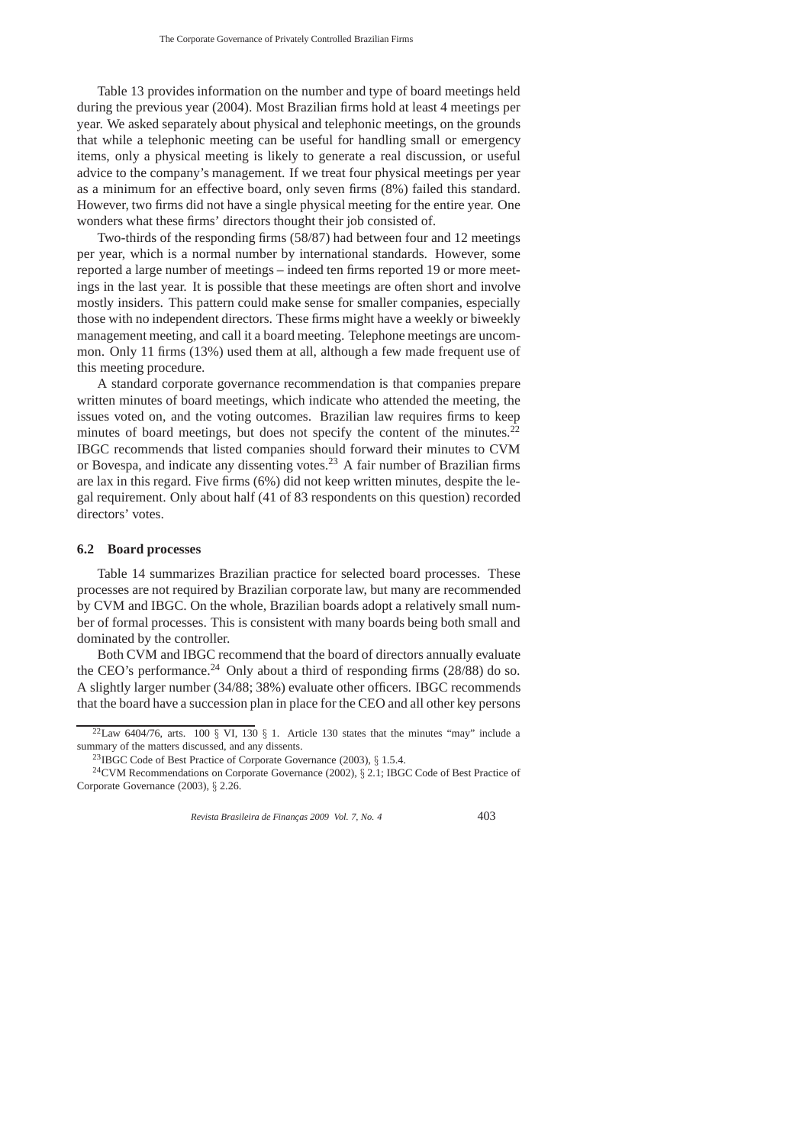Table 13 provides information on the number and type of board meetings held during the previous year (2004). Most Brazilian firms hold at least 4 meetings per year. We asked separately about physical and telephonic meetings, on the grounds that while a telephonic meeting can be useful for handling small or emergency items, only a physical meeting is likely to generate a real discussion, or useful advice to the company's management. If we treat four physical meetings per year as a minimum for an effective board, only seven firms (8%) failed this standard. However, two firms did not have a single physical meeting for the entire year. One wonders what these firms' directors thought their job consisted of.

Two-thirds of the responding firms (58/87) had between four and 12 meetings per year, which is a normal number by international standards. However, some reported a large number of meetings – indeed ten firms reported 19 or more meetings in the last year. It is possible that these meetings are often short and involve mostly insiders. This pattern could make sense for smaller companies, especially those with no independent directors. These firms might have a weekly or biweekly management meeting, and call it a board meeting. Telephone meetings are uncommon. Only 11 firms (13%) used them at all, although a few made frequent use of this meeting procedure.

A standard corporate governance recommendation is that companies prepare written minutes of board meetings, which indicate who attended the meeting, the issues voted on, and the voting outcomes. Brazilian law requires firms to keep minutes of board meetings, but does not specify the content of the minutes.<sup>22</sup> IBGC recommends that listed companies should forward their minutes to CVM or Bovespa, and indicate any dissenting votes.<sup>23</sup> A fair number of Brazilian firms are lax in this regard. Five firms (6%) did not keep written minutes, despite the legal requirement. Only about half (41 of 83 respondents on this question) recorded directors' votes.

# **6.2 Board processes**

Table 14 summarizes Brazilian practice for selected board processes. These processes are not required by Brazilian corporate law, but many are recommended by CVM and IBGC. On the whole, Brazilian boards adopt a relatively small number of formal processes. This is consistent with many boards being both small and dominated by the controller.

Both CVM and IBGC recommend that the board of directors annually evaluate the CEO's performance.<sup>24</sup> Only about a third of responding firms  $(28/88)$  do so. A slightly larger number (34/88; 38%) evaluate other officers. IBGC recommends that the board have a succession plan in place for the CEO and all other key persons

 $^{22}$ Law 6404/76, arts. 100 § VI, 130 § 1. Article 130 states that the minutes "may" include a summary of the matters discussed, and any dissents.

<sup>&</sup>lt;sup>23</sup>IBGC Code of Best Practice of Corporate Governance (2003),  $\S$  1.5.4.

<sup>24</sup>CVM Recommendations on Corporate Governance (2002), § 2.1; IBGC Code of Best Practice of Corporate Governance (2003), § 2.26.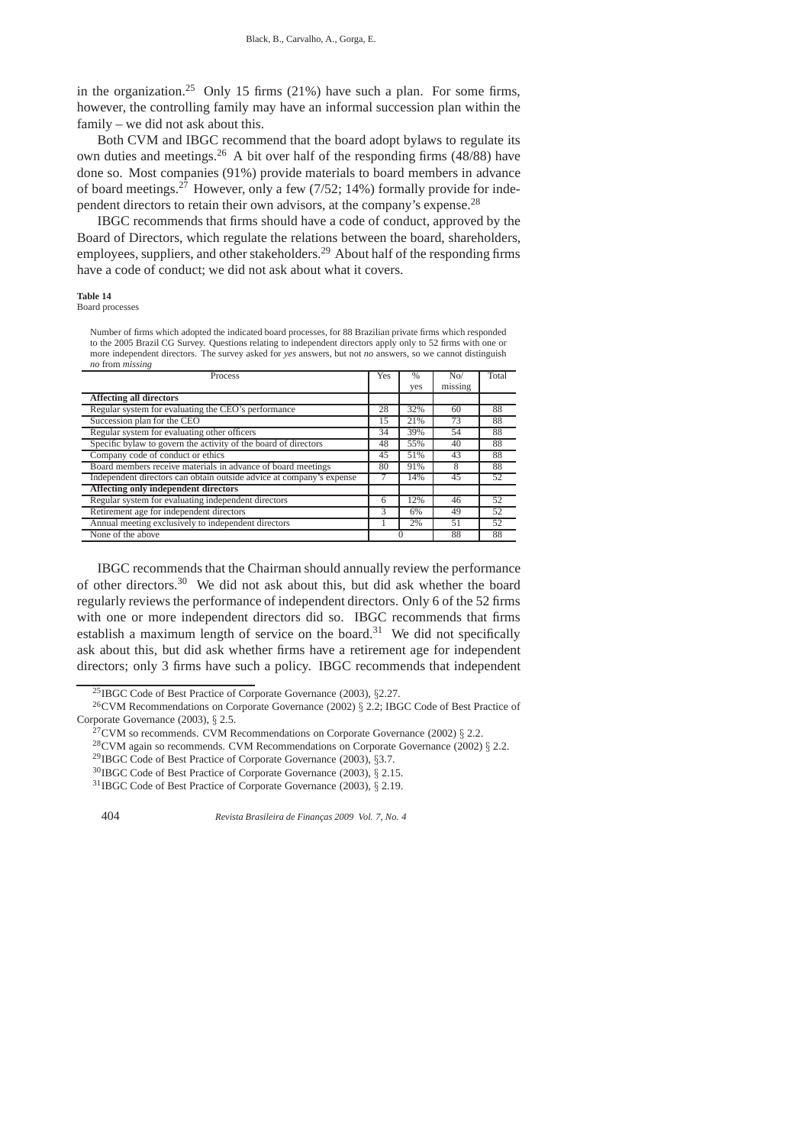in the organization.<sup>25</sup> Only 15 firms (21%) have such a plan. For some firms, however, the controlling family may have an informal succession plan within the family – we did not ask about this.

Both CVM and IBGC recommend that the board adopt bylaws to regulate its own duties and meetings.<sup>26</sup> A bit over half of the responding firms (48/88) have done so. Most companies (91%) provide materials to board members in advance of board meetings.<sup>27</sup> However, only a few (7/52; 14%) formally provide for independent directors to retain their own advisors, at the company's expense.<sup>28</sup>

IBGC recommends that firms should have a code of conduct, approved by the Board of Directors, which regulate the relations between the board, shareholders, employees, suppliers, and other stakeholders.<sup>29</sup> About half of the responding firms have a code of conduct; we did not ask about what it covers.

**Table 14**

Board processes

Number of firms which adopted the indicated board processes, for 88 Brazilian private firms which responded to the 2005 Brazil CG Survey. Questions relating to independent directors apply only to 52 firms with one or more independent directors. The survey asked for *yes* answers, but not *no* answers, so we cannot distinguish *no* from *missing*

| Process                                                              | Yes | %   | No/     | Total |
|----------------------------------------------------------------------|-----|-----|---------|-------|
|                                                                      |     | yes | missing |       |
| <b>Affecting all directors</b>                                       |     |     |         |       |
| Regular system for evaluating the CEO's performance                  | 28  | 32% | 60      | 88    |
| Succession plan for the CEO                                          | 15  | 21% | 73      | 88    |
| Regular system for evaluating other officers                         | 34  | 39% | 54      | 88    |
| Specific bylaw to govern the activity of the board of directors      | 48  | 55% | 40      | 88    |
| Company code of conduct or ethics                                    | 45  | 51% | 43      | 88    |
| Board members receive materials in advance of board meetings         | 80  | 91% | 8       | 88    |
| Independent directors can obtain outside advice at company's expense |     | 14% | 45      | 52    |
| Affecting only independent directors                                 |     |     |         |       |
| Regular system for evaluating independent directors                  | 6   | 12% | 46      | 52    |
| Retirement age for independent directors                             | 3   | 6%  | 49      | 52    |
| Annual meeting exclusively to independent directors                  |     | 2%  | 51      | 52    |
| None of the above                                                    |     |     | 88      | 88    |

IBGC recommends that the Chairman should annually review the performance of other directors.<sup>30</sup> We did not ask about this, but did ask whether the board regularly reviews the performance of independent directors. Only 6 of the 52 firms with one or more independent directors did so. IBGC recommends that firms establish a maximum length of service on the board.<sup>31</sup> We did not specifically ask about this, but did ask whether firms have a retirement age for independent directors; only 3 firms have such a policy. IBGC recommends that independent

<sup>25</sup>IBGC Code of Best Practice of Corporate Governance (2003), §2.27.

<sup>26</sup>CVM Recommendations on Corporate Governance (2002) § 2.2; IBGC Code of Best Practice of Corporate Governance (2003), § 2.5.

<sup>&</sup>lt;sup>7</sup>CVM so recommends. CVM Recommendations on Corporate Governance (2002)  $\S$  2.2.

<sup>28</sup>CVM again so recommends. CVM Recommendations on Corporate Governance (2002) § 2.2.

<sup>29</sup>IBGC Code of Best Practice of Corporate Governance (2003), §3.7.

 $30$ IBGC Code of Best Practice of Corporate Governance (2003), § 2.15.

 $31$ IBGC Code of Best Practice of Corporate Governance (2003), § 2.19.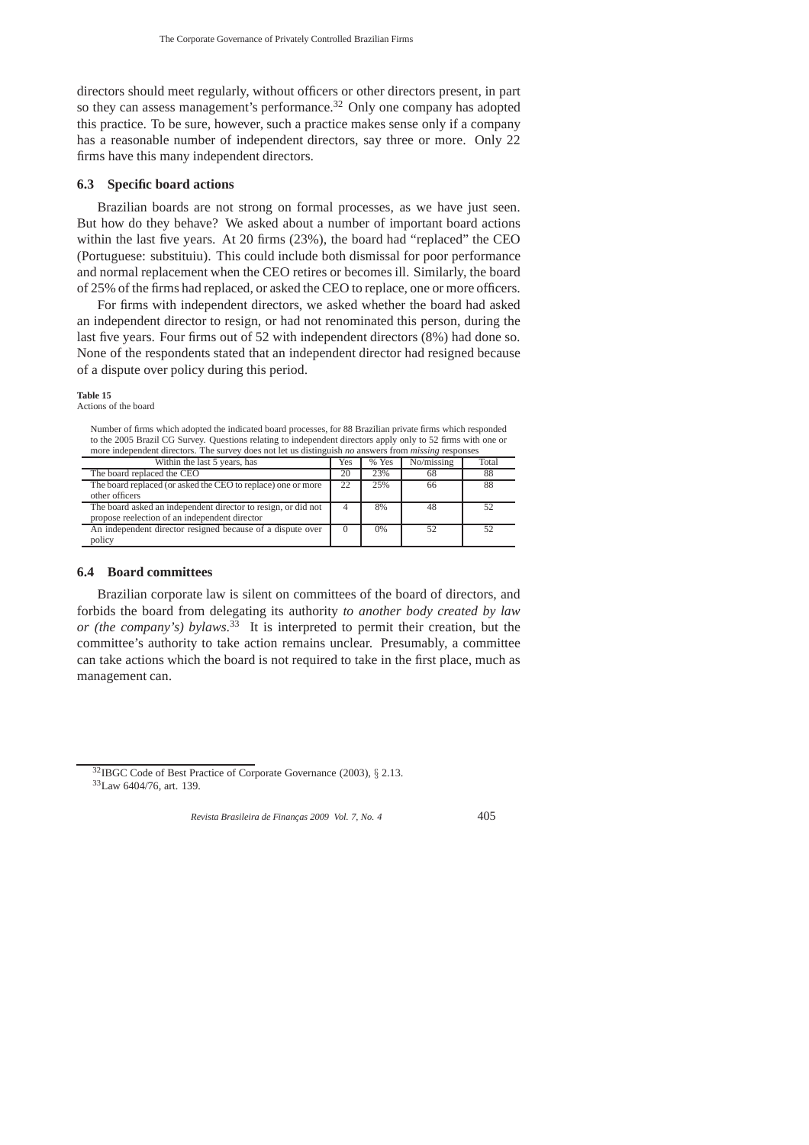directors should meet regularly, without officers or other directors present, in part so they can assess management's performance.<sup>32</sup> Only one company has adopted this practice. To be sure, however, such a practice makes sense only if a company has a reasonable number of independent directors, say three or more. Only 22 firms have this many independent directors.

# **6.3 Specific board actions**

Brazilian boards are not strong on formal processes, as we have just seen. But how do they behave? We asked about a number of important board actions within the last five years. At 20 firms (23%), the board had "replaced" the CEO (Portuguese: substituiu). This could include both dismissal for poor performance and normal replacement when the CEO retires or becomes ill. Similarly, the board of 25% of the firms had replaced, or asked the CEO to replace, one or more officers.

For firms with independent directors, we asked whether the board had asked an independent director to resign, or had not renominated this person, during the last five years. Four firms out of 52 with independent directors (8%) had done so. None of the respondents stated that an independent director had resigned because of a dispute over policy during this period.

### **Table 15**

Actions of the board

Number of firms which adopted the indicated board processes, for 88 Brazilian private firms which responded to the 2005 Brazil CG Survey. Questions relating to independent directors apply only to 52 firms with one or more independent directors. The survey does not let us distinguish *no* answers from *missing* responses

| Within the last 5 years, has                                                                                   | Yes | % Yes | No/missing | Total |
|----------------------------------------------------------------------------------------------------------------|-----|-------|------------|-------|
| The board replaced the CEO                                                                                     | 20  | 23%   | 68         | 88    |
| The board replaced (or asked the CEO to replace) one or more<br>other officers                                 | 22  | 25%   | 66         | 88    |
| The board asked an independent director to resign, or did not<br>propose reelection of an independent director |     | 8%    | 48         | 52    |
| An independent director resigned because of a dispute over<br>policy                                           |     | 0%    | 52         | 52    |

# **6.4 Board committees**

Brazilian corporate law is silent on committees of the board of directors, and forbids the board from delegating its authority *to another body created by law or (the company's) bylaws*. <sup>33</sup> It is interpreted to permit their creation, but the committee's authority to take action remains unclear. Presumably, a committee can take actions which the board is not required to take in the first place, much as management can.

<sup>&</sup>lt;sup>32</sup>IBGC Code of Best Practice of Corporate Governance (2003), § 2.13. <sup>33</sup>Law 6404/76, art. 139.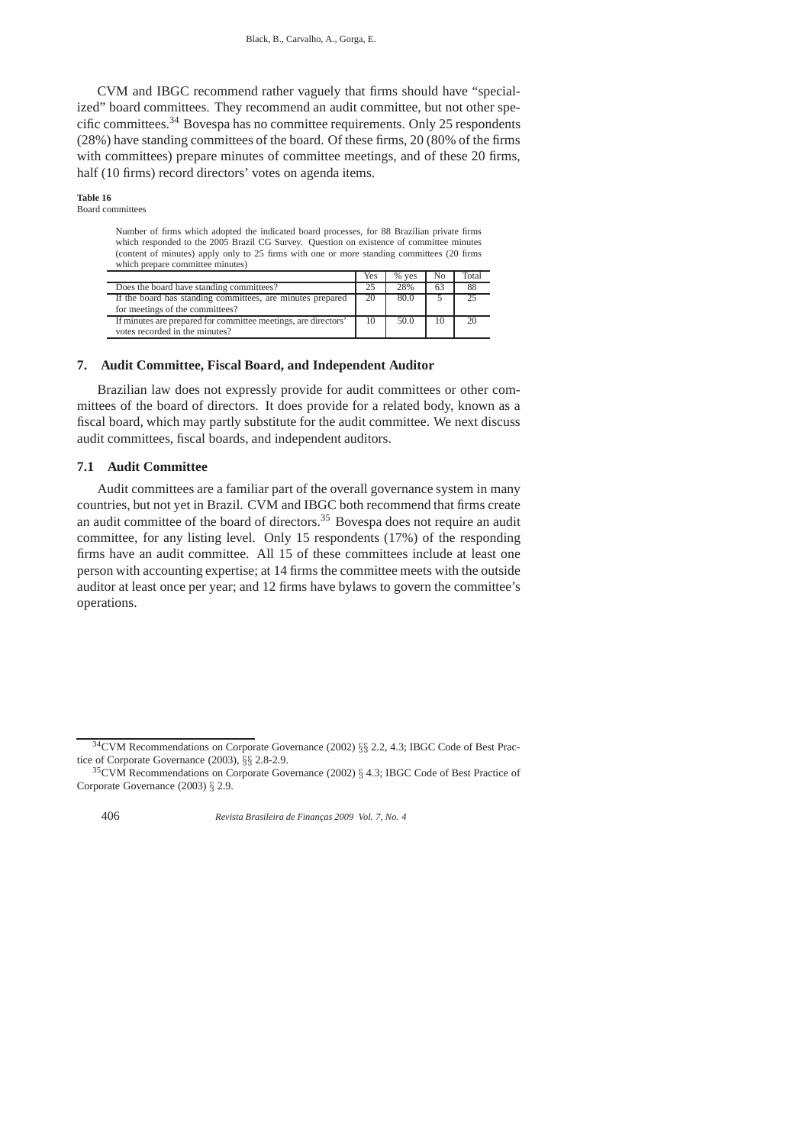CVM and IBGC recommend rather vaguely that firms should have "specialized" board committees. They recommend an audit committee, but not other specific committees.<sup>34</sup> Bovespa has no committee requirements. Only 25 respondents (28%) have standing committees of the board. Of these firms, 20 (80% of the firms with committees) prepare minutes of committee meetings, and of these 20 firms, half (10 firms) record directors' votes on agenda items.

#### **Table 16** Board committees

Number of firms which adopted the indicated board processes, for 88 Brazilian private firms which responded to the 2005 Brazil CG Survey. Question on existence of committee minutes (content of minutes) apply only to 25 firms with one or more standing committees (20 firms which prepare committee minutes)

|                                                                | Yes | $%$ ves | No | Total |
|----------------------------------------------------------------|-----|---------|----|-------|
| Does the board have standing committees?                       | 25  | 28%     | 63 | 88    |
| If the board has standing committees, are minutes prepared     | 20  | 80.0    |    |       |
| for meetings of the committees?                                |     |         |    |       |
| If minutes are prepared for committee meetings, are directors' | 10  | 50.0    |    |       |
| votes recorded in the minutes?                                 |     |         |    |       |

## **7. Audit Committee, Fiscal Board, and Independent Auditor**

Brazilian law does not expressly provide for audit committees or other committees of the board of directors. It does provide for a related body, known as a fiscal board, which may partly substitute for the audit committee. We next discuss audit committees, fiscal boards, and independent auditors.

# **7.1 Audit Committee**

Audit committees are a familiar part of the overall governance system in many countries, but not yet in Brazil. CVM and IBGC both recommend that firms create an audit committee of the board of directors.<sup>35</sup> Bovespa does not require an audit committee, for any listing level. Only 15 respondents (17%) of the responding firms have an audit committee. All 15 of these committees include at least one person with accounting expertise; at 14 firms the committee meets with the outside auditor at least once per year; and 12 firms have bylaws to govern the committee's operations.

<sup>34</sup>CVM Recommendations on Corporate Governance (2002) §§ 2.2, 4.3; IBGC Code of Best Practice of Corporate Governance (2003), §§ 2.8-2.9.

 $35$ CVM Recommendations on Corporate Governance (2002) § 4.3; IBGC Code of Best Practice of Corporate Governance (2003) § 2.9.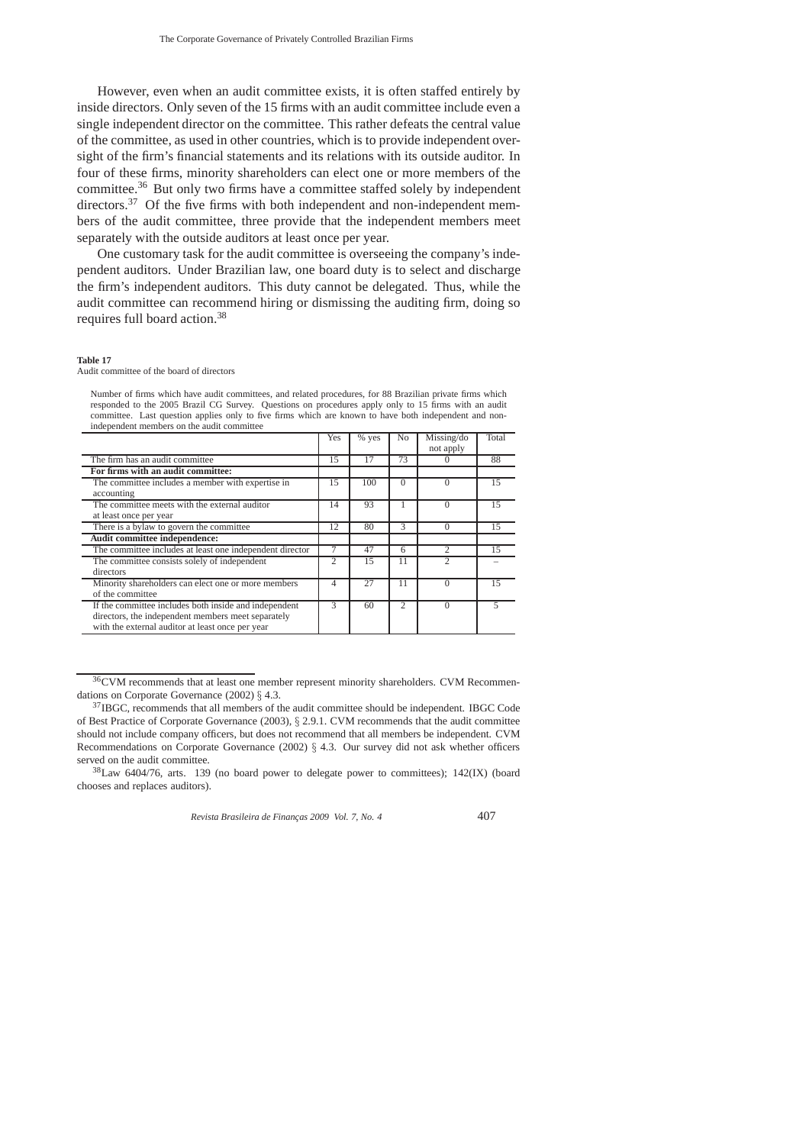However, even when an audit committee exists, it is often staffed entirely by inside directors. Only seven of the 15 firms with an audit committee include even a single independent director on the committee. This rather defeats the central value of the committee, as used in other countries, which is to provide independent oversight of the firm's financial statements and its relations with its outside auditor. In four of these firms, minority shareholders can elect one or more members of the committee.<sup>36</sup> But only two firms have a committee staffed solely by independent directors.<sup>37</sup> Of the five firms with both independent and non-independent members of the audit committee, three provide that the independent members meet separately with the outside auditors at least once per year.

One customary task for the audit committee is overseeing the company's independent auditors. Under Brazilian law, one board duty is to select and discharge the firm's independent auditors. This duty cannot be delegated. Thus, while the audit committee can recommend hiring or dismissing the auditing firm, doing so requires full board action.<sup>38</sup>

#### **Table 17**

Audit committee of the board of directors

Number of firms which have audit committees, and related procedures, for 88 Brazilian private firms which responded to the 2005 Brazil CG Survey. Questions on procedures apply only to 15 firms with an audit committee. Last question applies only to five firms which are known to have both independent and nonindependent members on the audit committee

|                                                          | Yes | % yes | N <sub>0</sub> | Missing/do<br>not apply | Total |
|----------------------------------------------------------|-----|-------|----------------|-------------------------|-------|
| The firm has an audit committee                          | 15  | 17    | 73             |                         | 88    |
| For firms with an audit committee:                       |     |       |                |                         |       |
| The committee includes a member with expertise in        | 15  | 100   | $\Omega$       |                         | 15    |
| accounting                                               |     |       |                |                         |       |
| The committee meets with the external auditor            | 14  | 93    |                | 0                       | 15    |
| at least once per year                                   |     |       |                |                         |       |
| There is a bylaw to govern the committee                 | 12  | 80    | 3              | $\Omega$                | 15    |
| Audit committee independence:                            |     |       |                |                         |       |
| The committee includes at least one independent director |     | 47    | 6              | 2                       | 15    |
| The committee consists solely of independent             | 2   | 15    | 11             | っ                       |       |
| directors                                                |     |       |                |                         |       |
| Minority shareholders can elect one or more members      | 4   | 27    | 11             | $\Omega$                | 15    |
| of the committee                                         |     |       |                |                         |       |
| If the committee includes both inside and independent    | 3   | 60    | $\mathfrak{D}$ | 0                       | 5     |
| directors, the independent members meet separately       |     |       |                |                         |       |
| with the external auditor at least once per year         |     |       |                |                         |       |

<sup>&</sup>lt;sup>36</sup>CVM recommends that at least one member represent minority shareholders. CVM Recommendations on Corporate Governance (2002) § 4.3.

<sup>&</sup>lt;sup>37</sup>IBGC, recommends that all members of the audit committee should be independent. IBGC Code of Best Practice of Corporate Governance (2003), § 2.9.1. CVM recommends that the audit committee should not include company officers, but does not recommend that all members be independent. CVM Recommendations on Corporate Governance (2002) § 4.3. Our survey did not ask whether officers served on the audit committee.

 $38$ Law 6404/76, arts. 139 (no board power to delegate power to committees); 142(IX) (board chooses and replaces auditors).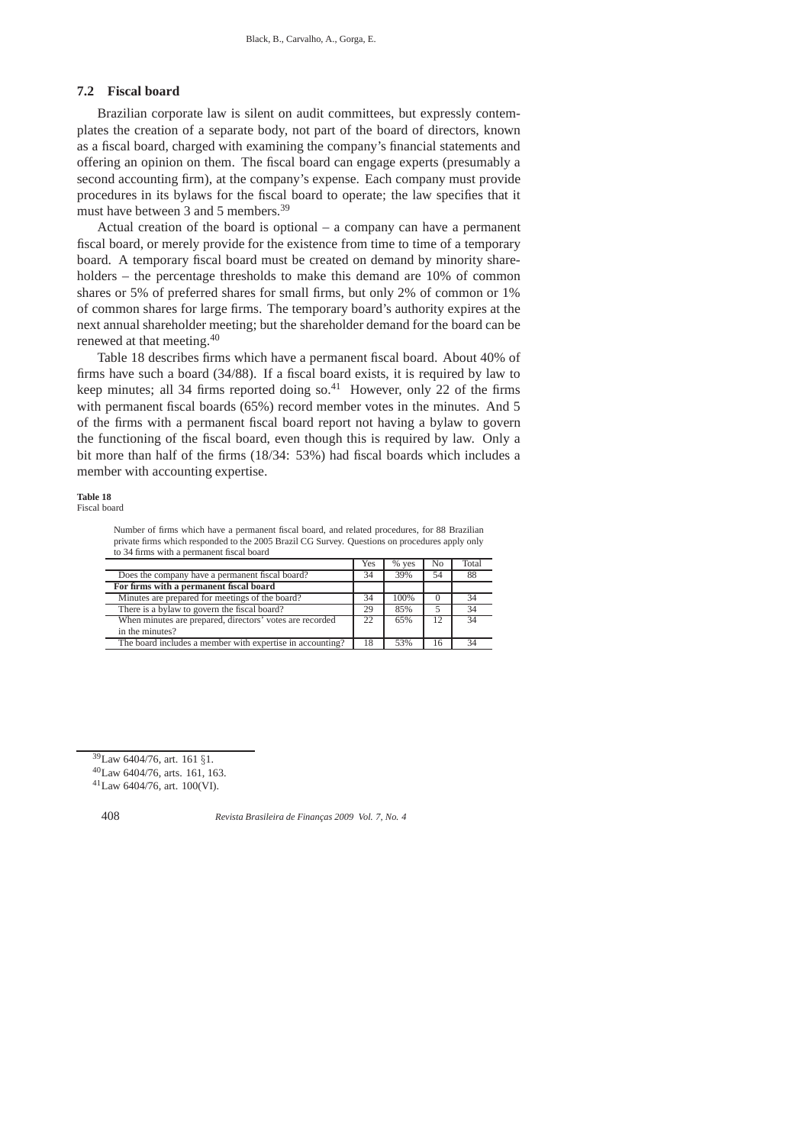# **7.2 Fiscal board**

Brazilian corporate law is silent on audit committees, but expressly contemplates the creation of a separate body, not part of the board of directors, known as a fiscal board, charged with examining the company's financial statements and offering an opinion on them. The fiscal board can engage experts (presumably a second accounting firm), at the company's expense. Each company must provide procedures in its bylaws for the fiscal board to operate; the law specifies that it must have between 3 and 5 members.<sup>39</sup>

Actual creation of the board is optional – a company can have a permanent fiscal board, or merely provide for the existence from time to time of a temporary board. A temporary fiscal board must be created on demand by minority shareholders – the percentage thresholds to make this demand are 10% of common shares or 5% of preferred shares for small firms, but only 2% of common or 1% of common shares for large firms. The temporary board's authority expires at the next annual shareholder meeting; but the shareholder demand for the board can be renewed at that meeting.<sup>40</sup>

Table 18 describes firms which have a permanent fiscal board. About 40% of firms have such a board (34/88). If a fiscal board exists, it is required by law to keep minutes; all 34 firms reported doing so.<sup>41</sup> However, only 22 of the firms with permanent fiscal boards (65%) record member votes in the minutes. And 5 of the firms with a permanent fiscal board report not having a bylaw to govern the functioning of the fiscal board, even though this is required by law. Only a bit more than half of the firms (18/34: 53%) had fiscal boards which includes a member with accounting expertise.

### **Table 18**

Fiscal board

Number of firms which have a permanent fiscal board, and related procedures, for 88 Brazilian private firms which responded to the 2005 Brazil CG Survey. Questions on procedures apply only to 34 firms with a permanent fiscal board

|                                                           | Yes | $%$ ves | No | Total |
|-----------------------------------------------------------|-----|---------|----|-------|
| Does the company have a permanent fiscal board?           | 34  | 39%     | 54 | 88    |
| For firms with a permanent fiscal board                   |     |         |    |       |
| Minutes are prepared for meetings of the board?           | 34  | 100%    |    | 34    |
| There is a bylaw to govern the fiscal board?              | 29  | 85%     |    | 34    |
| When minutes are prepared, directors' votes are recorded  | 22  | 65%     | 12 | 34    |
| in the minutes?                                           |     |         |    |       |
| The board includes a member with expertise in accounting? | 18  | 53%     | 16 |       |

<sup>39</sup>Law 6404/76, art. 161 §1.

<sup>40</sup>Law 6404/76, arts. 161, 163.

<sup>41</sup>Law 6404/76, art. 100(VI).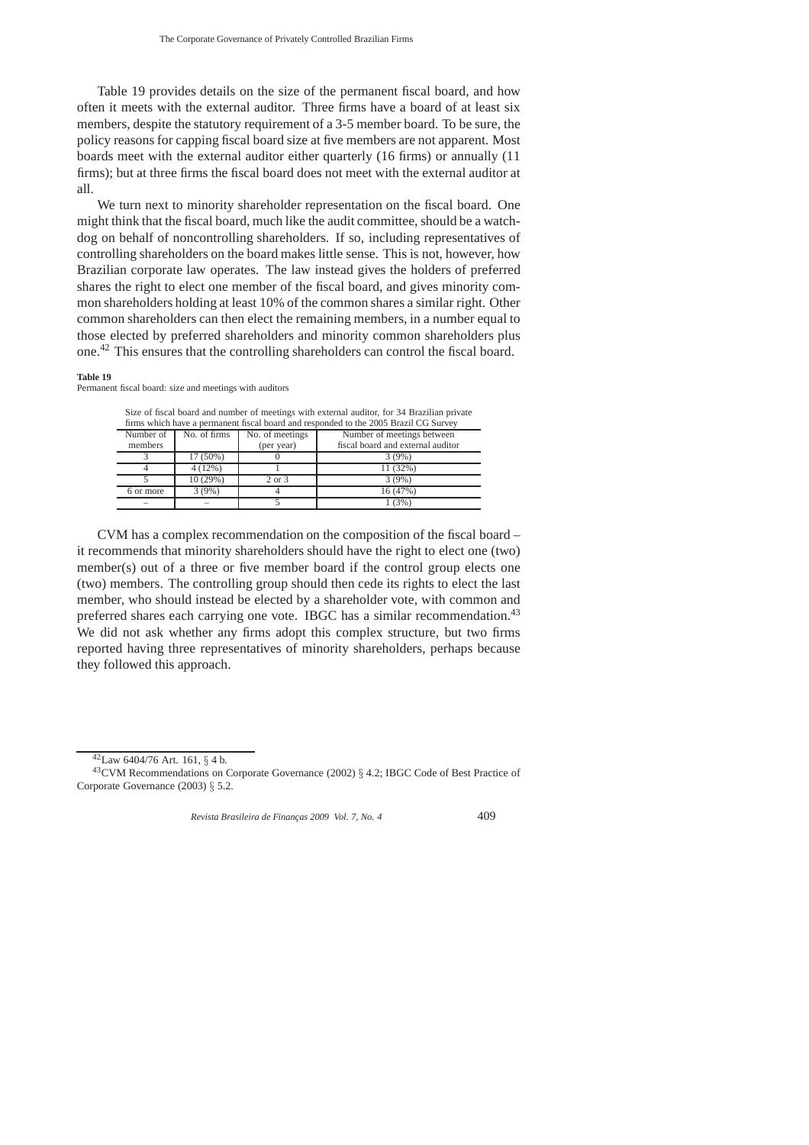Table 19 provides details on the size of the permanent fiscal board, and how often it meets with the external auditor. Three firms have a board of at least six members, despite the statutory requirement of a 3-5 member board. To be sure, the policy reasons for capping fiscal board size at five members are not apparent. Most boards meet with the external auditor either quarterly (16 firms) or annually (11 firms); but at three firms the fiscal board does not meet with the external auditor at all.

We turn next to minority shareholder representation on the fiscal board. One might think that the fiscal board, much like the audit committee, should be a watchdog on behalf of noncontrolling shareholders. If so, including representatives of controlling shareholders on the board makes little sense. This is not, however, how Brazilian corporate law operates. The law instead gives the holders of preferred shares the right to elect one member of the fiscal board, and gives minority common shareholders holding at least 10% of the common shares a similar right. Other common shareholders can then elect the remaining members, in a number equal to those elected by preferred shareholders and minority common shareholders plus one.<sup>42</sup> This ensures that the controlling shareholders can control the fiscal board.

### **Table 19**

Permanent fiscal board: size and meetings with auditors

| Size of fiscal board and number of meetings with external auditor, for 34 Brazilian private |            |            |                                   |  |  |  |  |
|---------------------------------------------------------------------------------------------|------------|------------|-----------------------------------|--|--|--|--|
| firms which have a permanent fiscal board and responded to the 2005 Brazil CG Survey        |            |            |                                   |  |  |  |  |
| Number of meetings between<br>No. of firms<br>No. of meetings<br>Number of                  |            |            |                                   |  |  |  |  |
| members                                                                                     |            | (per year) | fiscal board and external auditor |  |  |  |  |
|                                                                                             | $17(50\%)$ |            | 3(9%)                             |  |  |  |  |
|                                                                                             | 4(12%)     |            | 11(32%)                           |  |  |  |  |
|                                                                                             | 10(29%)    | $2$ or $3$ | 3(9%)                             |  |  |  |  |
| 6 or more                                                                                   | 3(9%)      |            | 16 (47%)                          |  |  |  |  |
|                                                                                             |            |            | 1(3%                              |  |  |  |  |

CVM has a complex recommendation on the composition of the fiscal board – it recommends that minority shareholders should have the right to elect one (two) member(s) out of a three or five member board if the control group elects one (two) members. The controlling group should then cede its rights to elect the last member, who should instead be elected by a shareholder vote, with common and preferred shares each carrying one vote. IBGC has a similar recommendation.<sup>43</sup> We did not ask whether any firms adopt this complex structure, but two firms reported having three representatives of minority shareholders, perhaps because they followed this approach.

 $42$ Law 6404/76 Art. 161, § 4 b.

<sup>43</sup>CVM Recommendations on Corporate Governance (2002) § 4.2; IBGC Code of Best Practice of Corporate Governance (2003) § 5.2.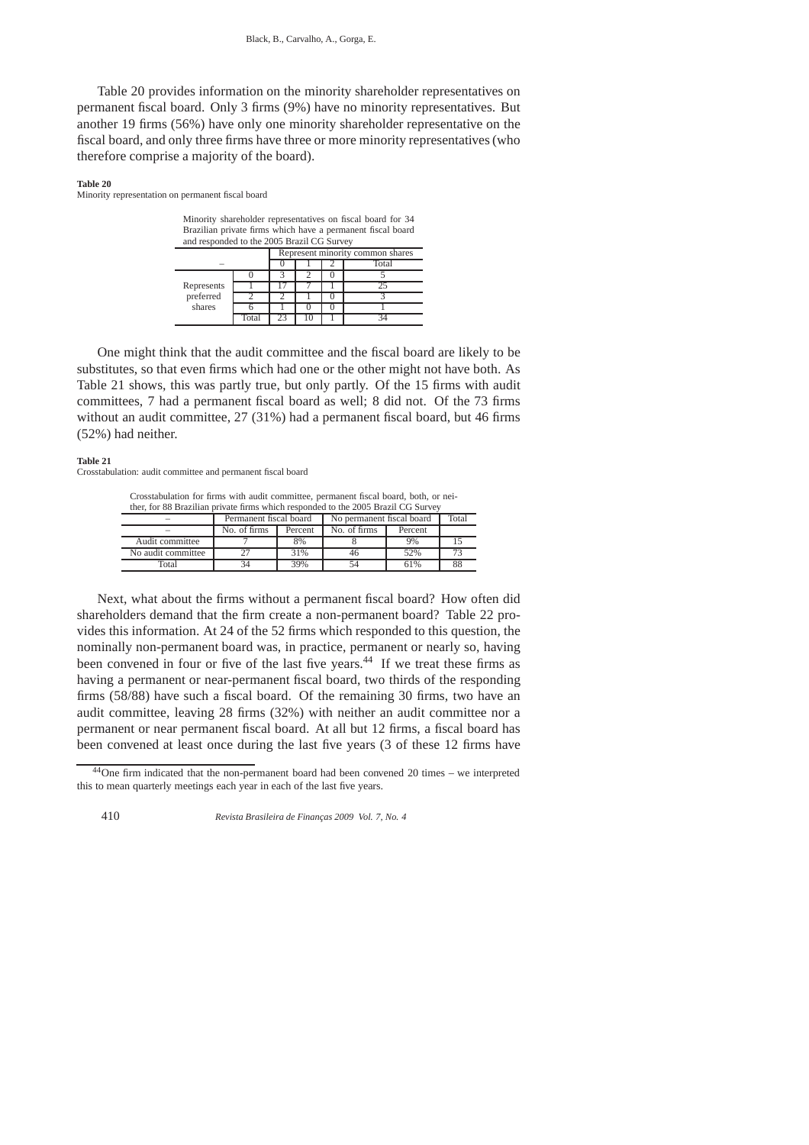Table 20 provides information on the minority shareholder representatives on permanent fiscal board. Only 3 firms (9%) have no minority representatives. But another 19 firms (56%) have only one minority shareholder representative on the fiscal board, and only three firms have three or more minority representatives (who therefore comprise a majority of the board).

#### **Table 20**

Minority representation on permanent fiscal board

| Minority shareholder representatives on fiscal board for 34<br>Brazilian private firms which have a permanent fiscal board<br>and responded to the 2005 Brazil CG Survey |      |  |  |       |  |  |
|--------------------------------------------------------------------------------------------------------------------------------------------------------------------------|------|--|--|-------|--|--|
| Represent minority common shares                                                                                                                                         |      |  |  |       |  |  |
|                                                                                                                                                                          |      |  |  | Total |  |  |
|                                                                                                                                                                          |      |  |  |       |  |  |
| Represents                                                                                                                                                               |      |  |  |       |  |  |
| preferred                                                                                                                                                                |      |  |  |       |  |  |
| shares                                                                                                                                                                   |      |  |  |       |  |  |
|                                                                                                                                                                          | Tota |  |  |       |  |  |

One might think that the audit committee and the fiscal board are likely to be substitutes, so that even firms which had one or the other might not have both. As Table 21 shows, this was partly true, but only partly. Of the 15 firms with audit committees, 7 had a permanent fiscal board as well; 8 did not. Of the 73 firms without an audit committee, 27 (31%) had a permanent fiscal board, but 46 firms (52%) had neither.

#### **Table 21**

Crosstabulation: audit committee and permanent fiscal board

Crosstabulation for firms with audit committee, permanent fiscal board, both, or neither, for 88 Brazilian private firms which responded to the 2005 Brazil CG Survey

|                    | Permanent fiscal board |         | No permanent fiscal board | Total   |  |
|--------------------|------------------------|---------|---------------------------|---------|--|
|                    | No. of firms           | Percent | No. of firms              | Percent |  |
| Audit committee    |                        | 8%      |                           | 9%      |  |
| No audit committee |                        | 31%     |                           | 52%     |  |
| Total              |                        | 39%     |                           | 61%     |  |

Next, what about the firms without a permanent fiscal board? How often did shareholders demand that the firm create a non-permanent board? Table 22 provides this information. At 24 of the 52 firms which responded to this question, the nominally non-permanent board was, in practice, permanent or nearly so, having been convened in four or five of the last five years.<sup>44</sup> If we treat these firms as having a permanent or near-permanent fiscal board, two thirds of the responding firms (58/88) have such a fiscal board. Of the remaining 30 firms, two have an audit committee, leaving 28 firms (32%) with neither an audit committee nor a permanent or near permanent fiscal board. At all but 12 firms, a fiscal board has been convened at least once during the last five years (3 of these 12 firms have

 $44$ One firm indicated that the non-permanent board had been convened 20 times – we interpreted this to mean quarterly meetings each year in each of the last five years.

<sup>410</sup> *Revista Brasileira de Finanças 2009 Vol. 7, No. 4*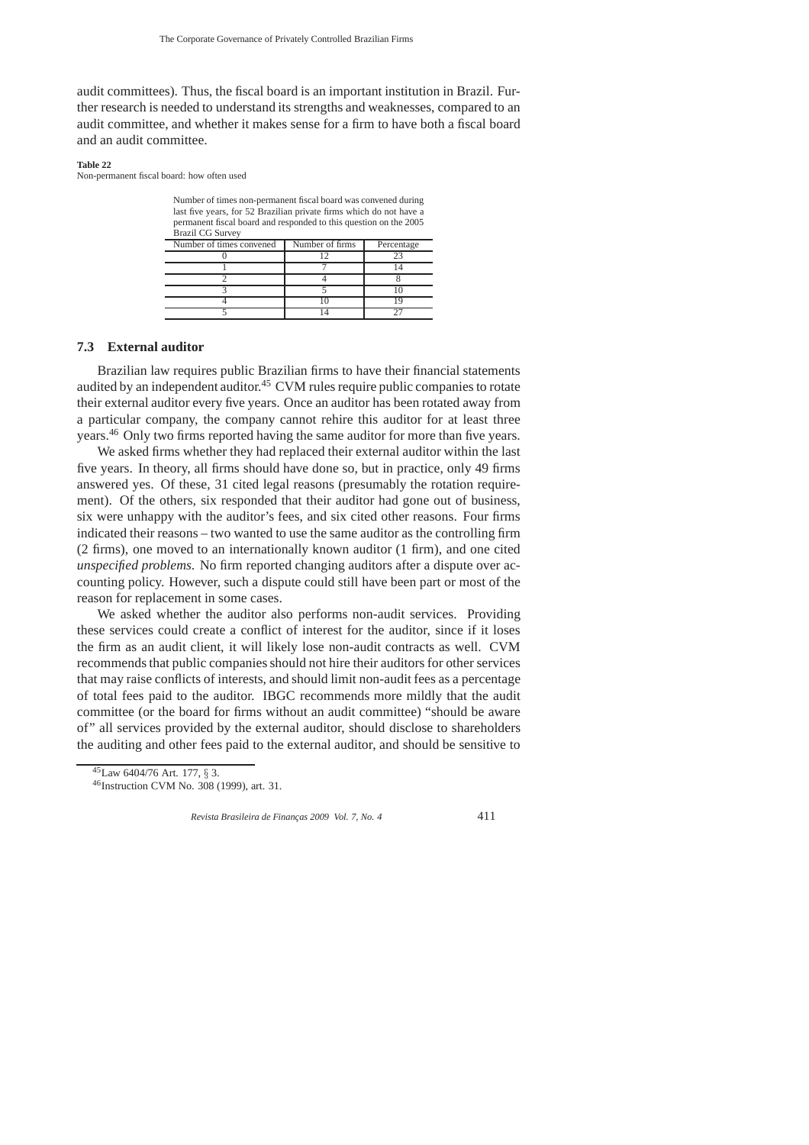audit committees). Thus, the fiscal board is an important institution in Brazil. Further research is needed to understand its strengths and weaknesses, compared to an audit committee, and whether it makes sense for a firm to have both a fiscal board and an audit committee.

**Table 22**

Non-permanent fiscal board: how often used

Number of times non-permanent fiscal board was convened during last five years, for 52 Brazilian private firms which do not have a permanent fiscal board and responded to this question on the 2005 Brazil CG Survey

| Number of times convened | Number of firms | Percentage |
|--------------------------|-----------------|------------|
|                          |                 |            |
|                          |                 |            |
|                          |                 |            |
|                          |                 |            |
|                          |                 |            |
|                          |                 |            |

# **7.3 External auditor**

Brazilian law requires public Brazilian firms to have their financial statements audited by an independent auditor.<sup>45</sup> CVM rules require public companies to rotate their external auditor every five years. Once an auditor has been rotated away from a particular company, the company cannot rehire this auditor for at least three years.<sup>46</sup> Only two firms reported having the same auditor for more than five years.

We asked firms whether they had replaced their external auditor within the last five years. In theory, all firms should have done so, but in practice, only 49 firms answered yes. Of these, 31 cited legal reasons (presumably the rotation requirement). Of the others, six responded that their auditor had gone out of business, six were unhappy with the auditor's fees, and six cited other reasons. Four firms indicated their reasons – two wanted to use the same auditor as the controlling firm (2 firms), one moved to an internationally known auditor (1 firm), and one cited *unspecified problems*. No firm reported changing auditors after a dispute over accounting policy. However, such a dispute could still have been part or most of the reason for replacement in some cases.

We asked whether the auditor also performs non-audit services. Providing these services could create a conflict of interest for the auditor, since if it loses the firm as an audit client, it will likely lose non-audit contracts as well. CVM recommends that public companies should not hire their auditors for other services that may raise conflicts of interests, and should limit non-audit fees as a percentage of total fees paid to the auditor. IBGC recommends more mildly that the audit committee (or the board for firms without an audit committee) "should be aware of" all services provided by the external auditor, should disclose to shareholders the auditing and other fees paid to the external auditor, and should be sensitive to

<sup>45</sup>Law 6404/76 Art. 177, § 3.

<sup>46</sup>Instruction CVM No. 308 (1999), art. 31.

*Revista Brasileira de Finanças 2009 Vol. 7, No. 4* 411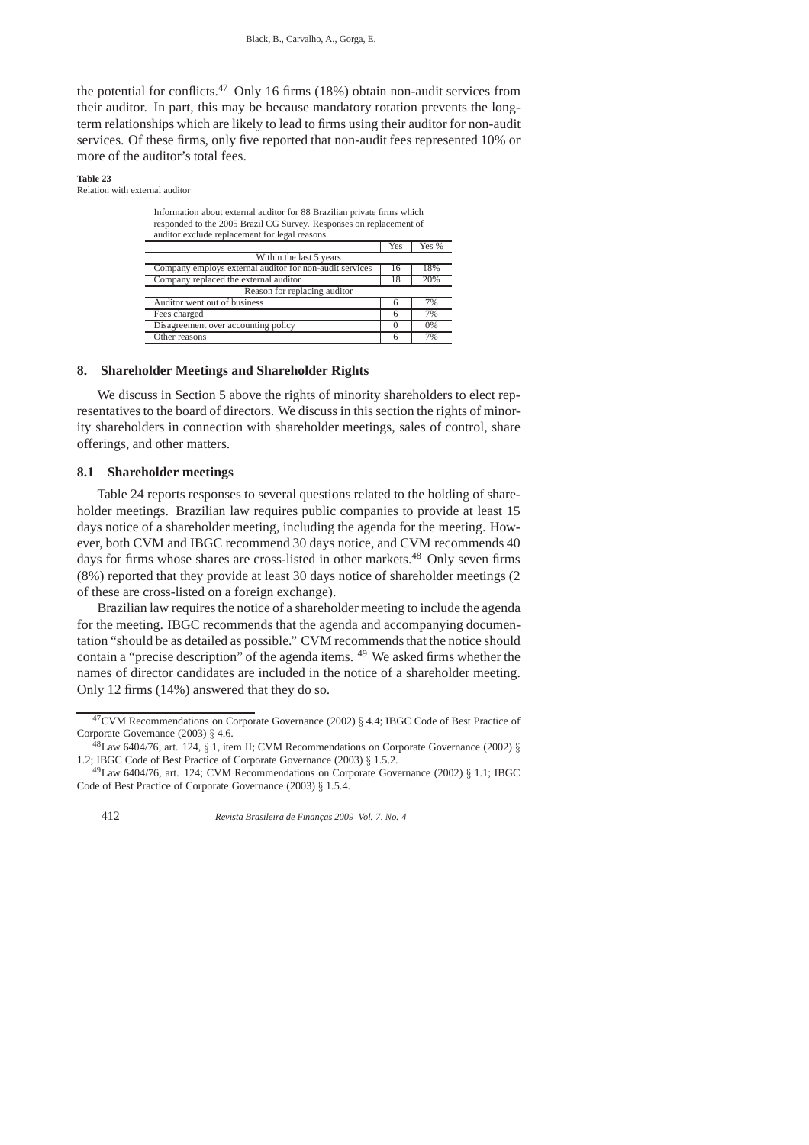the potential for conflicts.<sup>47</sup> Only 16 firms (18%) obtain non-audit services from their auditor. In part, this may be because mandatory rotation prevents the longterm relationships which are likely to lead to firms using their auditor for non-audit services. Of these firms, only five reported that non-audit fees represented 10% or more of the auditor's total fees.

**Table 23**

Relation with external auditor

| Information about external auditor for 88 Brazilian private firms which<br>responded to the 2005 Brazil CG Survey. Responses on replacement of<br>auditor exclude replacement for legal reasons |                  |       |
|-------------------------------------------------------------------------------------------------------------------------------------------------------------------------------------------------|------------------|-------|
|                                                                                                                                                                                                 | Yes              | Yes % |
| Within the last 5 years                                                                                                                                                                         |                  |       |
| Company employs external auditor for non-audit services                                                                                                                                         | 16               | 18%   |
| Company replaced the external auditor                                                                                                                                                           | 18               | 20%   |
| Reason for replacing auditor                                                                                                                                                                    |                  |       |
| Auditor went out of business                                                                                                                                                                    | 6                | 7%    |
| Fees charged                                                                                                                                                                                    | 6                | 7%    |
| Disagreement over accounting policy                                                                                                                                                             | $\left( \right)$ | 0%    |
| Other reasons                                                                                                                                                                                   | 6                | 7%    |

### **8. Shareholder Meetings and Shareholder Rights**

We discuss in Section 5 above the rights of minority shareholders to elect representatives to the board of directors. We discuss in this section the rights of minority shareholders in connection with shareholder meetings, sales of control, share offerings, and other matters.

# **8.1 Shareholder meetings**

Table 24 reports responses to several questions related to the holding of shareholder meetings. Brazilian law requires public companies to provide at least 15 days notice of a shareholder meeting, including the agenda for the meeting. However, both CVM and IBGC recommend 30 days notice, and CVM recommends 40 days for firms whose shares are cross-listed in other markets. <sup>48</sup> Only seven firms (8%) reported that they provide at least 30 days notice of shareholder meetings (2 of these are cross-listed on a foreign exchange).

Brazilian law requires the notice of a shareholder meeting to include the agenda for the meeting. IBGC recommends that the agenda and accompanying documentation "should be as detailed as possible." CVM recommends that the notice should contain a "precise description" of the agenda items. <sup>49</sup> We asked firms whether the names of director candidates are included in the notice of a shareholder meeting. Only 12 firms (14%) answered that they do so.

<sup>47</sup>CVM Recommendations on Corporate Governance (2002) § 4.4; IBGC Code of Best Practice of Corporate Governance (2003) § 4.6.

 $^{48}$ Law 6404/76, art. 124, § 1, item II; CVM Recommendations on Corporate Governance (2002) § 1.2; IBGC Code of Best Practice of Corporate Governance (2003) § 1.5.2.

 $^{49}$ Law 6404/76, art. 124; CVM Recommendations on Corporate Governance (2002) § 1.1; IBGC Code of Best Practice of Corporate Governance (2003) § 1.5.4.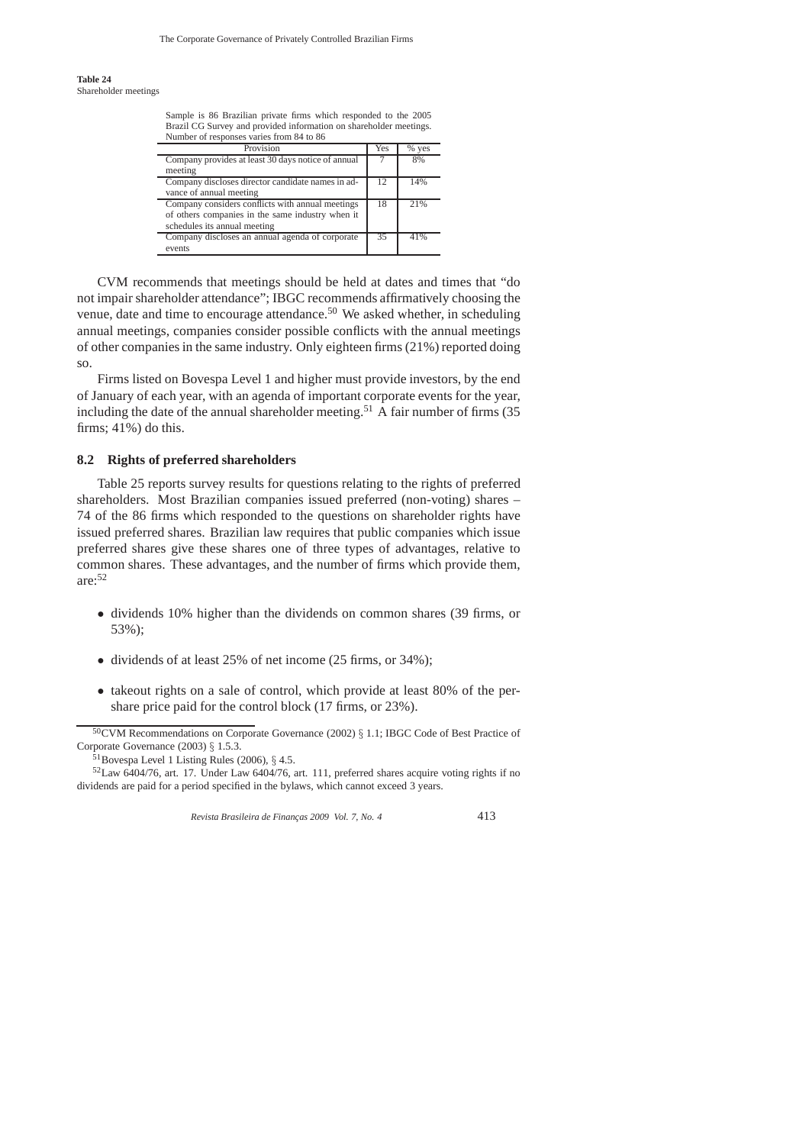**Table 24** Shareholder meetings

Sample is 86 Brazilian private firms which responded to the 2005 Brazil CG Survey and provided information on shareholder meetings. Number of responses varies from 84 to 86

| Provision                                          | Yes | % yes |
|----------------------------------------------------|-----|-------|
| Company provides at least 30 days notice of annual |     | 8%    |
| meeting                                            |     |       |
| Company discloses director candidate names in ad-  | 12  | 14%   |
| vance of annual meeting                            |     |       |
| Company considers conflicts with annual meetings   | 18  | 2.1%  |
| of others companies in the same industry when it   |     |       |
| schedules its annual meeting                       |     |       |
| Company discloses an annual agenda of corporate    | 35  | 41%   |
| events                                             |     |       |

CVM recommends that meetings should be held at dates and times that "do not impair shareholder attendance"; IBGC recommends affirmatively choosing the venue, date and time to encourage attendance.<sup>50</sup> We asked whether, in scheduling annual meetings, companies consider possible conflicts with the annual meetings of other companies in the same industry. Only eighteen firms (21%) reported doing so.

Firms listed on Bovespa Level 1 and higher must provide investors, by the end of January of each year, with an agenda of important corporate events for the year, including the date of the annual shareholder meeting.<sup>51</sup> A fair number of firms  $(35$ firms; 41%) do this.

# **8.2 Rights of preferred shareholders**

Table 25 reports survey results for questions relating to the rights of preferred shareholders. Most Brazilian companies issued preferred (non-voting) shares – 74 of the 86 firms which responded to the questions on shareholder rights have issued preferred shares. Brazilian law requires that public companies which issue preferred shares give these shares one of three types of advantages, relative to common shares. These advantages, and the number of firms which provide them, are:<sup>52</sup>

- dividends 10% higher than the dividends on common shares (39 firms, or 53%);
- dividends of at least 25% of net income (25 firms, or 34%);
- takeout rights on a sale of control, which provide at least 80% of the pershare price paid for the control block (17 firms, or 23%).

<sup>50</sup>CVM Recommendations on Corporate Governance (2002) § 1.1; IBGC Code of Best Practice of Corporate Governance (2003) § 1.5.3.

<sup>51</sup>Bovespa Level 1 Listing Rules (2006), § 4.5.

<sup>52</sup>Law 6404/76, art. 17. Under Law 6404/76, art. 111, preferred shares acquire voting rights if no dividends are paid for a period specified in the bylaws, which cannot exceed 3 years.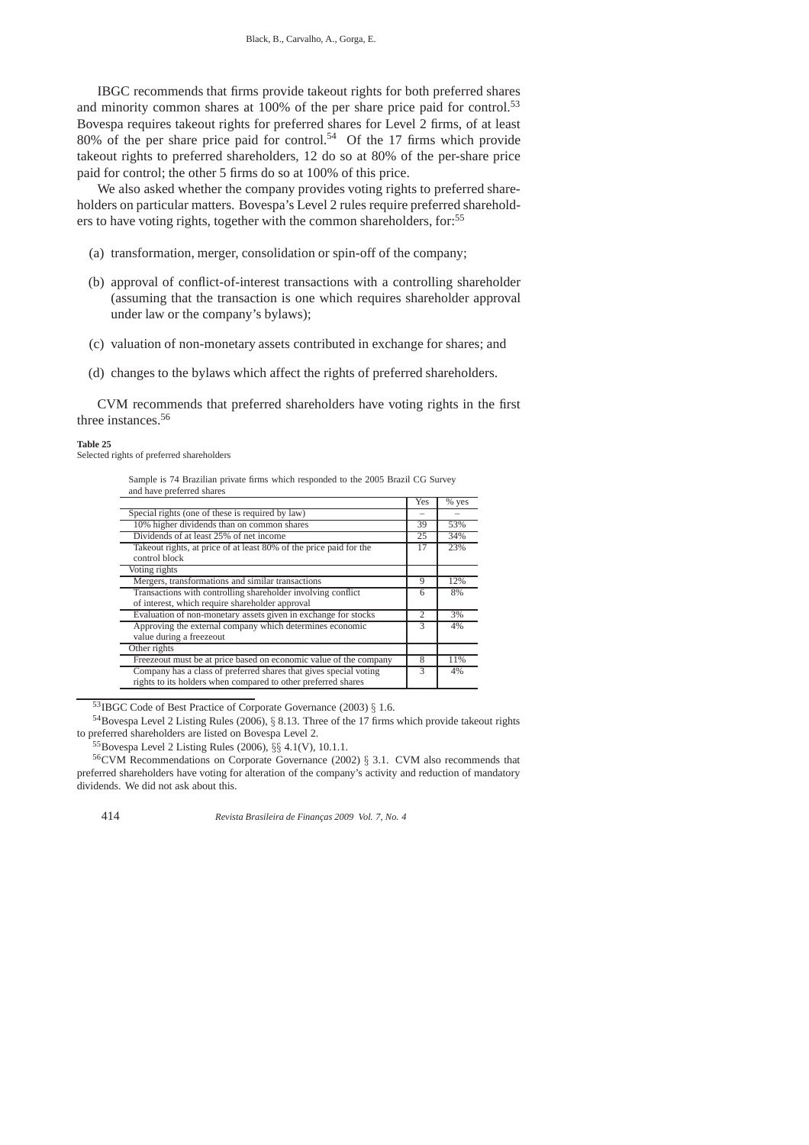IBGC recommends that firms provide takeout rights for both preferred shares and minority common shares at 100% of the per share price paid for control.<sup>53</sup> Bovespa requires takeout rights for preferred shares for Level 2 firms, of at least 80% of the per share price paid for control.<sup>54</sup> Of the 17 firms which provide takeout rights to preferred shareholders, 12 do so at 80% of the per-share price paid for control; the other 5 firms do so at 100% of this price.

We also asked whether the company provides voting rights to preferred shareholders on particular matters. Bovespa's Level 2 rules require preferred shareholders to have voting rights, together with the common shareholders, for:<sup>55</sup>

- (a) transformation, merger, consolidation or spin-off of the company;
- (b) approval of conflict-of-interest transactions with a controlling shareholder (assuming that the transaction is one which requires shareholder approval under law or the company's bylaws);
- (c) valuation of non-monetary assets contributed in exchange for shares; and
- (d) changes to the bylaws which affect the rights of preferred shareholders.

CVM recommends that preferred shareholders have voting rights in the first three instances.<sup>56</sup>

#### **Table 25**

Selected rights of preferred shareholders

Sample is 74 Brazilian private firms which responded to the 2005 Brazil CG Survey and have preferred shares

|                                                                    | Yes            | % yes |
|--------------------------------------------------------------------|----------------|-------|
| Special rights (one of these is required by law)                   |                |       |
| 10% higher dividends than on common shares                         | 39             | 53%   |
| Dividends of at least 25% of net income                            | 25             | 34%   |
| Takeout rights, at price of at least 80% of the price paid for the | 17             | 23%   |
| control block                                                      |                |       |
| Voting rights                                                      |                |       |
| Mergers, transformations and similar transactions                  | 9              | 12%   |
| Transactions with controlling shareholder involving conflict       | 6              | 8%    |
| of interest, which require shareholder approval                    |                |       |
| Evaluation of non-monetary assets given in exchange for stocks     | $\overline{c}$ | 3%    |
| Approving the external company which determines economic           | 3              | 4%    |
| value during a freezeout                                           |                |       |
| Other rights                                                       |                |       |
| Freezeout must be at price based on economic value of the company  | 8              | 11%   |
| Company has a class of preferred shares that gives special voting  | 3              | 4%    |
| rights to its holders when compared to other preferred shares      |                |       |

<sup>53</sup>IBGC Code of Best Practice of Corporate Governance (2003) § 1.6.

<sup>54</sup>Bovespa Level 2 Listing Rules (2006), § 8.13. Three of the 17 firms which provide takeout rights to preferred shareholders are listed on Bovespa Level 2.

<sup>55</sup>Bovespa Level 2 Listing Rules (2006), §§ 4.1(V), 10.1.1.

<sup>56</sup>CVM Recommendations on Corporate Governance (2002) § 3.1. CVM also recommends that preferred shareholders have voting for alteration of the company's activity and reduction of mandatory dividends. We did not ask about this.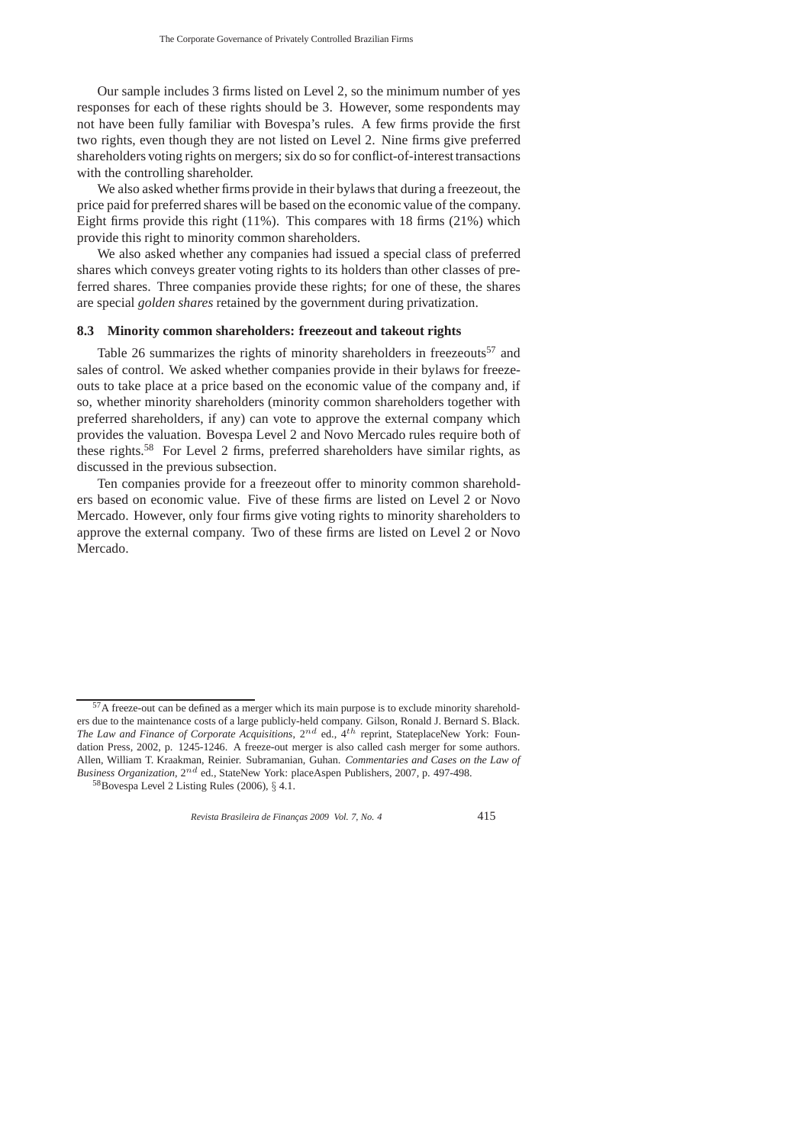Our sample includes 3 firms listed on Level 2, so the minimum number of yes responses for each of these rights should be 3. However, some respondents may not have been fully familiar with Bovespa's rules. A few firms provide the first two rights, even though they are not listed on Level 2. Nine firms give preferred shareholders voting rights on mergers; six do so for conflict-of-interest transactions with the controlling shareholder.

We also asked whether firms provide in their bylaws that during a freezeout, the price paid for preferred shares will be based on the economic value of the company. Eight firms provide this right (11%). This compares with 18 firms (21%) which provide this right to minority common shareholders.

We also asked whether any companies had issued a special class of preferred shares which conveys greater voting rights to its holders than other classes of preferred shares. Three companies provide these rights; for one of these, the shares are special *golden shares* retained by the government during privatization.

# **8.3 Minority common shareholders: freezeout and takeout rights**

Table 26 summarizes the rights of minority shareholders in freezeouts<sup>57</sup> and sales of control. We asked whether companies provide in their bylaws for freezeouts to take place at a price based on the economic value of the company and, if so, whether minority shareholders (minority common shareholders together with preferred shareholders, if any) can vote to approve the external company which provides the valuation. Bovespa Level 2 and Novo Mercado rules require both of these rights.<sup>58</sup> For Level 2 firms, preferred shareholders have similar rights, as discussed in the previous subsection.

Ten companies provide for a freezeout offer to minority common shareholders based on economic value. Five of these firms are listed on Level 2 or Novo Mercado. However, only four firms give voting rights to minority shareholders to approve the external company. Two of these firms are listed on Level 2 or Novo Mercado.

<sup>&</sup>lt;sup>57</sup>A freeze-out can be defined as a merger which its main purpose is to exclude minority shareholders due to the maintenance costs of a large publicly-held company. Gilson, Ronald J. Bernard S. Black. *The Law and Finance of Corporate Acquisitions*, 2nd ed., 4th reprint, StateplaceNew York: Foundation Press, 2002, p. 1245-1246. A freeze-out merger is also called cash merger for some authors. Allen, William T. Kraakman, Reinier. Subramanian, Guhan. *Commentaries and Cases on the Law of Business Organization*, 2nd ed., StateNew York: placeAspen Publishers, 2007, p. 497-498.

<sup>58</sup>Bovespa Level 2 Listing Rules (2006), § 4.1.

*Revista Brasileira de Finanças 2009 Vol. 7, No. 4* 415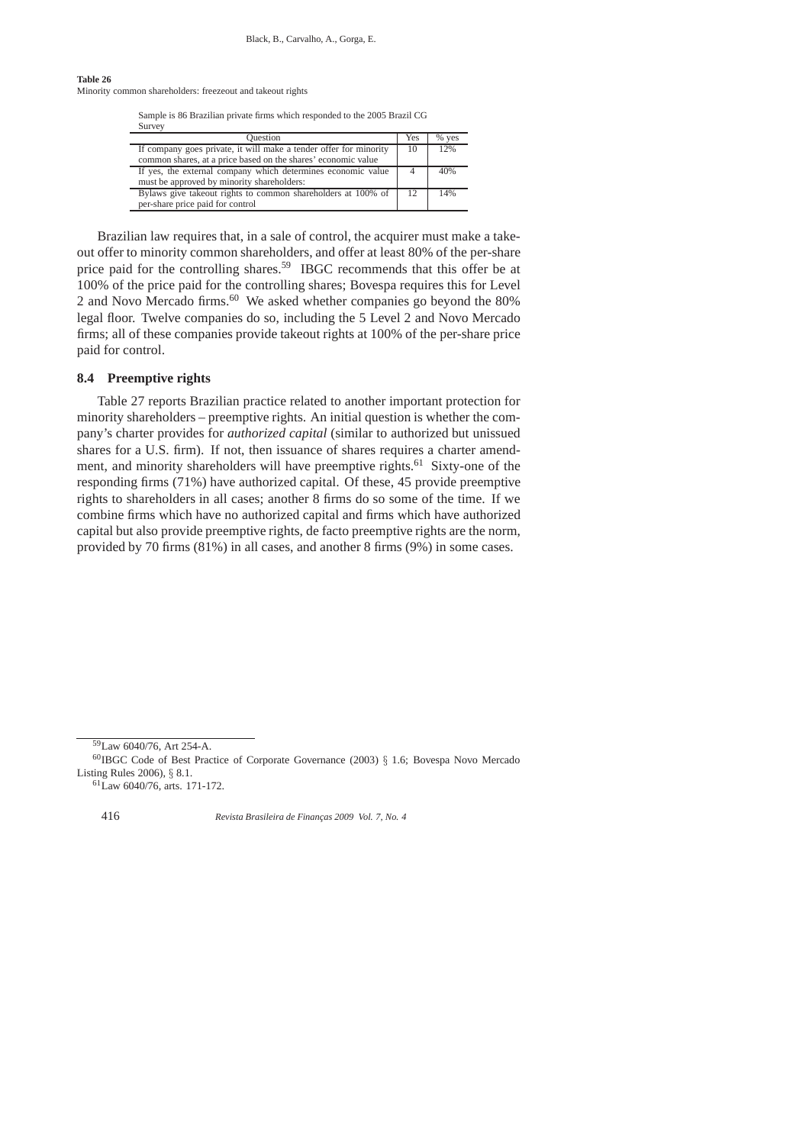**Table 26**

Minority common shareholders: freezeout and takeout rights

Sample is 86 Brazilian private firms which responded to the 2005 Brazil CG **Survey** 

| Ouestion                                                          | Yes | % yes |
|-------------------------------------------------------------------|-----|-------|
| If company goes private, it will make a tender offer for minority | 10  | 12%   |
| common shares, at a price based on the shares' economic value     |     |       |
| If yes, the external company which determines economic value      |     | 40%   |
| must be approved by minority shareholders:                        |     |       |
| Bylaws give takeout rights to common shareholders at 100% of      |     | 14%   |
| per-share price paid for control                                  |     |       |

Brazilian law requires that, in a sale of control, the acquirer must make a takeout offer to minority common shareholders, and offer at least 80% of the per-share price paid for the controlling shares.<sup>59</sup> IBGC recommends that this offer be at 100% of the price paid for the controlling shares; Bovespa requires this for Level 2 and Novo Mercado firms.<sup>60</sup> We asked whether companies go beyond the 80% legal floor. Twelve companies do so, including the 5 Level 2 and Novo Mercado firms; all of these companies provide takeout rights at 100% of the per-share price paid for control.

# **8.4 Preemptive rights**

Table 27 reports Brazilian practice related to another important protection for minority shareholders – preemptive rights. An initial question is whether the company's charter provides for *authorized capital* (similar to authorized but unissued shares for a U.S. firm). If not, then issuance of shares requires a charter amendment, and minority shareholders will have preemptive rights.<sup>61</sup> Sixty-one of the responding firms (71%) have authorized capital. Of these, 45 provide preemptive rights to shareholders in all cases; another 8 firms do so some of the time. If we combine firms which have no authorized capital and firms which have authorized capital but also provide preemptive rights, de facto preemptive rights are the norm, provided by 70 firms (81%) in all cases, and another 8 firms (9%) in some cases.

 $59$ Law 6040/76, Art 254-A.

<sup>61</sup>Law 6040/76, arts. 171-172.

<sup>60</sup>IBGC Code of Best Practice of Corporate Governance (2003) § 1.6; Bovespa Novo Mercado Listing Rules 2006), § 8.1.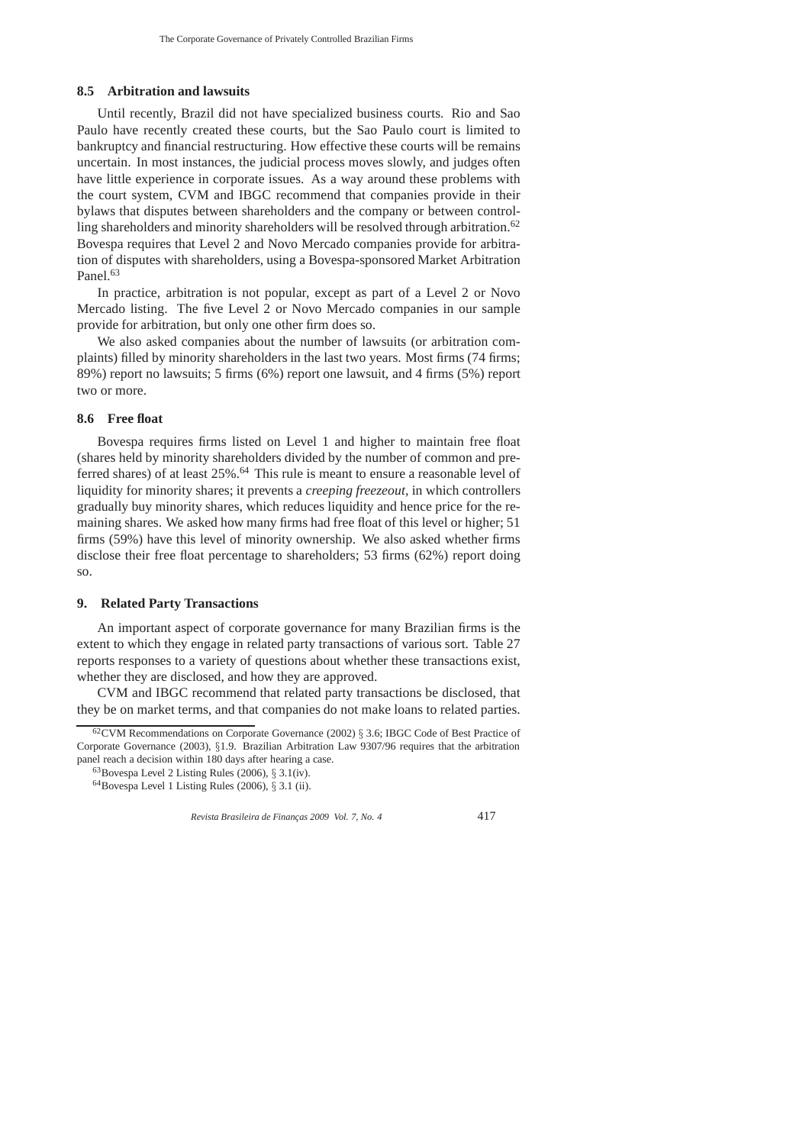# **8.5 Arbitration and lawsuits**

Until recently, Brazil did not have specialized business courts. Rio and Sao Paulo have recently created these courts, but the Sao Paulo court is limited to bankruptcy and financial restructuring. How effective these courts will be remains uncertain. In most instances, the judicial process moves slowly, and judges often have little experience in corporate issues. As a way around these problems with the court system, CVM and IBGC recommend that companies provide in their bylaws that disputes between shareholders and the company or between controlling shareholders and minority shareholders will be resolved through arbitration.<sup>62</sup> Bovespa requires that Level 2 and Novo Mercado companies provide for arbitration of disputes with shareholders, using a Bovespa-sponsored Market Arbitration Panel.<sup>63</sup>

In practice, arbitration is not popular, except as part of a Level 2 or Novo Mercado listing. The five Level 2 or Novo Mercado companies in our sample provide for arbitration, but only one other firm does so.

We also asked companies about the number of lawsuits (or arbitration complaints) filled by minority shareholders in the last two years. Most firms (74 firms; 89%) report no lawsuits; 5 firms (6%) report one lawsuit, and 4 firms (5%) report two or more.

### **8.6 Free float**

Bovespa requires firms listed on Level 1 and higher to maintain free float (shares held by minority shareholders divided by the number of common and preferred shares) of at least 25%.<sup>64</sup> This rule is meant to ensure a reasonable level of liquidity for minority shares; it prevents a *creeping freezeout*, in which controllers gradually buy minority shares, which reduces liquidity and hence price for the remaining shares. We asked how many firms had free float of this level or higher; 51 firms (59%) have this level of minority ownership. We also asked whether firms disclose their free float percentage to shareholders; 53 firms (62%) report doing so.

# **9. Related Party Transactions**

An important aspect of corporate governance for many Brazilian firms is the extent to which they engage in related party transactions of various sort. Table 27 reports responses to a variety of questions about whether these transactions exist, whether they are disclosed, and how they are approved.

CVM and IBGC recommend that related party transactions be disclosed, that they be on market terms, and that companies do not make loans to related parties.

 $62$  CVM Recommendations on Corporate Governance (2002) § 3.6; IBGC Code of Best Practice of Corporate Governance (2003), §1.9. Brazilian Arbitration Law 9307/96 requires that the arbitration panel reach a decision within 180 days after hearing a case.

 $63$ Bovespa Level 2 Listing Rules (2006), § 3.1(iv).

 $64$ Bovespa Level 1 Listing Rules (2006), § 3.1 (ii).

*Revista Brasileira de Financas 2009 Vol. 7, No. 4* 417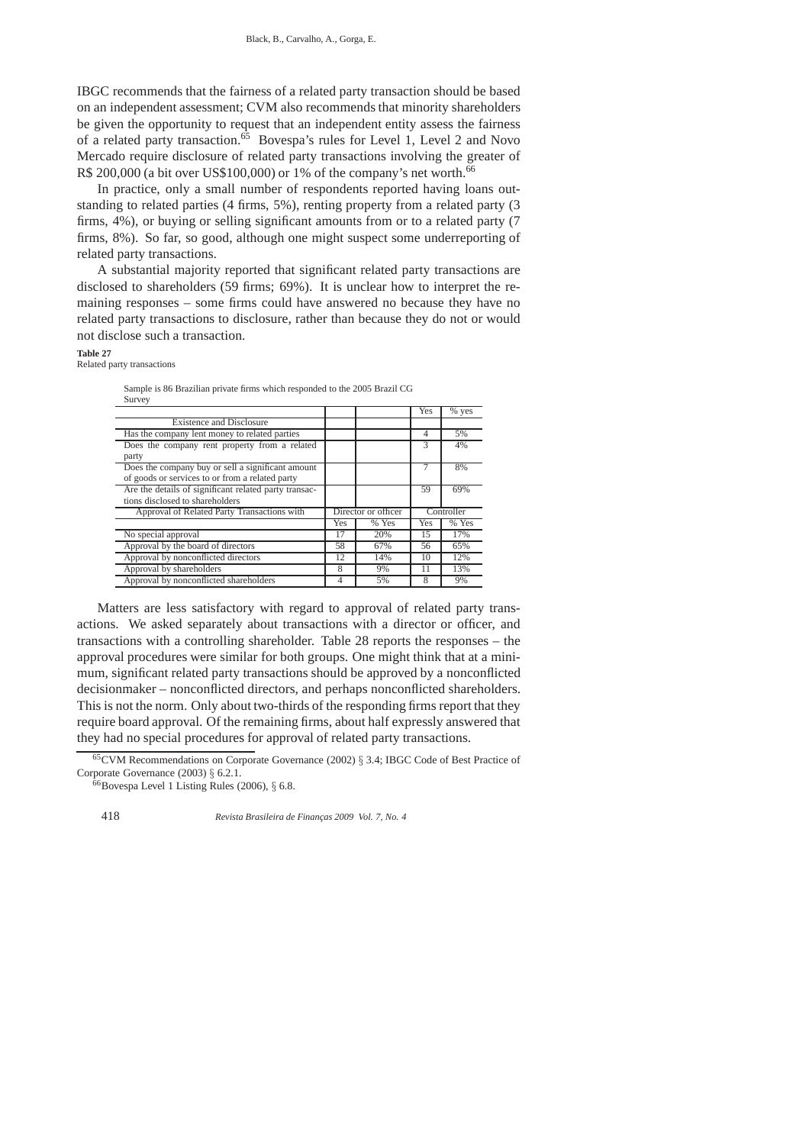IBGC recommends that the fairness of a related party transaction should be based on an independent assessment; CVM also recommends that minority shareholders be given the opportunity to request that an independent entity assess the fairness of a related party transaction.<sup>65</sup> Bovespa's rules for Level 1, Level 2 and Novo Mercado require disclosure of related party transactions involving the greater of R\$ 200,000 (a bit over US\$100,000) or 1% of the company's net worth.<sup>66</sup>

In practice, only a small number of respondents reported having loans outstanding to related parties (4 firms, 5%), renting property from a related party (3 firms, 4%), or buying or selling significant amounts from or to a related party (7 firms, 8%). So far, so good, although one might suspect some underreporting of related party transactions.

A substantial majority reported that significant related party transactions are disclosed to shareholders (59 firms; 69%). It is unclear how to interpret the remaining responses – some firms could have answered no because they have no related party transactions to disclosure, rather than because they do not or would not disclose such a transaction.

# **Table 27**

Related party transactions

Sample is 86 Brazilian private firms which responded to the 2005 Brazil CG Survey

|                                                       |                |                     | Yes | % yes      |
|-------------------------------------------------------|----------------|---------------------|-----|------------|
| <b>Existence and Disclosure</b>                       |                |                     |     |            |
| Has the company lent money to related parties         |                |                     | 4   | 5%         |
| Does the company rent property from a related         |                |                     | 3   | 4%         |
| party                                                 |                |                     |     |            |
| Does the company buy or sell a significant amount     |                |                     |     | 8%         |
| of goods or services to or from a related party       |                |                     |     |            |
| Are the details of significant related party transac- |                |                     | 59  | 69%        |
| tions disclosed to shareholders                       |                |                     |     |            |
| Approval of Related Party Transactions with           |                | Director or officer |     | Controller |
|                                                       | Yes            | % Yes               | Yes | % Yes      |
| No special approval                                   | 17             | 20%                 | 15  | 17%        |
| Approval by the board of directors                    | 58             | 67%                 | 56  | 65%        |
| Approval by nonconflicted directors                   | 12             | 14%                 | 10  | 12%        |
| Approval by shareholders                              | 8              | 9%                  | 11  | 13%        |
| Approval by nonconflicted shareholders                | $\overline{4}$ | 5%                  |     | 9%         |

Matters are less satisfactory with regard to approval of related party transactions. We asked separately about transactions with a director or officer, and transactions with a controlling shareholder. Table 28 reports the responses – the approval procedures were similar for both groups. One might think that at a minimum, significant related party transactions should be approved by a nonconflicted decisionmaker – nonconflicted directors, and perhaps nonconflicted shareholders. This is not the norm. Only about two-thirds of the responding firms report that they require board approval. Of the remaining firms, about half expressly answered that they had no special procedures for approval of related party transactions.

<sup>65</sup>CVM Recommendations on Corporate Governance (2002) § 3.4; IBGC Code of Best Practice of Corporate Governance (2003) § 6.2.1.

 $66B$ ovespa Level 1 Listing Rules (2006), § 6.8.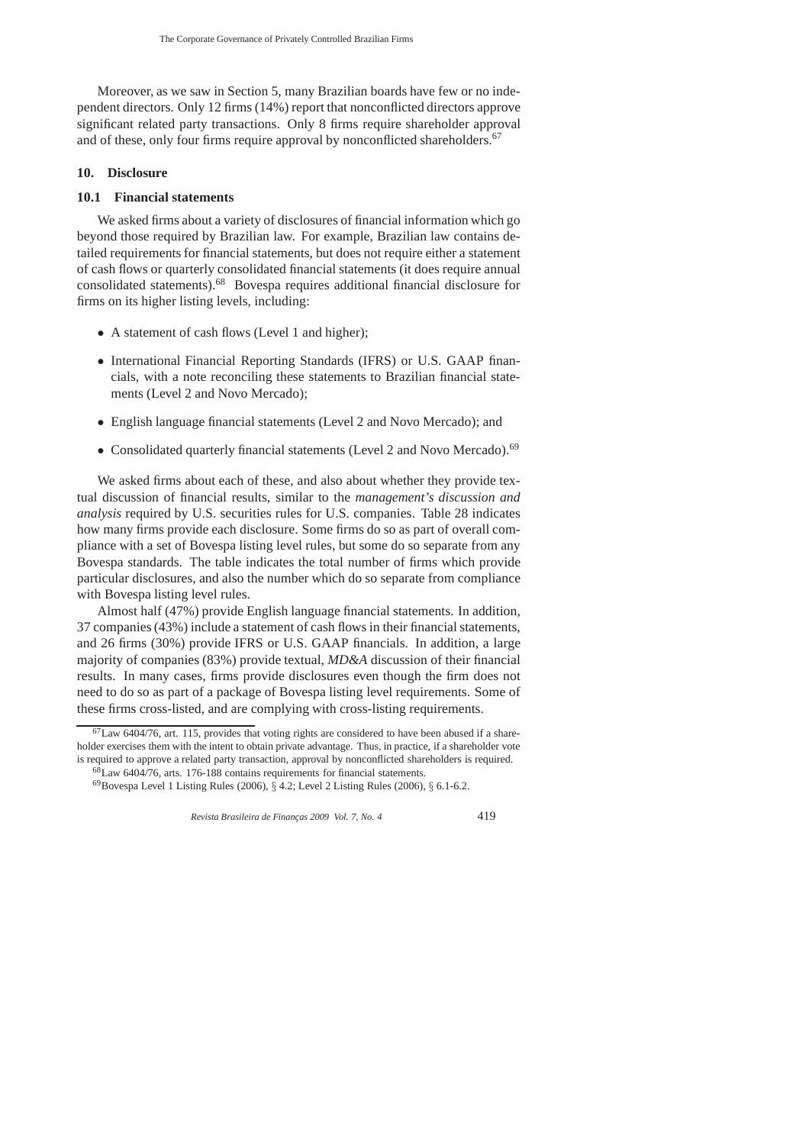Moreover, as we saw in Section 5, many Brazilian boards have few or no independent directors. Only 12 firms (14%) report that nonconflicted directors approve significant related party transactions. Only 8 firms require shareholder approval and of these, only four firms require approval by nonconflicted shareholders.<sup>67</sup>

# **10. Disclosure**

# **10.1 Financial statements**

We asked firms about a variety of disclosures of financial information which go beyond those required by Brazilian law. For example, Brazilian law contains detailed requirements for financial statements, but does not require either a statement of cash flows or quarterly consolidated financial statements (it does require annual consolidated statements).<sup>68</sup> Bovespa requires additional financial disclosure for firms on its higher listing levels, including:

- A statement of cash flows (Level 1 and higher);
- International Financial Reporting Standards (IFRS) or U.S. GAAP financials, with a note reconciling these statements to Brazilian financial statements (Level 2 and Novo Mercado);
- English language financial statements (Level 2 and Novo Mercado); and
- Consolidated quarterly financial statements (Level 2 and Novo Mercado).<sup>69</sup>

We asked firms about each of these, and also about whether they provide textual discussion of financial results, similar to the *management's discussion and analysis* required by U.S. securities rules for U.S. companies. Table 28 indicates how many firms provide each disclosure. Some firms do so as part of overall compliance with a set of Bovespa listing level rules, but some do so separate from any Bovespa standards. The table indicates the total number of firms which provide particular disclosures, and also the number which do so separate from compliance with Bovespa listing level rules.

Almost half (47%) provide English language financial statements. In addition, 37 companies (43%) include a statement of cash flows in their financial statements, and 26 firms (30%) provide IFRS or U.S. GAAP financials. In addition, a large majority of companies (83%) provide textual, *MD&A* discussion of their financial results. In many cases, firms provide disclosures even though the firm does not need to do so as part of a package of Bovespa listing level requirements. Some of these firms cross-listed, and are complying with cross-listing requirements.

 $67$ Law 6404/76, art. 115, provides that voting rights are considered to have been abused if a shareholder exercises them with the intent to obtain private advantage. Thus, in practice, if a shareholder vote is required to approve a related party transaction, approval by nonconflicted shareholders is required. <sup>68</sup>Law 6404/76, arts. 176-188 contains requirements for financial statements.

 $^{69}$ Bovespa Level 1 Listing Rules (2006),  $\overline{\S}$  4.2; Level 2 Listing Rules (2006),  $\S$  6.1-6.2.

*Revista Brasileira de Finanças 2009 Vol. 7, No. 4* 419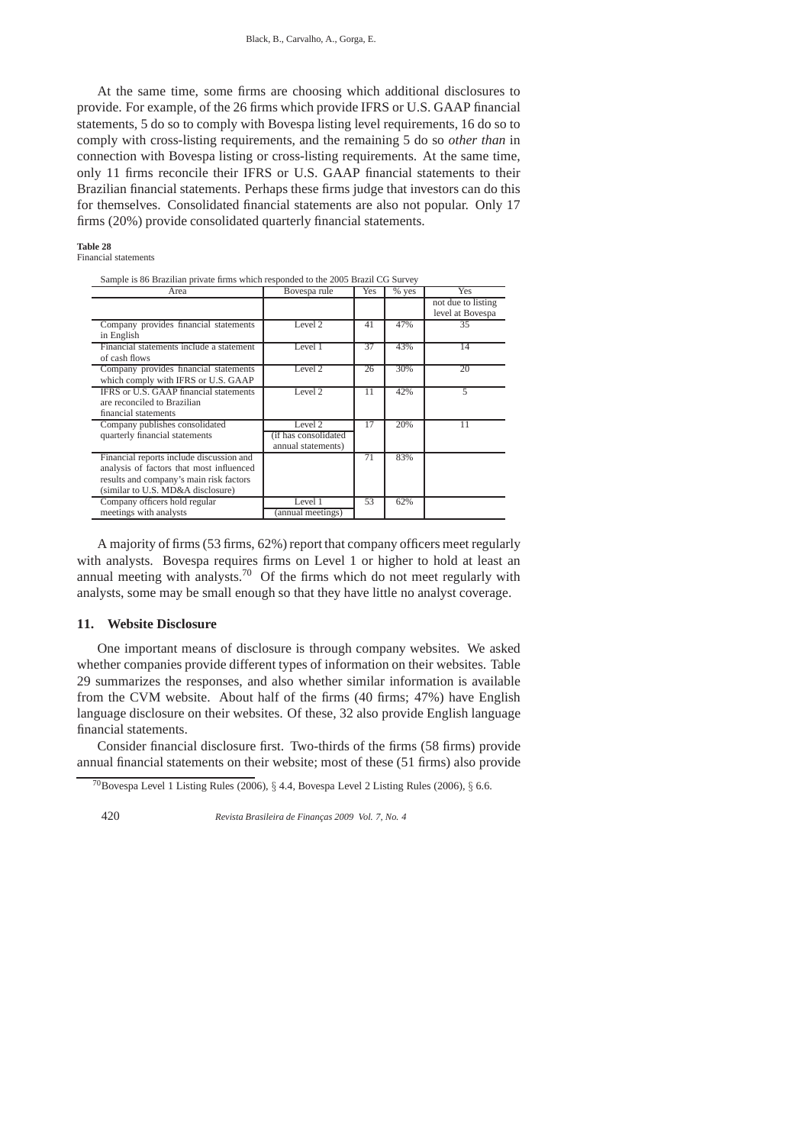At the same time, some firms are choosing which additional disclosures to provide. For example, of the 26 firms which provide IFRS or U.S. GAAP financial statements, 5 do so to comply with Bovespa listing level requirements, 16 do so to comply with cross-listing requirements, and the remaining 5 do so *other than* in connection with Bovespa listing or cross-listing requirements. At the same time, only 11 firms reconcile their IFRS or U.S. GAAP financial statements to their Brazilian financial statements. Perhaps these firms judge that investors can do this for themselves. Consolidated financial statements are also not popular. Only 17 firms (20%) provide consolidated quarterly financial statements.

#### **Table 28** Financial statements

| Sample is 86 Brazilian private firms which responded to the 2005 Brazil CG Survey |                         |  |
|-----------------------------------------------------------------------------------|-------------------------|--|
|                                                                                   | Dovecano male Vac Mixes |  |

| Area                                                                                                                                                                 | Bovespa rule                                                     | Yes | % yes | Yes                                    |
|----------------------------------------------------------------------------------------------------------------------------------------------------------------------|------------------------------------------------------------------|-----|-------|----------------------------------------|
|                                                                                                                                                                      |                                                                  |     |       | not due to listing<br>level at Bovespa |
| Company provides financial statements<br>in English                                                                                                                  | Level 2                                                          | 41  | 47%   | 35                                     |
| Financial statements include a statement<br>of cash flows                                                                                                            | Level 1                                                          | 37  | 43%   | 14                                     |
| Company provides financial statements<br>which comply with IFRS or U.S. GAAP                                                                                         | Level 2                                                          | 26  | 30%   | 20                                     |
| IFRS or U.S. GAAP financial statements<br>are reconciled to Brazilian<br>financial statements                                                                        | Level <sub>2</sub>                                               | 11  | 42%   | 5                                      |
| Company publishes consolidated<br>quarterly financial statements                                                                                                     | Level <sub>2</sub><br>(if has consolidated<br>annual statements) | 17  | 20%   | 11                                     |
| Financial reports include discussion and<br>analysis of factors that most influenced<br>results and company's main risk factors<br>(similar to U.S. MD&A disclosure) |                                                                  | 71  | 83%   |                                        |
| Company officers hold regular<br>meetings with analysts                                                                                                              | Level 1<br>(annual meetings)                                     | 53  | 62%   |                                        |

A majority of firms (53 firms, 62%) report that company officers meet regularly with analysts. Bovespa requires firms on Level 1 or higher to hold at least an annual meeting with analysts.<sup>70</sup> Of the firms which do not meet regularly with analysts, some may be small enough so that they have little no analyst coverage.

# **11. Website Disclosure**

One important means of disclosure is through company websites. We asked whether companies provide different types of information on their websites. Table 29 summarizes the responses, and also whether similar information is available from the CVM website. About half of the firms (40 firms; 47%) have English language disclosure on their websites. Of these, 32 also provide English language financial statements.

Consider financial disclosure first. Two-thirds of the firms (58 firms) provide annual financial statements on their website; most of these (51 firms) also provide

<sup>&</sup>lt;sup>70</sup>Bovespa Level 1 Listing Rules (2006), § 4.4, Bovespa Level 2 Listing Rules (2006), § 6.6.

<sup>420</sup> *Revista Brasileira de Finanças 2009 Vol. 7, No. 4*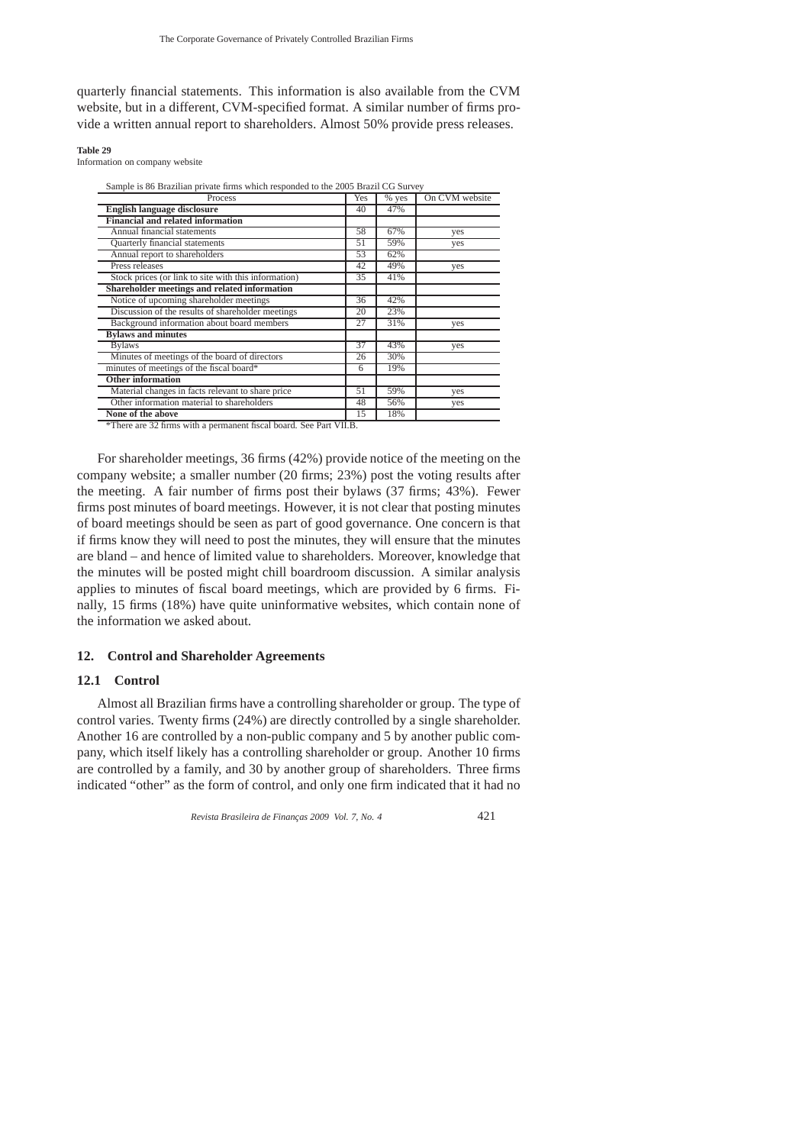quarterly financial statements. This information is also available from the CVM website, but in a different, CVM-specified format. A similar number of firms provide a written annual report to shareholders. Almost 50% provide press releases.

#### **Table 29**

Information on company website

| Yes | % yes | On CVM website                                                                    |
|-----|-------|-----------------------------------------------------------------------------------|
| 40  | 47%   |                                                                                   |
|     |       |                                                                                   |
| 58  | 67%   | yes                                                                               |
| 51  | 59%   | ves                                                                               |
| 53  | 62%   |                                                                                   |
| 42  | 49%   | yes                                                                               |
| 35  | 41%   |                                                                                   |
|     |       |                                                                                   |
| 36  | 42%   |                                                                                   |
| 20  | 23%   |                                                                                   |
| 27  | 31%   | ves                                                                               |
|     |       |                                                                                   |
| 37  | 43%   | ves                                                                               |
| 26  | 30%   |                                                                                   |
| 6   | 19%   |                                                                                   |
|     |       |                                                                                   |
| 51  | 59%   | yes                                                                               |
| 48  | 56%   | yes                                                                               |
| 15  | 18%   |                                                                                   |
|     |       | Sample is 86 Brazilian private firms which responded to the 2005 Brazil CG Survey |

\*There are 32 firms with a permanent fiscal board. See Part VII.B.

For shareholder meetings, 36 firms (42%) provide notice of the meeting on the company website; a smaller number (20 firms; 23%) post the voting results after the meeting. A fair number of firms post their bylaws (37 firms; 43%). Fewer firms post minutes of board meetings. However, it is not clear that posting minutes of board meetings should be seen as part of good governance. One concern is that if firms know they will need to post the minutes, they will ensure that the minutes are bland – and hence of limited value to shareholders. Moreover, knowledge that the minutes will be posted might chill boardroom discussion. A similar analysis applies to minutes of fiscal board meetings, which are provided by 6 firms. Finally, 15 firms (18%) have quite uninformative websites, which contain none of the information we asked about.

# **12. Control and Shareholder Agreements**

# **12.1 Control**

Almost all Brazilian firms have a controlling shareholder or group. The type of control varies. Twenty firms (24%) are directly controlled by a single shareholder. Another 16 are controlled by a non-public company and 5 by another public company, which itself likely has a controlling shareholder or group. Another 10 firms are controlled by a family, and 30 by another group of shareholders. Three firms indicated "other" as the form of control, and only one firm indicated that it had no

*Revista Brasileira de Financ¸as 2009 Vol. 7, No. 4* 421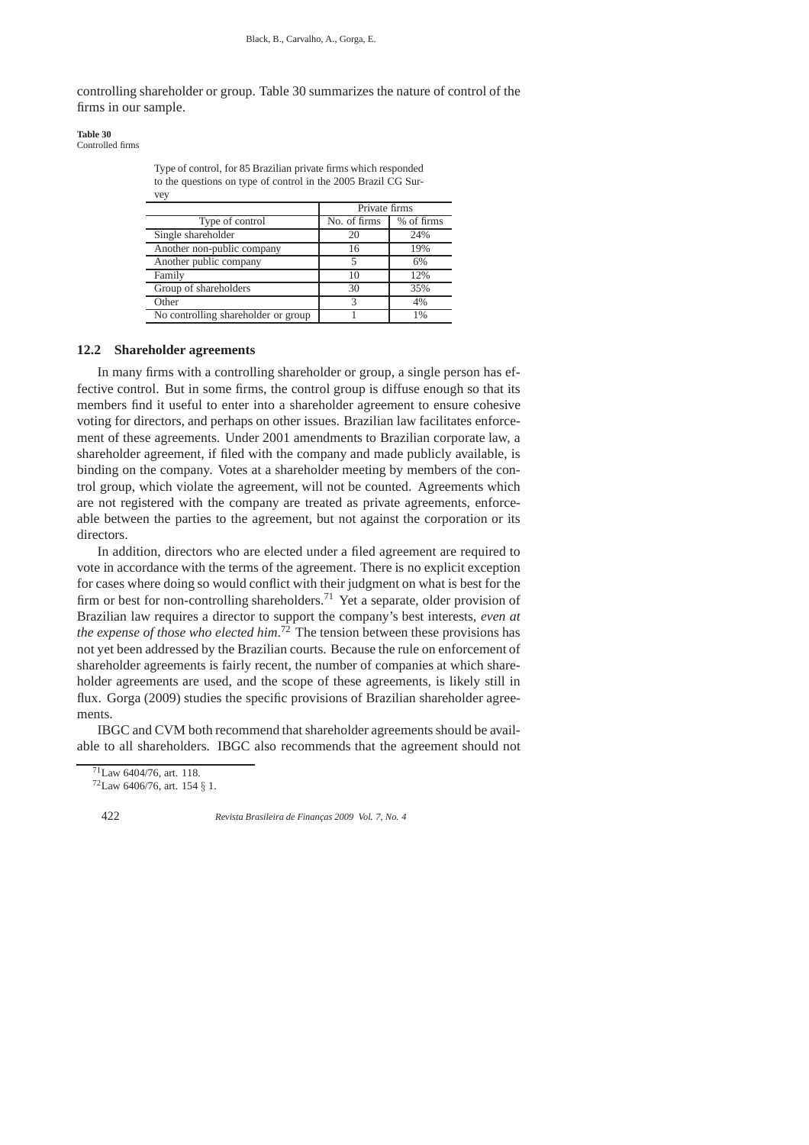controlling shareholder or group. Table 30 summarizes the nature of control of the firms in our sample.

**Table 30**

Controlled firms

Type of control, for 85 Brazilian private firms which responded to the questions on type of control in the 2005 Brazil CG Survey

|                                     | Private firms |            |  |
|-------------------------------------|---------------|------------|--|
| Type of control                     | No. of firms  | % of firms |  |
| Single shareholder                  | 20            | 24%        |  |
| Another non-public company          | 16            | 19%        |  |
| Another public company              |               | 6%         |  |
| Family                              | 10            | 12%        |  |
| Group of shareholders               | 30            | 35%        |  |
| Other                               | 3             | 4%         |  |
| No controlling shareholder or group |               | 1%         |  |

### **12.2 Shareholder agreements**

In many firms with a controlling shareholder or group, a single person has effective control. But in some firms, the control group is diffuse enough so that its members find it useful to enter into a shareholder agreement to ensure cohesive voting for directors, and perhaps on other issues. Brazilian law facilitates enforcement of these agreements. Under 2001 amendments to Brazilian corporate law, a shareholder agreement, if filed with the company and made publicly available, is binding on the company. Votes at a shareholder meeting by members of the control group, which violate the agreement, will not be counted. Agreements which are not registered with the company are treated as private agreements, enforceable between the parties to the agreement, but not against the corporation or its directors.

In addition, directors who are elected under a filed agreement are required to vote in accordance with the terms of the agreement. There is no explicit exception for cases where doing so would conflict with their judgment on what is best for the firm or best for non-controlling shareholders.<sup>71</sup> Yet a separate, older provision of Brazilian law requires a director to support the company's best interests, *even at the expense of those who elected him*. <sup>72</sup> The tension between these provisions has not yet been addressed by the Brazilian courts. Because the rule on enforcement of shareholder agreements is fairly recent, the number of companies at which shareholder agreements are used, and the scope of these agreements, is likely still in flux. Gorga (2009) studies the specific provisions of Brazilian shareholder agreements.

IBGC and CVM both recommend that shareholder agreements should be available to all shareholders. IBGC also recommends that the agreement should not

 $71$ Law 6404/76, art. 118

<sup>72</sup>Law 6406/76, art. 154 § 1.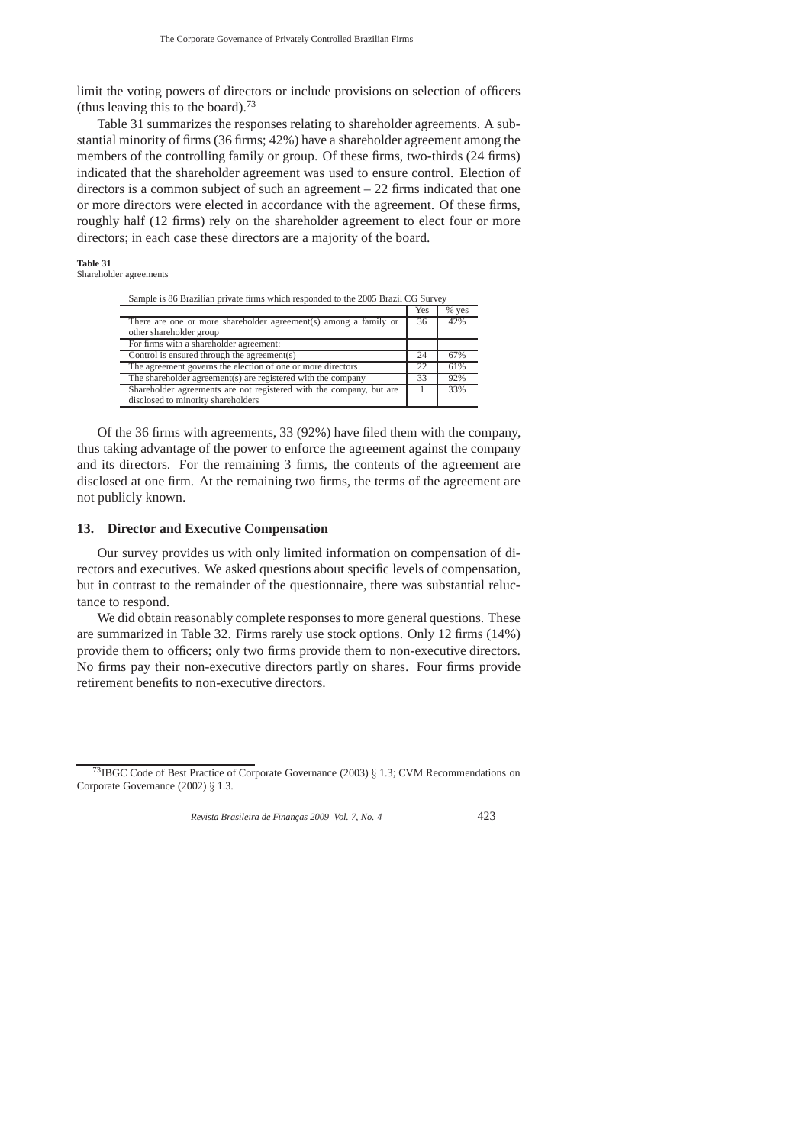limit the voting powers of directors or include provisions on selection of officers (thus leaving this to the board).<sup>73</sup>

Table 31 summarizes the responses relating to shareholder agreements. A substantial minority of firms (36 firms; 42%) have a shareholder agreement among the members of the controlling family or group. Of these firms, two-thirds (24 firms) indicated that the shareholder agreement was used to ensure control. Election of directors is a common subject of such an agreement – 22 firms indicated that one or more directors were elected in accordance with the agreement. Of these firms, roughly half (12 firms) rely on the shareholder agreement to elect four or more directors; in each case these directors are a majority of the board.

**Table 31**

Shareholder agreements

Sample is 86 Brazilian private firms which responded to the 2005 Brazil CG Survey

|                                                                     | Yes | % yes |
|---------------------------------------------------------------------|-----|-------|
| There are one or more shareholder agreement(s) among a family or    | 36  | 42%   |
| other shareholder group                                             |     |       |
| For firms with a shareholder agreement:                             |     |       |
| Control is ensured through the agreement(s)                         | 24  | 67%   |
| The agreement governs the election of one or more directors         | 22  | 61%   |
| The shareholder agreement(s) are registered with the company        | 33  | 92%   |
| Shareholder agreements are not registered with the company, but are |     | 33%   |
| disclosed to minority shareholders                                  |     |       |

Of the 36 firms with agreements, 33 (92%) have filed them with the company, thus taking advantage of the power to enforce the agreement against the company and its directors. For the remaining 3 firms, the contents of the agreement are disclosed at one firm. At the remaining two firms, the terms of the agreement are not publicly known.

# **13. Director and Executive Compensation**

Our survey provides us with only limited information on compensation of directors and executives. We asked questions about specific levels of compensation, but in contrast to the remainder of the questionnaire, there was substantial reluctance to respond.

We did obtain reasonably complete responses to more general questions. These are summarized in Table 32. Firms rarely use stock options. Only 12 firms (14%) provide them to officers; only two firms provide them to non-executive directors. No firms pay their non-executive directors partly on shares. Four firms provide retirement benefits to non-executive directors.

<sup>&</sup>lt;sup>73</sup>IBGC Code of Best Practice of Corporate Governance (2003)  $\S$  1.3; CVM Recommendations on Corporate Governance (2002) § 1.3.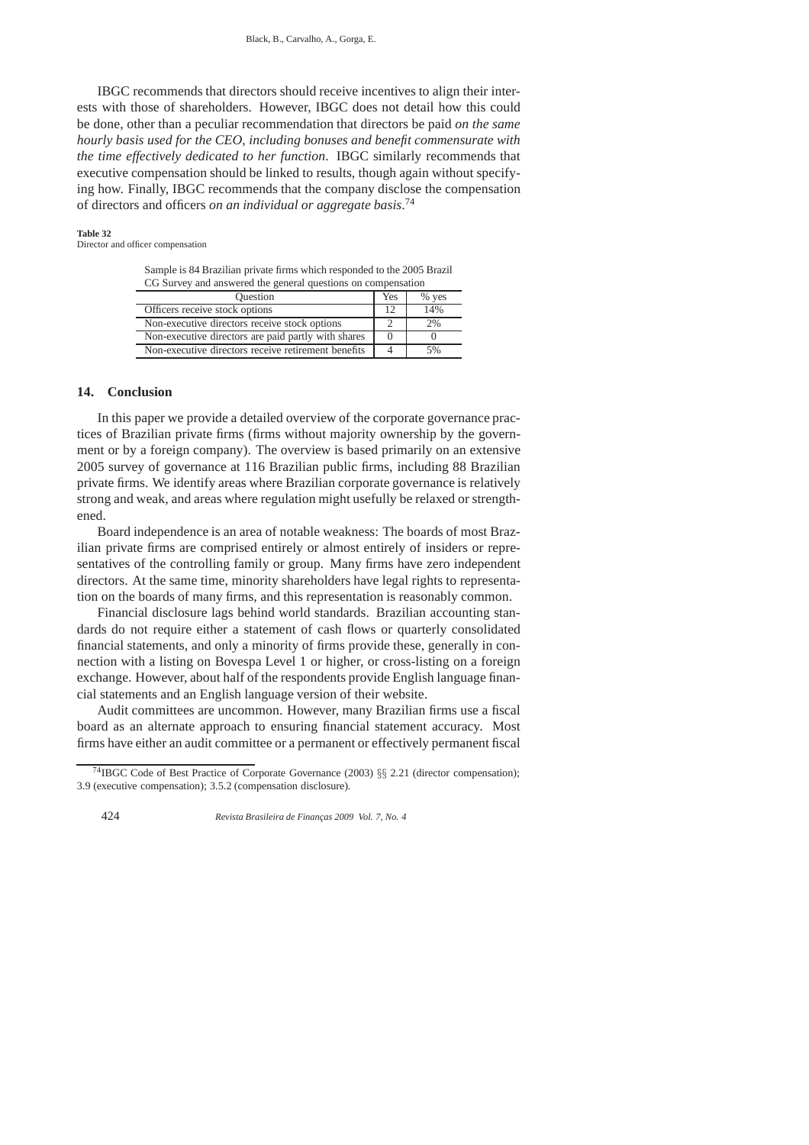IBGC recommends that directors should receive incentives to align their interests with those of shareholders. However, IBGC does not detail how this could be done, other than a peculiar recommendation that directors be paid *on the same hourly basis used for the CEO, including bonuses and benefit commensurate with the time effectively dedicated to her function*. IBGC similarly recommends that executive compensation should be linked to results, though again without specifying how. Finally, IBGC recommends that the company disclose the compensation of directors and officers *on an individual or aggregate basis*. 74

### **Table 32**

Director and officer compensation

Sample is 84 Brazilian private firms which responded to the 2005 Brazil CG Survey and answered the general questions on compensation

| <b>Ouestion</b>                                     | Yes | $%$ ves |
|-----------------------------------------------------|-----|---------|
| Officers receive stock options                      | 10  | 14%     |
| Non-executive directors receive stock options       |     | 2%      |
| Non-executive directors are paid partly with shares |     |         |
| Non-executive directors receive retirement benefits |     | 5%      |

# **14. Conclusion**

In this paper we provide a detailed overview of the corporate governance practices of Brazilian private firms (firms without majority ownership by the government or by a foreign company). The overview is based primarily on an extensive 2005 survey of governance at 116 Brazilian public firms, including 88 Brazilian private firms. We identify areas where Brazilian corporate governance is relatively strong and weak, and areas where regulation might usefully be relaxed or strengthened.

Board independence is an area of notable weakness: The boards of most Brazilian private firms are comprised entirely or almost entirely of insiders or representatives of the controlling family or group. Many firms have zero independent directors. At the same time, minority shareholders have legal rights to representation on the boards of many firms, and this representation is reasonably common.

Financial disclosure lags behind world standards. Brazilian accounting standards do not require either a statement of cash flows or quarterly consolidated financial statements, and only a minority of firms provide these, generally in connection with a listing on Bovespa Level 1 or higher, or cross-listing on a foreign exchange. However, about half of the respondents provide English language financial statements and an English language version of their website.

Audit committees are uncommon. However, many Brazilian firms use a fiscal board as an alternate approach to ensuring financial statement accuracy. Most firms have either an audit committee or a permanent or effectively permanent fiscal

<sup>&</sup>lt;sup>'4</sup>IBGC Code of Best Practice of Corporate Governance (2003)  $\S$ § 2.21 (director compensation); 3.9 (executive compensation); 3.5.2 (compensation disclosure).

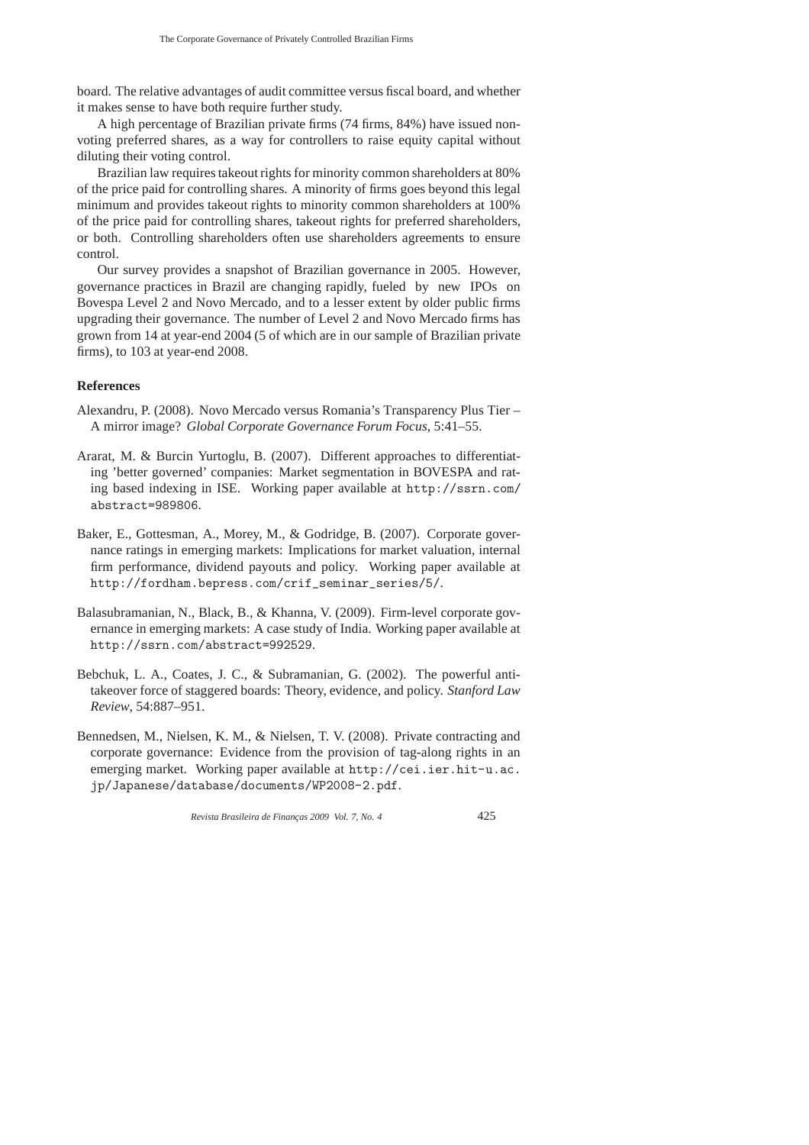board. The relative advantages of audit committee versus fiscal board, and whether it makes sense to have both require further study.

A high percentage of Brazilian private firms (74 firms, 84%) have issued nonvoting preferred shares, as a way for controllers to raise equity capital without diluting their voting control.

Brazilian law requires takeout rights for minority common shareholders at 80% of the price paid for controlling shares. A minority of firms goes beyond this legal minimum and provides takeout rights to minority common shareholders at 100% of the price paid for controlling shares, takeout rights for preferred shareholders, or both. Controlling shareholders often use shareholders agreements to ensure control.

Our survey provides a snapshot of Brazilian governance in 2005. However, governance practices in Brazil are changing rapidly, fueled by new IPOs on Bovespa Level 2 and Novo Mercado, and to a lesser extent by older public firms upgrading their governance. The number of Level 2 and Novo Mercado firms has grown from 14 at year-end 2004 (5 of which are in our sample of Brazilian private firms), to 103 at year-end 2008.

# **References**

Alexandru, P. (2008). Novo Mercado versus Romania's Transparency Plus Tier – A mirror image? *Global Corporate Governance Forum Focus*, 5:41–55.

- Ararat, M. & Burcin Yurtoglu, B. (2007). Different approaches to differentiating 'better governed' companies: Market segmentation in BOVESPA and rating based indexing in ISE. Working paper available at http://ssrn.com/ abstract=989806.
- Baker, E., Gottesman, A., Morey, M., & Godridge, B. (2007). Corporate governance ratings in emerging markets: Implications for market valuation, internal firm performance, dividend payouts and policy. Working paper available at http://fordham.bepress.com/crif\_seminar\_series/5/.
- Balasubramanian, N., Black, B., & Khanna, V. (2009). Firm-level corporate governance in emerging markets: A case study of India. Working paper available at http://ssrn.com/abstract=992529.
- Bebchuk, L. A., Coates, J. C., & Subramanian, G. (2002). The powerful antitakeover force of staggered boards: Theory, evidence, and policy. *Stanford Law Review*, 54:887–951.
- Bennedsen, M., Nielsen, K. M., & Nielsen, T. V. (2008). Private contracting and corporate governance: Evidence from the provision of tag-along rights in an emerging market. Working paper available at http://cei.ier.hit-u.ac. jp/Japanese/database/documents/WP2008-2.pdf.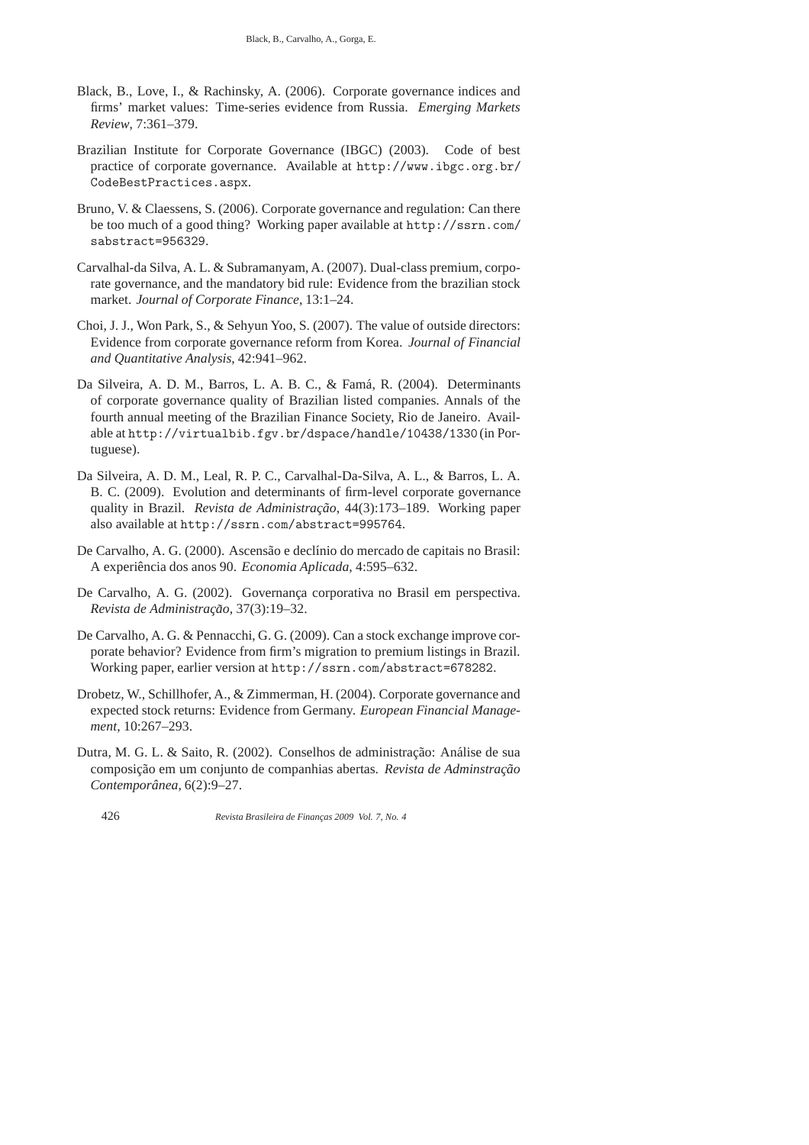- Black, B., Love, I., & Rachinsky, A. (2006). Corporate governance indices and firms' market values: Time-series evidence from Russia. *Emerging Markets Review*, 7:361–379.
- Brazilian Institute for Corporate Governance (IBGC) (2003). Code of best practice of corporate governance. Available at http://www.ibgc.org.br/ CodeBestPractices.aspx.
- Bruno, V. & Claessens, S. (2006). Corporate governance and regulation: Can there be too much of a good thing? Working paper available at http://ssrn.com/ sabstract=956329.
- Carvalhal-da Silva, A. L. & Subramanyam, A. (2007). Dual-class premium, corporate governance, and the mandatory bid rule: Evidence from the brazilian stock market. *Journal of Corporate Finance*, 13:1–24.
- Choi, J. J., Won Park, S., & Sehyun Yoo, S. (2007). The value of outside directors: Evidence from corporate governance reform from Korea. *Journal of Financial and Quantitative Analysis*, 42:941–962.
- Da Silveira, A. D. M., Barros, L. A. B. C., & Fam´a, R. (2004). Determinants of corporate governance quality of Brazilian listed companies. Annals of the fourth annual meeting of the Brazilian Finance Society, Rio de Janeiro. Available at http://virtualbib.fgv.br/dspace/handle/10438/1330(in Portuguese).
- Da Silveira, A. D. M., Leal, R. P. C., Carvalhal-Da-Silva, A. L., & Barros, L. A. B. C. (2009). Evolution and determinants of firm-level corporate governance quality in Brazil. *Revista de Administração*, 44(3):173-189. Working paper also available at http://ssrn.com/abstract=995764.
- De Carvalho, A. G. (2000). Ascensão e declínio do mercado de capitais no Brasil: A experiˆencia dos anos 90. *Economia Aplicada*, 4:595–632.
- De Carvalho, A. G. (2002). Governança corporativa no Brasil em perspectiva. *Revista de Administrac¸ao˜* , 37(3):19–32.
- De Carvalho, A. G. & Pennacchi, G. G. (2009). Can a stock exchange improve corporate behavior? Evidence from firm's migration to premium listings in Brazil. Working paper, earlier version at http://ssrn.com/abstract=678282.
- Drobetz, W., Schillhofer, A., & Zimmerman, H. (2004). Corporate governance and expected stock returns: Evidence from Germany. *European Financial Management*, 10:267–293.
- Dutra, M. G. L. & Saito, R. (2002). Conselhos de administração: Análise de sua composição em um conjunto de companhias abertas. Revista de Adminstração *Contemporanea ˆ* , 6(2):9–27.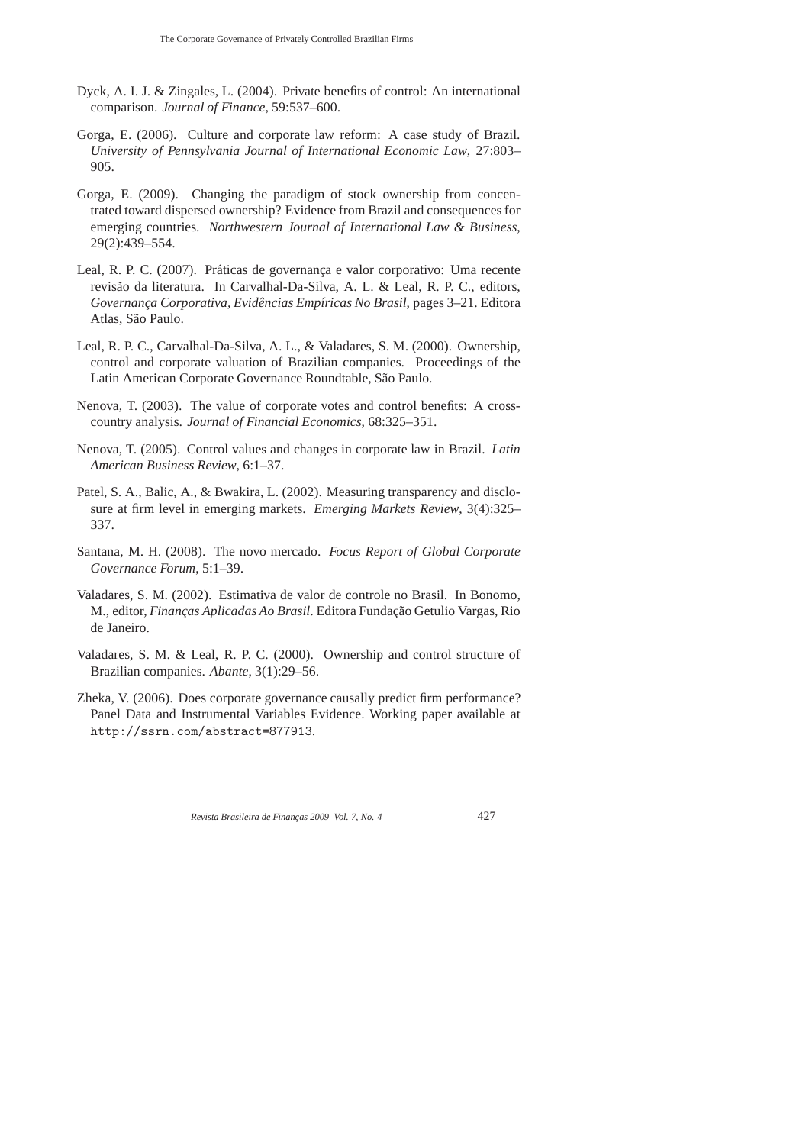- Dyck, A. I. J. & Zingales, L. (2004). Private benefits of control: An international comparison. *Journal of Finance*, 59:537–600.
- Gorga, E. (2006). Culture and corporate law reform: A case study of Brazil. *University of Pennsylvania Journal of International Economic Law*, 27:803– 905.
- Gorga, E. (2009). Changing the paradigm of stock ownership from concentrated toward dispersed ownership? Evidence from Brazil and consequences for emerging countries. *Northwestern Journal of International Law & Business*, 29(2):439–554.
- Leal, R. P. C. (2007). Práticas de governança e valor corporativo: Uma recente revisão da literatura. In Carvalhal-Da-Silva, A. L. & Leal, R. P. C., editors, *Governanc¸a Corporativa, Evidencias Emp ˆ ´ıricas No Brasil*, pages 3–21. Editora Atlas, São Paulo.
- Leal, R. P. C., Carvalhal-Da-Silva, A. L., & Valadares, S. M. (2000). Ownership, control and corporate valuation of Brazilian companies. Proceedings of the Latin American Corporate Governance Roundtable, São Paulo.
- Nenova, T. (2003). The value of corporate votes and control benefits: A crosscountry analysis. *Journal of Financial Economics*, 68:325–351.
- Nenova, T. (2005). Control values and changes in corporate law in Brazil. *Latin American Business Review*, 6:1–37.
- Patel, S. A., Balic, A., & Bwakira, L. (2002). Measuring transparency and disclosure at firm level in emerging markets. *Emerging Markets Review*, 3(4):325– 337.
- Santana, M. H. (2008). The novo mercado. *Focus Report of Global Corporate Governance Forum*, 5:1–39.
- Valadares, S. M. (2002). Estimativa de valor de controle no Brasil. In Bonomo, M., editor, *Finanças Aplicadas Ao Brasil*. Editora Fundação Getulio Vargas, Rio de Janeiro.
- Valadares, S. M. & Leal, R. P. C. (2000). Ownership and control structure of Brazilian companies. *Abante*, 3(1):29–56.
- Zheka, V. (2006). Does corporate governance causally predict firm performance? Panel Data and Instrumental Variables Evidence. Working paper available at http://ssrn.com/abstract=877913.